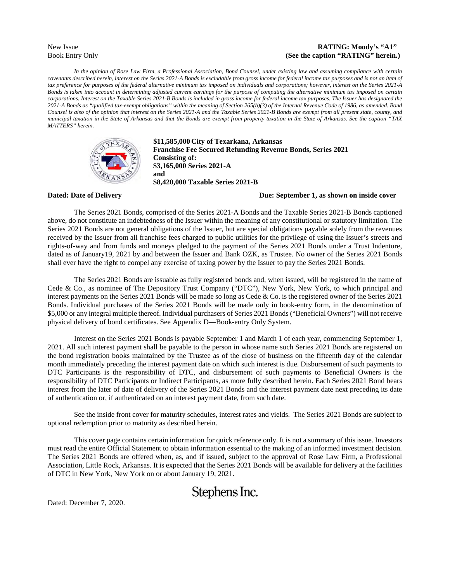#### New Issue **RATING: Moody's "A1"** Book Entry Only **(See the caption "RATING" herein.)**

*In the opinion of Rose Law Firm, a Professional Association, Bond Counsel, under existing law and assuming compliance with certain covenants described herein, interest on the Series 2021-A Bonds is excludable from gross income for federal income tax purposes and is not an item of tax preference for purposes of the federal alternative minimum tax imposed on individuals and corporations; however, interest on the Series 2021-A Bonds is taken into account in determining adjusted current earnings for the purpose of computing the alternative minimum tax imposed on certain corporations. Interest on the Taxable Series 2021-B Bonds is included in gross income for federal income tax purposes. The Issuer has designated the 2021-A Bonds as "qualified tax-exempt obligations" within the meaning of Section 265(b)(3) of the Internal Revenue Code of 1986, as amended. Bond Counsel is also of the opinion that interest on the Series 2021-A and the Taxable Series 2021-B Bonds are exempt from all present state, county, and municipal taxation in the State of Arkansas and that the Bonds are exempt from property taxation in the State of Arkansas. See the caption "TAX MATTERS" herein.*



**\$11,585,000 City of Texarkana, Arkansas Franchise Fee Secured Refunding Revenue Bonds, Series 2021 Consisting of: \$3,165,000 Series 2021-A and \$8,420,000 Taxable Series 2021-B**

#### **Dated: Date of Delivery Due: September 1, as shown on inside cover**

The Series 2021 Bonds, comprised of the Series 2021-A Bonds and the Taxable Series 2021-B Bonds captioned above, do not constitute an indebtedness of the Issuer within the meaning of any constitutional or statutory limitation. The Series 2021 Bonds are not general obligations of the Issuer, but are special obligations payable solely from the revenues received by the Issuer from all franchise fees charged to public utilities for the privilege of using the Issuer's streets and rights-of-way and from funds and moneys pledged to the payment of the Series 2021 Bonds under a Trust Indenture, dated as of January19, 2021 by and between the Issuer and Bank OZK, as Trustee. No owner of the Series 2021 Bonds shall ever have the right to compel any exercise of taxing power by the Issuer to pay the Series 2021 Bonds.

The Series 2021 Bonds are issuable as fully registered bonds and, when issued, will be registered in the name of Cede & Co., as nominee of The Depository Trust Company ("DTC"), New York, New York, to which principal and interest payments on the Series 2021 Bonds will be made so long as Cede & Co. is the registered owner of the Series 2021 Bonds. Individual purchases of the Series 2021 Bonds will be made only in book-entry form, in the denomination of \$5,000 or any integral multiple thereof. Individual purchasers of Series 2021 Bonds ("Beneficial Owners") will not receive physical delivery of bond certificates. See Appendix D—Book-entry Only System.

Interest on the Series 2021 Bonds is payable September 1 and March 1 of each year, commencing September 1, 2021. All such interest payment shall be payable to the person in whose name such Series 2021 Bonds are registered on the bond registration books maintained by the Trustee as of the close of business on the fifteenth day of the calendar month immediately preceding the interest payment date on which such interest is due. Disbursement of such payments to DTC Participants is the responsibility of DTC, and disbursement of such payments to Beneficial Owners is the responsibility of DTC Participants or Indirect Participants, as more fully described herein. Each Series 2021 Bond bears interest from the later of date of delivery of the Series 2021 Bonds and the interest payment date next preceding its date of authentication or, if authenticated on an interest payment date, from such date.

See the inside front cover for maturity schedules, interest rates and yields. The Series 2021 Bonds are subject to optional redemption prior to maturity as described herein.

This cover page contains certain information for quick reference only. It is not a summary of this issue. Investors must read the entire Official Statement to obtain information essential to the making of an informed investment decision. The Series 2021 Bonds are offered when, as, and if issued, subject to the approval of Rose Law Firm, a Professional Association, Little Rock, Arkansas. It is expected that the Series 2021 Bonds will be available for delivery at the facilities of DTC in New York, New York on or about January 19, 2021.

# Stephens Inc.

Dated: December 7, 2020.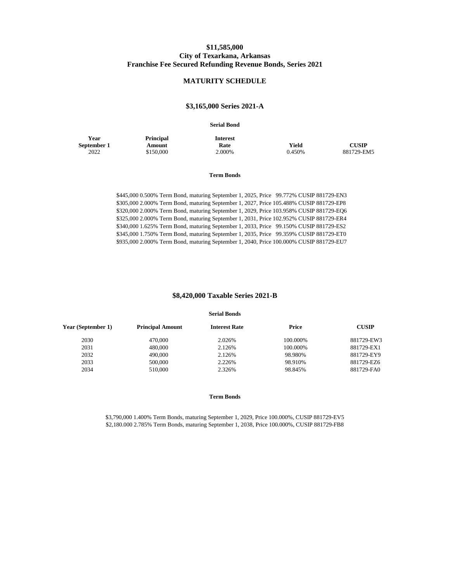#### **\$11,585,000 City of Texarkana, Arkansas Franchise Fee Secured Refunding Revenue Bonds, Series 2021**

#### **MATURITY SCHEDULE**

#### **\$3,165,000 Series 2021-A**

#### **Serial Bond**

**Year September 1** **Principal Amount** \$150,000

**Interest**

**Rate Yield CUSIP**

2022 \$150,000 2.000% 0.450% 881729-EM5

#### **Term Bonds**

\$445,000 0.500% Term Bond, maturing September 1, 2025, Price 99.772% CUSIP 881729-EN3 \$305,000 2.000% Term Bond, maturing September 1, 2027, Price 105.488% CUSIP 881729-EP8 \$320,000 2.000% Term Bond, maturing September 1, 2029, Price 103.958% CUSIP 881729-EQ6 \$325,000 2.000% Term Bond, maturing September 1, 2031, Price 102.952% CUSIP 881729-ER4 \$340,000 1.625% Term Bond, maturing September 1, 2033, Price 99.150% CUSIP 881729-ES2 \$345,000 1.750% Term Bond, maturing September 1, 2035, Price 99.359% CUSIP 881729-ET0 \$935,000 2.000% Term Bond, maturing September 1, 2040, Price 100.000% CUSIP 881729-EU7

#### **\$8,420,000 Taxable Series 2021-B**

#### **Serial Bonds**

| Year (September 1) | <b>Principal Amount</b> | <b>Interest Rate</b> | Price    | <b>CUSIP</b> |
|--------------------|-------------------------|----------------------|----------|--------------|
| 2030               | 470,000                 | 2.026%               | 100.000% | 881729-EW3   |
| 2031               | 480,000                 | 2.126%               | 100.000% | 881729-EX1   |
| 2032               | 490,000                 | 2.126%               | 98.980%  | 881729-EY9   |
| 2033               | 500,000                 | 2.226%               | 98.910%  | 881729-EZ6   |
| 2034               | 510,000                 | 2.326%               | 98.845%  | 881729-FA0   |
|                    |                         |                      |          |              |

#### **Term Bonds**

\$3,790,000 1.400% Term Bonds, maturing September 1, 2029, Price 100.000%, CUSIP 881729-EV5 \$2,180.000 2.785% Term Bonds, maturing September 1, 2038, Price 100.000%, CUSIP 881729-FB8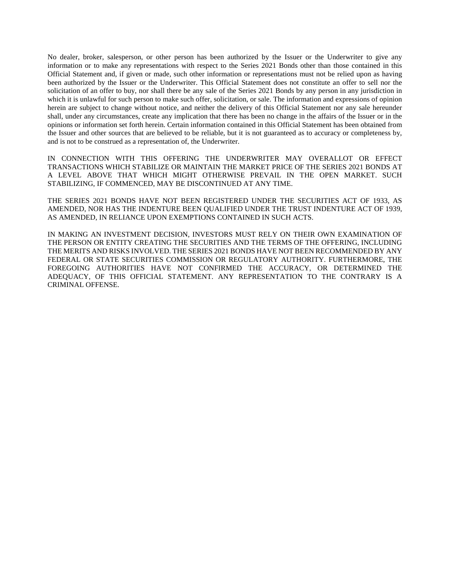No dealer, broker, salesperson, or other person has been authorized by the Issuer or the Underwriter to give any information or to make any representations with respect to the Series 2021 Bonds other than those contained in this Official Statement and, if given or made, such other information or representations must not be relied upon as having been authorized by the Issuer or the Underwriter. This Official Statement does not constitute an offer to sell nor the solicitation of an offer to buy, nor shall there be any sale of the Series 2021 Bonds by any person in any jurisdiction in which it is unlawful for such person to make such offer, solicitation, or sale. The information and expressions of opinion herein are subject to change without notice, and neither the delivery of this Official Statement nor any sale hereunder shall, under any circumstances, create any implication that there has been no change in the affairs of the Issuer or in the opinions or information set forth herein. Certain information contained in this Official Statement has been obtained from the Issuer and other sources that are believed to be reliable, but it is not guaranteed as to accuracy or completeness by, and is not to be construed as a representation of, the Underwriter.

IN CONNECTION WITH THIS OFFERING THE UNDERWRITER MAY OVERALLOT OR EFFECT TRANSACTIONS WHICH STABILIZE OR MAINTAIN THE MARKET PRICE OF THE SERIES 2021 BONDS AT A LEVEL ABOVE THAT WHICH MIGHT OTHERWISE PREVAIL IN THE OPEN MARKET. SUCH STABILIZING, IF COMMENCED, MAY BE DISCONTINUED AT ANY TIME.

THE SERIES 2021 BONDS HAVE NOT BEEN REGISTERED UNDER THE SECURITIES ACT OF 1933, AS AMENDED, NOR HAS THE INDENTURE BEEN QUALIFIED UNDER THE TRUST INDENTURE ACT OF 1939, AS AMENDED, IN RELIANCE UPON EXEMPTIONS CONTAINED IN SUCH ACTS.

IN MAKING AN INVESTMENT DECISION, INVESTORS MUST RELY ON THEIR OWN EXAMINATION OF THE PERSON OR ENTITY CREATING THE SECURITIES AND THE TERMS OF THE OFFERING, INCLUDING THE MERITS AND RISKS INVOLVED. THE SERIES 2021 BONDS HAVE NOT BEEN RECOMMENDED BY ANY FEDERAL OR STATE SECURITIES COMMISSION OR REGULATORY AUTHORITY. FURTHERMORE, THE FOREGOING AUTHORITIES HAVE NOT CONFIRMED THE ACCURACY, OR DETERMINED THE ADEQUACY, OF THIS OFFICIAL STATEMENT. ANY REPRESENTATION TO THE CONTRARY IS A CRIMINAL OFFENSE.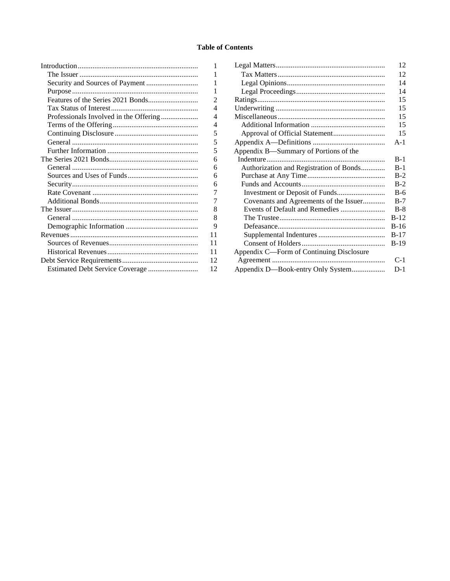#### **Table of Contents**

 $\,1\,$  $\,1$ 

|                                        | 1  |
|----------------------------------------|----|
|                                        | 1  |
|                                        | 2  |
|                                        | 4  |
| Professionals Involved in the Offering | 4  |
|                                        | 4  |
|                                        | 5  |
|                                        | 5  |
|                                        | 5  |
|                                        | 6  |
|                                        | 6  |
|                                        | 6  |
|                                        | 6  |
|                                        | 7  |
|                                        | 7  |
|                                        | 8  |
|                                        | 8  |
|                                        | 9  |
|                                        | 11 |
|                                        | 11 |
|                                        | 11 |
|                                        | 12 |
| Estimated Debt Service Coverage        | 12 |
|                                        |    |

|                                          | 12     |
|------------------------------------------|--------|
|                                          | 12     |
|                                          | 14     |
|                                          | 14     |
|                                          | 15     |
|                                          | 15     |
|                                          | 15     |
|                                          | 15     |
|                                          | 15     |
|                                          | $A-1$  |
| Appendix B—Summary of Portions of the    |        |
|                                          | $B-1$  |
| Authorization and Registration of Bonds  | $B-1$  |
|                                          | $B-2$  |
|                                          | $B-2$  |
|                                          | $B-6$  |
| Covenants and Agreements of the Issuer   | $B-7$  |
| Events of Default and Remedies           | $B-8$  |
|                                          | $B-12$ |
|                                          | $B-16$ |
|                                          | $B-17$ |
|                                          | $B-19$ |
| Appendix C—Form of Continuing Disclosure |        |
|                                          | $C-1$  |
| Appendix D-Book-entry Only System        | $D-1$  |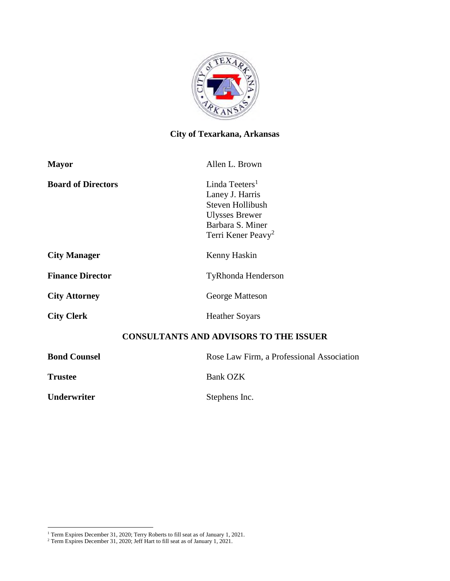

# **City of Texarkana, Arkansas**

| <b>Mayor</b>              | Allen L. Brown                                                                                                                                          |
|---------------------------|---------------------------------------------------------------------------------------------------------------------------------------------------------|
| <b>Board of Directors</b> | Linda Teeters <sup>1</sup><br>Laney J. Harris<br><b>Steven Hollibush</b><br><b>Ulysses Brewer</b><br>Barbara S. Miner<br>Terri Kener Peavy <sup>2</sup> |
| <b>City Manager</b>       | Kenny Haskin                                                                                                                                            |
| <b>Finance Director</b>   | <b>TyRhonda Henderson</b>                                                                                                                               |
| <b>City Attorney</b>      | George Matteson                                                                                                                                         |
| <b>City Clerk</b>         | <b>Heather Soyars</b>                                                                                                                                   |
|                           | <b>CONSULTANTS AND ADVISORS TO THE ISSUER</b>                                                                                                           |
| <b>Bond Counsel</b>       | Rose Law Firm, a Professional Association                                                                                                               |
| <b>Trustee</b>            | <b>Bank OZK</b>                                                                                                                                         |
| Underwriter               | Stephens Inc.                                                                                                                                           |

<sup>&</sup>lt;sup>1</sup> Term Expires December 31, 2020; Terry Roberts to fill seat as of January 1, 2021.

<sup>&</sup>lt;sup>2</sup> Term Expires December 31, 2020; Jeff Hart to fill seat as of January 1, 2021.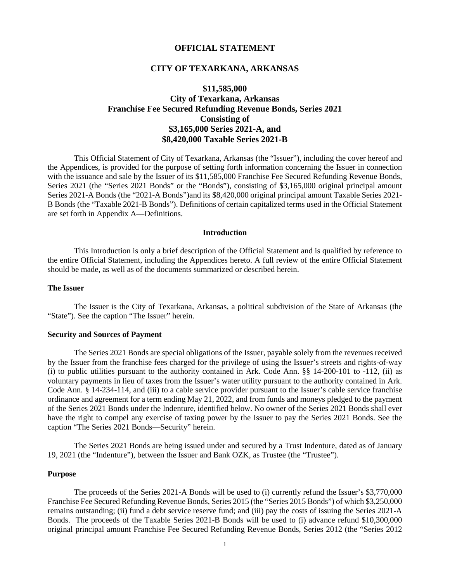#### **OFFICIAL STATEMENT**

#### **CITY OF TEXARKANA, ARKANSAS**

## **\$11,585,000 City of Texarkana, Arkansas Franchise Fee Secured Refunding Revenue Bonds, Series 2021 Consisting of \$3,165,000 Series 2021-A, and \$8,420,000 Taxable Series 2021-B**

This Official Statement of City of Texarkana, Arkansas (the "Issuer"), including the cover hereof and the Appendices, is provided for the purpose of setting forth information concerning the Issuer in connection with the issuance and sale by the Issuer of its \$11,585,000 Franchise Fee Secured Refunding Revenue Bonds, Series 2021 (the "Series 2021 Bonds" or the "Bonds"), consisting of \$3,165,000 original principal amount Series 2021-A Bonds (the "2021-A Bonds")and its \$8,420,000 original principal amount Taxable Series 2021- B Bonds (the "Taxable 2021-B Bonds"). Definitions of certain capitalized terms used in the Official Statement are set forth in Appendix A—Definitions.

#### **Introduction**

This Introduction is only a brief description of the Official Statement and is qualified by reference to the entire Official Statement, including the Appendices hereto. A full review of the entire Official Statement should be made, as well as of the documents summarized or described herein.

#### **The Issuer**

The Issuer is the City of Texarkana, Arkansas, a political subdivision of the State of Arkansas (the "State"). See the caption "The Issuer" herein.

#### **Security and Sources of Payment**

The Series 2021 Bonds are special obligations of the Issuer, payable solely from the revenues received by the Issuer from the franchise fees charged for the privilege of using the Issuer's streets and rights-of-way (i) to public utilities pursuant to the authority contained in Ark. Code Ann. §§ 14-200-101 to -112, (ii) as voluntary payments in lieu of taxes from the Issuer's water utility pursuant to the authority contained in Ark. Code Ann. § 14-234-114, and (iii) to a cable service provider pursuant to the Issuer's cable service franchise ordinance and agreement for a term ending May 21, 2022, and from funds and moneys pledged to the payment of the Series 2021 Bonds under the Indenture, identified below. No owner of the Series 2021 Bonds shall ever have the right to compel any exercise of taxing power by the Issuer to pay the Series 2021 Bonds. See the caption "The Series 2021 Bonds—Security" herein.

The Series 2021 Bonds are being issued under and secured by a Trust Indenture, dated as of January 19, 2021 (the "Indenture"), between the Issuer and Bank OZK, as Trustee (the "Trustee").

#### **Purpose**

The proceeds of the Series 2021-A Bonds will be used to (i) currently refund the Issuer's \$3,770,000 Franchise Fee Secured Refunding Revenue Bonds, Series 2015 (the "Series 2015 Bonds") of which \$3,250,000 remains outstanding; (ii) fund a debt service reserve fund; and (iii) pay the costs of issuing the Series 2021-A Bonds. The proceeds of the Taxable Series 2021-B Bonds will be used to (i) advance refund \$10,300,000 original principal amount Franchise Fee Secured Refunding Revenue Bonds, Series 2012 (the "Series 2012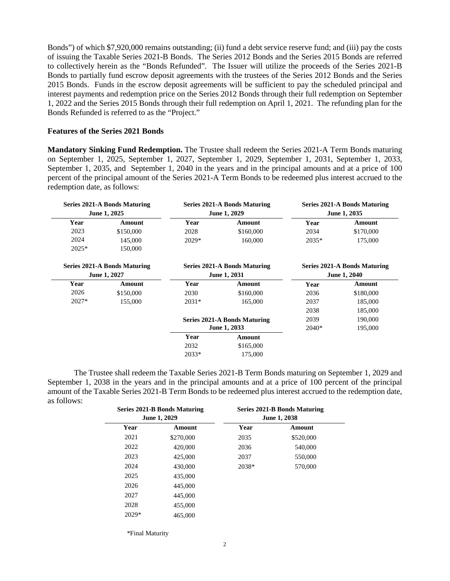Bonds") of which \$7,920,000 remains outstanding; (ii) fund a debt service reserve fund; and (iii) pay the costs of issuing the Taxable Series 2021-B Bonds. The Series 2012 Bonds and the Series 2015 Bonds are referred to collectively herein as the "Bonds Refunded". The Issuer will utilize the proceeds of the Series 2021-B Bonds to partially fund escrow deposit agreements with the trustees of the Series 2012 Bonds and the Series 2015 Bonds. Funds in the escrow deposit agreements will be sufficient to pay the scheduled principal and interest payments and redemption price on the Series 2012 Bonds through their full redemption on September 1, 2022 and the Series 2015 Bonds through their full redemption on April 1, 2021. The refunding plan for the Bonds Refunded is referred to as the "Project."

#### **Features of the Series 2021 Bonds**

**Mandatory Sinking Fund Redemption.** The Trustee shall redeem the Series 2021-A Term Bonds maturing on September 1, 2025, September 1, 2027, September 1, 2029, September 1, 2031, September 1, 2033, September 1, 2035, and September 1, 2040 in the years and in the principal amounts and at a price of 100 percent of the principal amount of the Series 2021-A Term Bonds to be redeemed plus interest accrued to the redemption date, as follows:

|         | <b>Series 2021-A Bonds Maturing</b> |              | Series 2021-A Bonds Maturing        |              | <b>Series 2021-A Bonds Maturing</b> |
|---------|-------------------------------------|--------------|-------------------------------------|--------------|-------------------------------------|
|         | June 1, 2025                        | June 1, 2029 |                                     | June 1, 2035 |                                     |
| Year    | Amount                              | Year         | Amount                              | Year         | Amount                              |
| 2023    | \$150,000                           | 2028         | \$160,000                           | 2034         | \$170,000                           |
| 2024    | 145,000                             | $2029*$      | 160,000                             | $2035*$      | 175,000                             |
| $2025*$ | 150,000                             |              |                                     |              |                                     |
|         | <b>Series 2021-A Bonds Maturing</b> |              | Series 2021-A Bonds Maturing        |              | Series 2021-A Bonds Maturing        |
|         | June 1, 2027                        |              | June 1, 2031                        |              | June 1, 2040                        |
| Year    | Amount                              | Year         | Amount                              | Year         | Amount                              |
| 2026    | \$150,000                           | 2030         | \$160,000                           | 2036         | \$180,000                           |
| $2027*$ | 155,000                             | $2031*$      | 165,000                             | 2037         | 185,000                             |
|         |                                     |              |                                     | 2038         | 185,000                             |
|         |                                     |              | <b>Series 2021-A Bonds Maturing</b> | 2039         | 190,000                             |
|         |                                     |              | June 1, 2033                        | $2040*$      | 195,000                             |
|         |                                     | Year         | Amount                              |              |                                     |
|         |                                     | 2032         | \$165,000                           |              |                                     |
|         |                                     | $2033*$      | 175,000                             |              |                                     |

The Trustee shall redeem the Taxable Series 2021-B Term Bonds maturing on September 1, 2029 and September 1, 2038 in the years and in the principal amounts and at a price of 100 percent of the principal amount of the Taxable Series 2021-B Term Bonds to be redeemed plus interest accrued to the redemption date, as follows:

| <b>Series 2021-B Bonds Maturing</b> |           | <b>Series 2021-B Bonds Maturing</b> |           |  |
|-------------------------------------|-----------|-------------------------------------|-----------|--|
| June 1, 2029                        |           | June 1, 2038                        |           |  |
| Year                                | Amount    | Year                                | Amount    |  |
| 2021                                | \$270,000 | 2035                                | \$520,000 |  |
| 2022                                | 420,000   | 2036                                | 540,000   |  |
| 2023                                | 425,000   | 2037                                | 550,000   |  |
| 2024                                | 430,000   | 2038*                               | 570,000   |  |
| 2025                                | 435,000   |                                     |           |  |
| 2026                                | 445,000   |                                     |           |  |
| 2027                                | 445,000   |                                     |           |  |
| 2028                                | 455,000   |                                     |           |  |
| $2029*$                             | 465,000   |                                     |           |  |
|                                     |           |                                     |           |  |
|                                     |           |                                     |           |  |

\*Final Maturity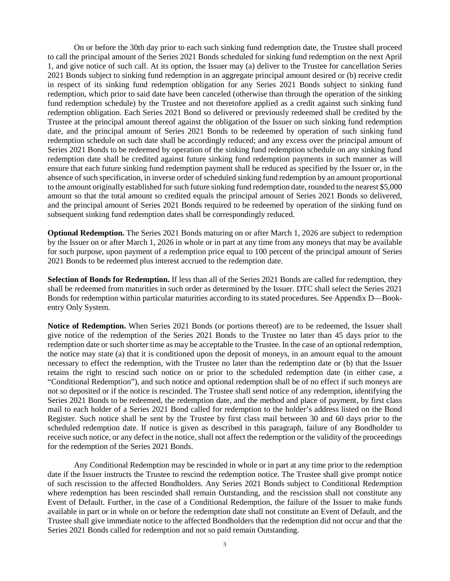On or before the 30th day prior to each such sinking fund redemption date, the Trustee shall proceed to call the principal amount of the Series 2021 Bonds scheduled for sinking fund redemption on the next April 1, and give notice of such call. At its option, the Issuer may (a) deliver to the Trustee for cancellation Series 2021 Bonds subject to sinking fund redemption in an aggregate principal amount desired or (b) receive credit in respect of its sinking fund redemption obligation for any Series 2021 Bonds subject to sinking fund redemption, which prior to said date have been canceled (otherwise than through the operation of the sinking fund redemption schedule) by the Trustee and not theretofore applied as a credit against such sinking fund redemption obligation. Each Series 2021 Bond so delivered or previously redeemed shall be credited by the Trustee at the principal amount thereof against the obligation of the Issuer on such sinking fund redemption date, and the principal amount of Series 2021 Bonds to be redeemed by operation of such sinking fund redemption schedule on such date shall be accordingly reduced; and any excess over the principal amount of Series 2021 Bonds to be redeemed by operation of the sinking fund redemption schedule on any sinking fund redemption date shall be credited against future sinking fund redemption payments in such manner as will ensure that each future sinking fund redemption payment shall be reduced as specified by the Issuer or, in the absence of such specification, in inverse order of scheduled sinking fund redemption by an amount proportional to the amount originally established for such future sinking fund redemption date, rounded to the nearest \$5,000 amount so that the total amount so credited equals the principal amount of Series 2021 Bonds so delivered, and the principal amount of Series 2021 Bonds required to be redeemed by operation of the sinking fund on subsequent sinking fund redemption dates shall be correspondingly reduced.

**Optional Redemption.** The Series 2021 Bonds maturing on or after March 1, 2026 are subject to redemption by the Issuer on or after March 1, 2026 in whole or in part at any time from any moneys that may be available for such purpose, upon payment of a redemption price equal to 100 percent of the principal amount of Series 2021 Bonds to be redeemed plus interest accrued to the redemption date.

**Selection of Bonds for Redemption.** If less than all of the Series 2021 Bonds are called for redemption, they shall be redeemed from maturities in such order as determined by the Issuer. DTC shall select the Series 2021 Bonds for redemption within particular maturities according to its stated procedures. See Appendix D—Bookentry Only System.

**Notice of Redemption.** When Series 2021 Bonds (or portions thereof) are to be redeemed, the Issuer shall give notice of the redemption of the Series 2021 Bonds to the Trustee no later than 45 days prior to the redemption date or such shorter time as may be acceptable to the Trustee. In the case of an optional redemption, the notice may state (a) that it is conditioned upon the deposit of moneys, in an amount equal to the amount necessary to effect the redemption, with the Trustee no later than the redemption date or (b) that the Issuer retains the right to rescind such notice on or prior to the scheduled redemption date (in either case, a "Conditional Redemption"), and such notice and optional redemption shall be of no effect if such moneys are not so deposited or if the notice is rescinded. The Trustee shall send notice of any redemption, identifying the Series 2021 Bonds to be redeemed, the redemption date, and the method and place of payment, by first class mail to each holder of a Series 2021 Bond called for redemption to the holder's address listed on the Bond Register. Such notice shall be sent by the Trustee by first class mail between 30 and 60 days prior to the scheduled redemption date. If notice is given as described in this paragraph, failure of any Bondholder to receive such notice, or any defect in the notice, shall not affect the redemption or the validity of the proceedings for the redemption of the Series 2021 Bonds.

Any Conditional Redemption may be rescinded in whole or in part at any time prior to the redemption date if the Issuer instructs the Trustee to rescind the redemption notice. The Trustee shall give prompt notice of such rescission to the affected Bondholders. Any Series 2021 Bonds subject to Conditional Redemption where redemption has been rescinded shall remain Outstanding, and the rescission shall not constitute any Event of Default. Further, in the case of a Conditional Redemption, the failure of the Issuer to make funds available in part or in whole on or before the redemption date shall not constitute an Event of Default, and the Trustee shall give immediate notice to the affected Bondholders that the redemption did not occur and that the Series 2021 Bonds called for redemption and not so paid remain Outstanding.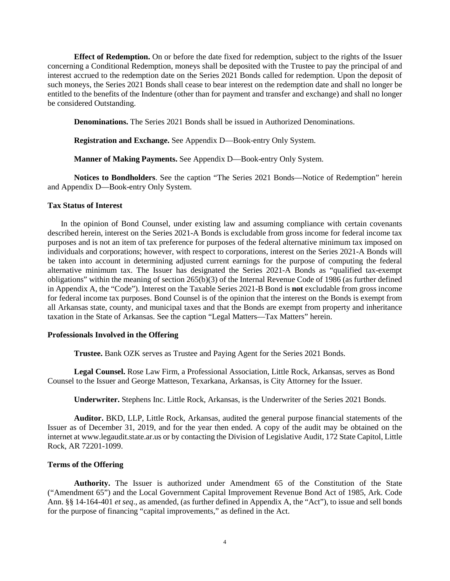**Effect of Redemption.** On or before the date fixed for redemption, subject to the rights of the Issuer concerning a Conditional Redemption, moneys shall be deposited with the Trustee to pay the principal of and interest accrued to the redemption date on the Series 2021 Bonds called for redemption. Upon the deposit of such moneys, the Series 2021 Bonds shall cease to bear interest on the redemption date and shall no longer be entitled to the benefits of the Indenture (other than for payment and transfer and exchange) and shall no longer be considered Outstanding.

**Denominations.** The Series 2021 Bonds shall be issued in Authorized Denominations.

**Registration and Exchange.** See Appendix D—Book-entry Only System.

**Manner of Making Payments.** See Appendix D—Book-entry Only System.

**Notices to Bondholders**. See the caption "The Series 2021 Bonds—Notice of Redemption" herein and Appendix D—Book-entry Only System.

#### **Tax Status of Interest**

In the opinion of Bond Counsel, under existing law and assuming compliance with certain covenants described herein, interest on the Series 2021-A Bonds is excludable from gross income for federal income tax purposes and is not an item of tax preference for purposes of the federal alternative minimum tax imposed on individuals and corporations; however, with respect to corporations, interest on the Series 2021-A Bonds will be taken into account in determining adjusted current earnings for the purpose of computing the federal alternative minimum tax. The Issuer has designated the Series 2021-A Bonds as "qualified tax-exempt obligations" within the meaning of section 265(b)(3) of the Internal Revenue Code of 1986 (as further defined in Appendix A, the "Code"). Interest on the Taxable Series 2021-B Bond is **not** excludable from gross income for federal income tax purposes. Bond Counsel is of the opinion that the interest on the Bonds is exempt from all Arkansas state, county, and municipal taxes and that the Bonds are exempt from property and inheritance taxation in the State of Arkansas. See the caption "Legal Matters—Tax Matters" herein.

#### **Professionals Involved in the Offering**

**Trustee.** Bank OZK serves as Trustee and Paying Agent for the Series 2021 Bonds.

**Legal Counsel.** Rose Law Firm, a Professional Association, Little Rock, Arkansas, serves as Bond Counsel to the Issuer and George Matteson, Texarkana, Arkansas, is City Attorney for the Issuer.

**Underwriter.** Stephens Inc. Little Rock, Arkansas, is the Underwriter of the Series 2021 Bonds.

**Auditor.** BKD, LLP, Little Rock, Arkansas, audited the general purpose financial statements of the Issuer as of December 31, 2019, and for the year then ended. A copy of the audit may be obtained on the internet at www.legaudit.state.ar.us or by contacting the Division of Legislative Audit, 172 State Capitol, Little Rock, AR 72201-1099.

#### **Terms of the Offering**

**Authority.** The Issuer is authorized under Amendment 65 of the Constitution of the State ("Amendment 65") and the Local Government Capital Improvement Revenue Bond Act of 1985, Ark. Code Ann. §§ 14-164-401 *et seq*., as amended, (as further defined in Appendix A, the "Act"), to issue and sell bonds for the purpose of financing "capital improvements," as defined in the Act.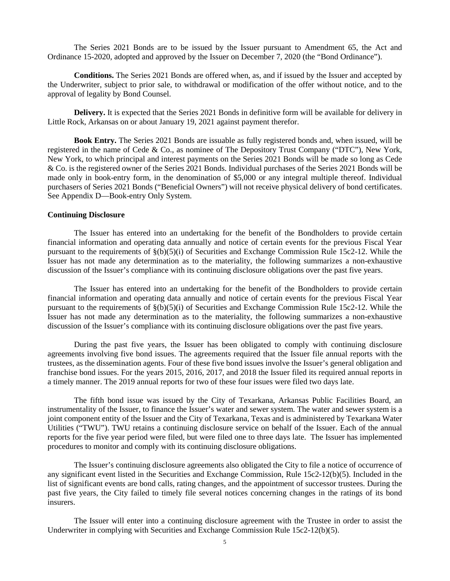The Series 2021 Bonds are to be issued by the Issuer pursuant to Amendment 65, the Act and Ordinance 15-2020, adopted and approved by the Issuer on December 7, 2020 (the "Bond Ordinance").

**Conditions.** The Series 2021 Bonds are offered when, as, and if issued by the Issuer and accepted by the Underwriter, subject to prior sale, to withdrawal or modification of the offer without notice, and to the approval of legality by Bond Counsel.

**Delivery.** It is expected that the Series 2021 Bonds in definitive form will be available for delivery in Little Rock, Arkansas on or about January 19, 2021 against payment therefor.

**Book Entry.** The Series 2021 Bonds are issuable as fully registered bonds and, when issued, will be registered in the name of Cede & Co., as nominee of The Depository Trust Company ("DTC"), New York, New York, to which principal and interest payments on the Series 2021 Bonds will be made so long as Cede & Co. is the registered owner of the Series 2021 Bonds. Individual purchases of the Series 2021 Bonds will be made only in book-entry form, in the denomination of \$5,000 or any integral multiple thereof. Individual purchasers of Series 2021 Bonds ("Beneficial Owners") will not receive physical delivery of bond certificates. See Appendix D—Book-entry Only System.

#### **Continuing Disclosure**

The Issuer has entered into an undertaking for the benefit of the Bondholders to provide certain financial information and operating data annually and notice of certain events for the previous Fiscal Year pursuant to the requirements of  $\S(b)(5)(i)$  of Securities and Exchange Commission Rule 15c2-12. While the Issuer has not made any determination as to the materiality, the following summarizes a non-exhaustive discussion of the Issuer's compliance with its continuing disclosure obligations over the past five years.

The Issuer has entered into an undertaking for the benefit of the Bondholders to provide certain financial information and operating data annually and notice of certain events for the previous Fiscal Year pursuant to the requirements of  $\S(b)(5)(i)$  of Securities and Exchange Commission Rule 15c2-12. While the Issuer has not made any determination as to the materiality, the following summarizes a non-exhaustive discussion of the Issuer's compliance with its continuing disclosure obligations over the past five years.

During the past five years, the Issuer has been obligated to comply with continuing disclosure agreements involving five bond issues. The agreements required that the Issuer file annual reports with the trustees, as the dissemination agents. Four of these five bond issues involve the Issuer's general obligation and franchise bond issues. For the years 2015, 2016, 2017, and 2018 the Issuer filed its required annual reports in a timely manner. The 2019 annual reports for two of these four issues were filed two days late.

The fifth bond issue was issued by the City of Texarkana, Arkansas Public Facilities Board, an instrumentality of the Issuer, to finance the Issuer's water and sewer system. The water and sewer system is a joint component entity of the Issuer and the City of Texarkana, Texas and is administered by Texarkana Water Utilities ("TWU"). TWU retains a continuing disclosure service on behalf of the Issuer. Each of the annual reports for the five year period were filed, but were filed one to three days late. The Issuer has implemented procedures to monitor and comply with its continuing disclosure obligations.

The Issuer's continuing disclosure agreements also obligated the City to file a notice of occurrence of any significant event listed in the Securities and Exchange Commission, Rule 15c2-12(b)(5). Included in the list of significant events are bond calls, rating changes, and the appointment of successor trustees. During the past five years, the City failed to timely file several notices concerning changes in the ratings of its bond insurers.

The Issuer will enter into a continuing disclosure agreement with the Trustee in order to assist the Underwriter in complying with Securities and Exchange Commission Rule 15c2-12(b)(5).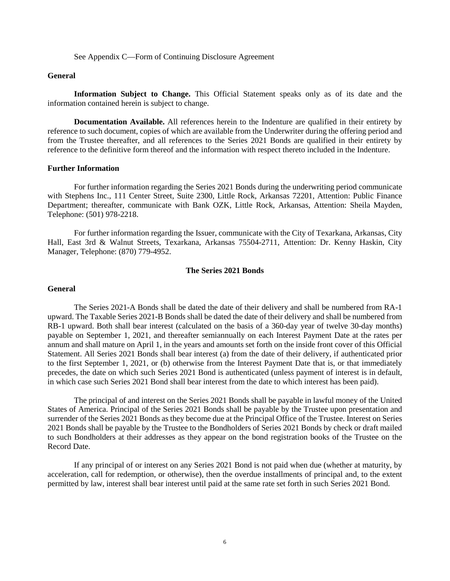See Appendix C—Form of Continuing Disclosure Agreement

#### **General**

**Information Subject to Change.** This Official Statement speaks only as of its date and the information contained herein is subject to change.

**Documentation Available.** All references herein to the Indenture are qualified in their entirety by reference to such document, copies of which are available from the Underwriter during the offering period and from the Trustee thereafter, and all references to the Series 2021 Bonds are qualified in their entirety by reference to the definitive form thereof and the information with respect thereto included in the Indenture.

#### **Further Information**

For further information regarding the Series 2021 Bonds during the underwriting period communicate with Stephens Inc., 111 Center Street, Suite 2300, Little Rock, Arkansas 72201, Attention: Public Finance Department; thereafter, communicate with Bank OZK, Little Rock, Arkansas, Attention: Sheila Mayden, Telephone: (501) 978-2218.

For further information regarding the Issuer, communicate with the City of Texarkana, Arkansas, City Hall, East 3rd & Walnut Streets, Texarkana, Arkansas 75504-2711, Attention: Dr. Kenny Haskin, City Manager, Telephone: (870) 779-4952.

#### **The Series 2021 Bonds**

#### **General**

The Series 2021-A Bonds shall be dated the date of their delivery and shall be numbered from RA-1 upward. The Taxable Series 2021-B Bonds shall be dated the date of their delivery and shall be numbered from RB-1 upward. Both shall bear interest (calculated on the basis of a 360-day year of twelve 30-day months) payable on September 1, 2021, and thereafter semiannually on each Interest Payment Date at the rates per annum and shall mature on April 1, in the years and amounts set forth on the inside front cover of this Official Statement. All Series 2021 Bonds shall bear interest (a) from the date of their delivery, if authenticated prior to the first September 1, 2021, or (b) otherwise from the Interest Payment Date that is, or that immediately precedes, the date on which such Series 2021 Bond is authenticated (unless payment of interest is in default, in which case such Series 2021 Bond shall bear interest from the date to which interest has been paid).

The principal of and interest on the Series 2021 Bonds shall be payable in lawful money of the United States of America. Principal of the Series 2021 Bonds shall be payable by the Trustee upon presentation and surrender of the Series 2021 Bonds as they become due at the Principal Office of the Trustee. Interest on Series 2021 Bonds shall be payable by the Trustee to the Bondholders of Series 2021 Bonds by check or draft mailed to such Bondholders at their addresses as they appear on the bond registration books of the Trustee on the Record Date.

If any principal of or interest on any Series 2021 Bond is not paid when due (whether at maturity, by acceleration, call for redemption, or otherwise), then the overdue installments of principal and, to the extent permitted by law, interest shall bear interest until paid at the same rate set forth in such Series 2021 Bond.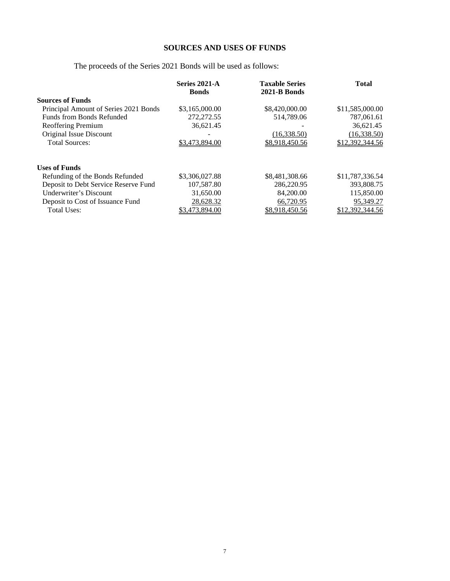# **SOURCES AND USES OF FUNDS**

# The proceeds of the Series 2021 Bonds will be used as follows:

|                                       | Series 2021-A<br><b>Bonds</b> | <b>Taxable Series</b><br>2021-B Bonds | <b>Total</b>    |
|---------------------------------------|-------------------------------|---------------------------------------|-----------------|
| <b>Sources of Funds</b>               |                               |                                       |                 |
| Principal Amount of Series 2021 Bonds | \$3,165,000.00                | \$8,420,000.00                        | \$11,585,000.00 |
| Funds from Bonds Refunded             | 272,272.55                    | 514,789.06                            | 787,061.61      |
| Reoffering Premium                    | 36,621.45                     | -                                     | 36,621.45       |
| Original Issue Discount               |                               | (16,338.50)                           | (16, 338.50)    |
| <b>Total Sources:</b>                 | \$3,473,894.00                | \$8,918,450.56                        | \$12,392,344.56 |
|                                       |                               |                                       |                 |
| <b>Uses of Funds</b>                  |                               |                                       |                 |
| Refunding of the Bonds Refunded       | \$3,306,027.88                | \$8,481,308.66                        | \$11,787,336.54 |
| Deposit to Debt Service Reserve Fund  | 107,587.80                    | 286,220.95                            | 393,808.75      |
| Underwriter's Discount                | 31,650.00                     | 84,200.00                             | 115,850.00      |
| Deposit to Cost of Issuance Fund      | 28,628.32                     | 66,720.95                             | 95,349.27       |
| <b>Total Uses:</b>                    | \$3,473,894.00                | \$8,918,450.56                        | \$12,392,344.56 |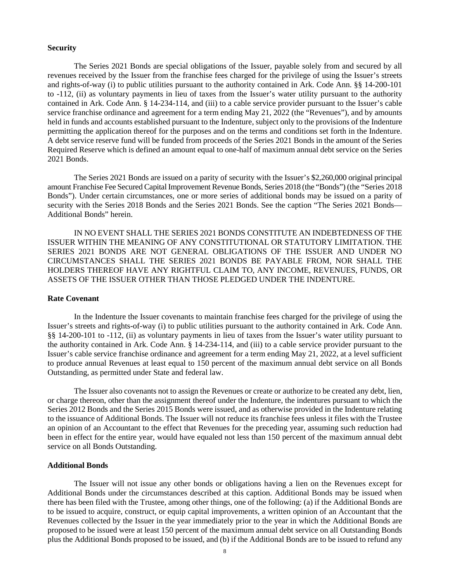#### **Security**

The Series 2021 Bonds are special obligations of the Issuer, payable solely from and secured by all revenues received by the Issuer from the franchise fees charged for the privilege of using the Issuer's streets and rights-of-way (i) to public utilities pursuant to the authority contained in Ark. Code Ann. §§ 14-200-101 to -112, (ii) as voluntary payments in lieu of taxes from the Issuer's water utility pursuant to the authority contained in Ark. Code Ann. § 14-234-114, and (iii) to a cable service provider pursuant to the Issuer's cable service franchise ordinance and agreement for a term ending May 21, 2022 (the "Revenues"), and by amounts held in funds and accounts established pursuant to the Indenture, subject only to the provisions of the Indenture permitting the application thereof for the purposes and on the terms and conditions set forth in the Indenture. A debt service reserve fund will be funded from proceeds of the Series 2021 Bonds in the amount of the Series Required Reserve which is defined an amount equal to one-half of maximum annual debt service on the Series 2021 Bonds.

The Series 2021 Bonds are issued on a parity of security with the Issuer's \$2,260,000 original principal amount Franchise Fee Secured Capital Improvement Revenue Bonds, Series 2018 (the "Bonds") (the "Series 2018 Bonds"). Under certain circumstances, one or more series of additional bonds may be issued on a parity of security with the Series 2018 Bonds and the Series 2021 Bonds. See the caption "The Series 2021 Bonds— Additional Bonds" herein.

IN NO EVENT SHALL THE SERIES 2021 BONDS CONSTITUTE AN INDEBTEDNESS OF THE ISSUER WITHIN THE MEANING OF ANY CONSTITUTIONAL OR STATUTORY LIMITATION. THE SERIES 2021 BONDS ARE NOT GENERAL OBLIGATIONS OF THE ISSUER AND UNDER NO CIRCUMSTANCES SHALL THE SERIES 2021 BONDS BE PAYABLE FROM, NOR SHALL THE HOLDERS THEREOF HAVE ANY RIGHTFUL CLAIM TO, ANY INCOME, REVENUES, FUNDS, OR ASSETS OF THE ISSUER OTHER THAN THOSE PLEDGED UNDER THE INDENTURE.

#### **Rate Covenant**

In the Indenture the Issuer covenants to maintain franchise fees charged for the privilege of using the Issuer's streets and rights-of-way (i) to public utilities pursuant to the authority contained in Ark. Code Ann. §§ 14-200-101 to -112, (ii) as voluntary payments in lieu of taxes from the Issuer's water utility pursuant to the authority contained in Ark. Code Ann. § 14-234-114, and (iii) to a cable service provider pursuant to the Issuer's cable service franchise ordinance and agreement for a term ending May 21, 2022, at a level sufficient to produce annual Revenues at least equal to 150 percent of the maximum annual debt service on all Bonds Outstanding, as permitted under State and federal law.

The Issuer also covenants not to assign the Revenues or create or authorize to be created any debt, lien, or charge thereon, other than the assignment thereof under the Indenture, the indentures pursuant to which the Series 2012 Bonds and the Series 2015 Bonds were issued, and as otherwise provided in the Indenture relating to the issuance of Additional Bonds. The Issuer will not reduce its franchise fees unless it files with the Trustee an opinion of an Accountant to the effect that Revenues for the preceding year, assuming such reduction had been in effect for the entire year, would have equaled not less than 150 percent of the maximum annual debt service on all Bonds Outstanding.

#### **Additional Bonds**

The Issuer will not issue any other bonds or obligations having a lien on the Revenues except for Additional Bonds under the circumstances described at this caption. Additional Bonds may be issued when there has been filed with the Trustee, among other things, one of the following: (a) if the Additional Bonds are to be issued to acquire, construct, or equip capital improvements, a written opinion of an Accountant that the Revenues collected by the Issuer in the year immediately prior to the year in which the Additional Bonds are proposed to be issued were at least 150 percent of the maximum annual debt service on all Outstanding Bonds plus the Additional Bonds proposed to be issued, and (b) if the Additional Bonds are to be issued to refund any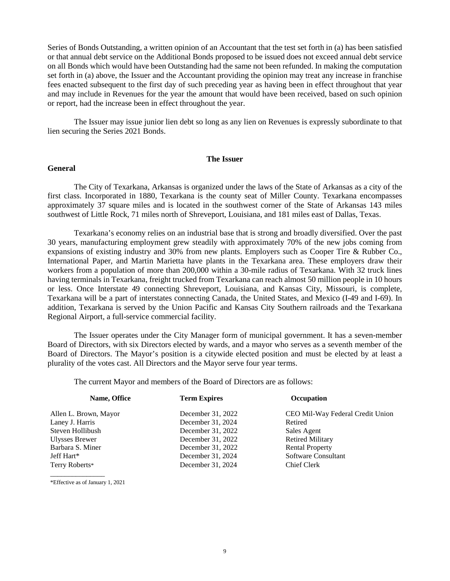Series of Bonds Outstanding, a written opinion of an Accountant that the test set forth in (a) has been satisfied or that annual debt service on the Additional Bonds proposed to be issued does not exceed annual debt service on all Bonds which would have been Outstanding had the same not been refunded. In making the computation set forth in (a) above, the Issuer and the Accountant providing the opinion may treat any increase in franchise fees enacted subsequent to the first day of such preceding year as having been in effect throughout that year and may include in Revenues for the year the amount that would have been received, based on such opinion or report, had the increase been in effect throughout the year.

The Issuer may issue junior lien debt so long as any lien on Revenues is expressly subordinate to that lien securing the Series 2021 Bonds.

#### **The Issuer**

#### **General**

The City of Texarkana, Arkansas is organized under the laws of the State of Arkansas as a city of the first class. Incorporated in 1880, Texarkana is the county seat of Miller County. Texarkana encompasses approximately 37 square miles and is located in the southwest corner of the State of Arkansas 143 miles southwest of Little Rock, 71 miles north of Shreveport, Louisiana, and 181 miles east of Dallas, Texas.

Texarkana's economy relies on an industrial base that is strong and broadly diversified. Over the past 30 years, manufacturing employment grew steadily with approximately 70% of the new jobs coming from expansions of existing industry and 30% from new plants. Employers such as Cooper Tire & Rubber Co., International Paper, and Martin Marietta have plants in the Texarkana area. These employers draw their workers from a population of more than 200,000 within a 30-mile radius of Texarkana. With 32 truck lines having terminals in Texarkana, freight trucked from Texarkana can reach almost 50 million people in 10 hours or less. Once Interstate 49 connecting Shreveport, Louisiana, and Kansas City, Missouri, is complete, Texarkana will be a part of interstates connecting Canada, the United States, and Mexico (I-49 and I-69). In addition, Texarkana is served by the Union Pacific and Kansas City Southern railroads and the Texarkana Regional Airport, a full-service commercial facility.

The Issuer operates under the City Manager form of municipal government. It has a seven-member Board of Directors, with six Directors elected by wards, and a mayor who serves as a seventh member of the Board of Directors. The Mayor's position is a citywide elected position and must be elected by at least a plurality of the votes cast. All Directors and the Mayor serve four year terms.

The current Mayor and members of the Board of Directors are as follows:

| Name, Office          | <b>Term Expires</b> | Occupation                       |
|-----------------------|---------------------|----------------------------------|
| Allen L. Brown, Mayor | December 31, 2022   | CEO Mil-Way Federal Credit Union |
| Laney J. Harris       | December 31, 2024   | Retired                          |
| Steven Hollibush      | December 31, 2022   | Sales Agent                      |
| Ulysses Brewer        | December 31, 2022   | <b>Retired Military</b>          |
| Barbara S. Miner      | December 31, 2022   | <b>Rental Property</b>           |
| Jeff Hart*            | December 31, 2024   | Software Consultant              |
| Terry Roberts*        | December 31, 2024   | Chief Clerk                      |
|                       |                     |                                  |

\*Effective as of January 1, 2021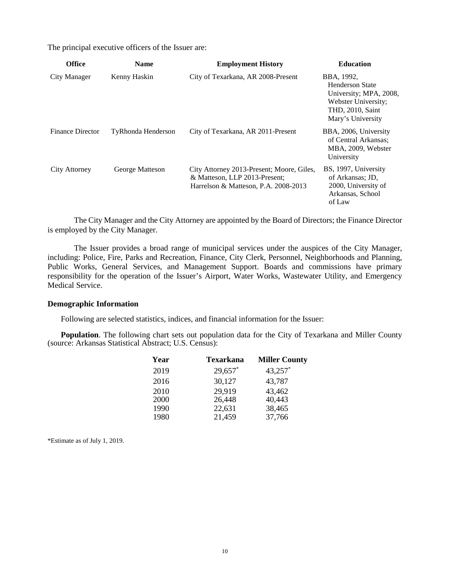The principal executive officers of the Issuer are:

| <b>Office</b>           | <b>Name</b>               | <b>Employment History</b>                                                                                          | <b>Education</b>                                                                                                        |
|-------------------------|---------------------------|--------------------------------------------------------------------------------------------------------------------|-------------------------------------------------------------------------------------------------------------------------|
| City Manager            | Kenny Haskin              | City of Texarkana, AR 2008-Present                                                                                 | BBA, 1992,<br>Henderson State<br>University; MPA, 2008,<br>Webster University;<br>THD, 2010, Saint<br>Mary's University |
| <b>Finance Director</b> | <b>TyRhonda Henderson</b> | City of Texarkana, AR 2011-Present                                                                                 | BBA, 2006, University<br>of Central Arkansas;<br>MBA, 2009, Webster<br>University                                       |
| City Attorney           | George Matteson           | City Attorney 2013-Present; Moore, Giles,<br>& Matteson, LLP 2013-Present;<br>Harrelson & Matteson, P.A. 2008-2013 | BS, 1997, University<br>of Arkansas; JD,<br>2000, University of<br>Arkansas, School<br>of Law                           |

The City Manager and the City Attorney are appointed by the Board of Directors; the Finance Director is employed by the City Manager.

The Issuer provides a broad range of municipal services under the auspices of the City Manager, including: Police, Fire, Parks and Recreation, Finance, City Clerk, Personnel, Neighborhoods and Planning, Public Works, General Services, and Management Support. Boards and commissions have primary responsibility for the operation of the Issuer's Airport, Water Works, Wastewater Utility, and Emergency Medical Service.

#### **Demographic Information**

Following are selected statistics, indices, and financial information for the Issuer:

**Population**. The following chart sets out population data for the City of Texarkana and Miller County (source: Arkansas Statistical Abstract; U.S. Census):

| Year | Texarkana | <b>Miller County</b> |
|------|-----------|----------------------|
| 2019 | 29,657*   | 43,257*              |
| 2016 | 30,127    | 43,787               |
| 2010 | 29,919    | 43,462               |
| 2000 | 26,448    | 40,443               |
| 1990 | 22,631    | 38,465               |
| 1980 | 21,459    | 37,766               |

\*Estimate as of July 1, 2019.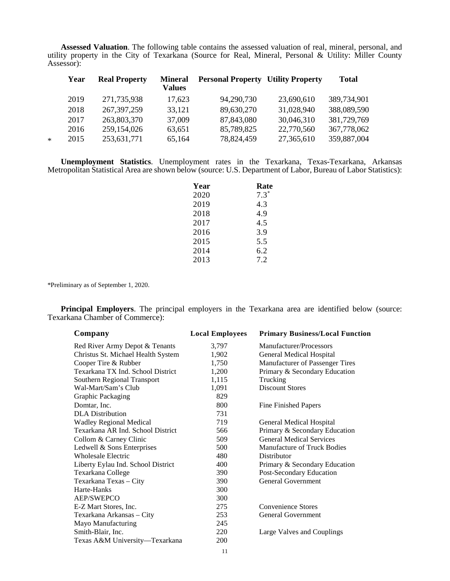**Assessed Valuation**. The following table contains the assessed valuation of real, mineral, personal, and utility property in the City of Texarkana (Source for Real, Mineral, Personal & Utility: Miller County Assessor):

|   | Year | <b>Real Property</b> | <b>Mineral</b><br>Values | <b>Personal Property Utility Property</b> |            | <b>Total</b> |
|---|------|----------------------|--------------------------|-------------------------------------------|------------|--------------|
|   | 2019 | 271,735,938          | 17,623                   | 94,290,730                                | 23,690,610 | 389,734,901  |
|   | 2018 | 267, 397, 259        | 33,121                   | 89,630,270                                | 31,028,940 | 388,089,590  |
|   | 2017 | 263,803,370          | 37,009                   | 87,843,080                                | 30,046,310 | 381,729,769  |
|   | 2016 | 259,154,026          | 63,651                   | 85,789,825                                | 22,770,560 | 367,778,062  |
| * | 2015 | 253,631,771          | 65,164                   | 78,824,459                                | 27,365,610 | 359,887,004  |
|   |      |                      |                          |                                           |            |              |

**Unemployment Statistics**. Unemployment rates in the Texarkana, Texas-Texarkana, Arkansas Metropolitan Statistical Area are shown below (source: U.S. Department of Labor, Bureau of Labor Statistics):

| Year | Rate   |
|------|--------|
| 2020 | $7.3*$ |
| 2019 | 4.3    |
| 2018 | 4.9    |
| 2017 | 4.5    |
| 2016 | 3.9    |
| 2015 | 5.5    |
| 2014 | 6.2    |
| 2013 | 7.2    |

\*Preliminary as of September 1, 2020.

**Principal Employers**. The principal employers in the Texarkana area are identified below (source: Texarkana Chamber of Commerce):

| Company                            | <b>Local Employees</b> | <b>Primary Business/Local Function</b> |
|------------------------------------|------------------------|----------------------------------------|
| Red River Army Depot & Tenants     | 3,797                  | Manufacturer/Processors                |
| Christus St. Michael Health System | 1,902                  | <b>General Medical Hospital</b>        |
| Cooper Tire & Rubber               | 1,750                  | Manufacturer of Passenger Tires        |
| Texarkana TX Ind. School District  | 1,200                  | Primary & Secondary Education          |
| Southern Regional Transport        | 1,115                  | Trucking                               |
| Wal-Mart/Sam's Club                | 1,091                  | <b>Discount Stores</b>                 |
| <b>Graphic Packaging</b>           | 829                    |                                        |
| Domtar, Inc.                       | 800                    | Fine Finished Papers                   |
| <b>DLA</b> Distribution            | 731                    |                                        |
| <b>Wadley Regional Medical</b>     | 719                    | General Medical Hospital               |
| Texarkana AR Ind. School District  | 566                    | Primary & Secondary Education          |
| Collom & Carney Clinic             | 509                    | <b>General Medical Services</b>        |
| Ledwell & Sons Enterprises         | 500                    | <b>Manufacture of Truck Bodies</b>     |
| <b>Wholesale Electric</b>          | 480                    | Distributor                            |
| Liberty Eylau Ind. School District | 400                    | Primary & Secondary Education          |
| Texarkana College                  | 390                    | Post-Secondary Education               |
| Texarkana Texas - City             | 390                    | <b>General Government</b>              |
| Harte-Hanks                        | 300                    |                                        |
| AEP/SWEPCO                         | 300                    |                                        |
| E-Z Mart Stores, Inc.              | 275                    | Convenience Stores                     |
| Texarkana Arkansas - City          | 253                    | General Government                     |
| Mayo Manufacturing                 | 245                    |                                        |
| Smith-Blair, Inc.                  | 220                    | Large Valves and Couplings             |
| Texas A&M University—Texarkana     | <b>200</b>             |                                        |
|                                    |                        |                                        |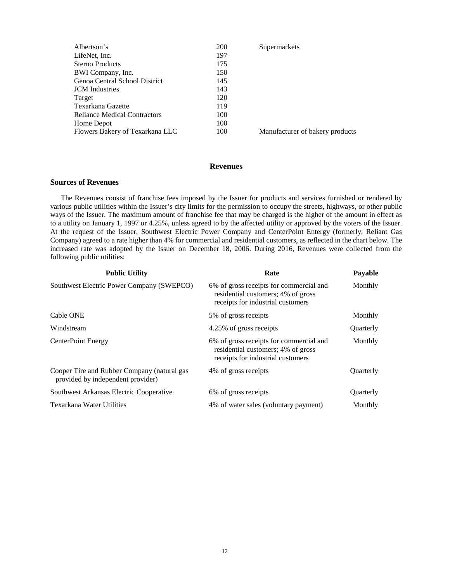| Albertson's                         | 200 | Supermarkets                    |
|-------------------------------------|-----|---------------------------------|
| LifeNet, Inc.                       | 197 |                                 |
| <b>Sterno Products</b>              | 175 |                                 |
| BWI Company, Inc.                   | 150 |                                 |
| Genoa Central School District       | 145 |                                 |
| <b>JCM</b> Industries               | 143 |                                 |
| Target                              | 120 |                                 |
| Texarkana Gazette                   | 119 |                                 |
| <b>Reliance Medical Contractors</b> | 100 |                                 |
| Home Depot                          | 100 |                                 |
| Flowers Bakery of Texarkana LLC     | 100 | Manufacturer of bakery products |
|                                     |     |                                 |

#### **Revenues**

#### **Sources of Revenues**

The Revenues consist of franchise fees imposed by the Issuer for products and services furnished or rendered by various public utilities within the Issuer's city limits for the permission to occupy the streets, highways, or other public ways of the Issuer. The maximum amount of franchise fee that may be charged is the higher of the amount in effect as to a utility on January 1, 1997 or 4.25%, unless agreed to by the affected utility or approved by the voters of the Issuer. At the request of the Issuer, Southwest Electric Power Company and CenterPoint Entergy (formerly, Reliant Gas Company) agreed to a rate higher than 4% for commercial and residential customers, as reflected in the chart below. The increased rate was adopted by the Issuer on December 18, 2006. During 2016, Revenues were collected from the following public utilities:

| <b>Public Utility</b>                                                            | Rate                                                                                                               | Payable          |
|----------------------------------------------------------------------------------|--------------------------------------------------------------------------------------------------------------------|------------------|
| Southwest Electric Power Company (SWEPCO)                                        | 6% of gross receipts for commercial and<br>residential customers; 4% of gross<br>receipts for industrial customers | Monthly          |
| Cable ONE                                                                        | 5% of gross receipts                                                                                               | Monthly          |
| Windstream                                                                       | 4.25% of gross receipts                                                                                            | <b>Ouarterly</b> |
| CenterPoint Energy                                                               | 6% of gross receipts for commercial and<br>residential customers; 4% of gross<br>receipts for industrial customers | Monthly          |
| Cooper Tire and Rubber Company (natural gas<br>provided by independent provider) | 4% of gross receipts                                                                                               | Quarterly        |
| Southwest Arkansas Electric Cooperative                                          | 6% of gross receipts                                                                                               | Quarterly        |
| Texarkana Water Utilities                                                        | 4% of water sales (voluntary payment)                                                                              | Monthly          |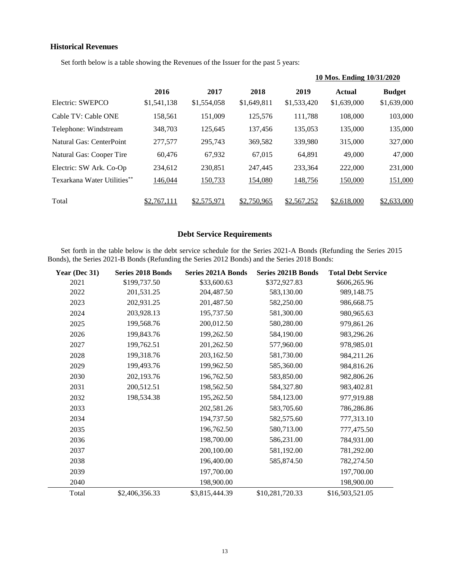#### **Historical Revenues**

 $\overline{\phantom{a}}$ 

Set forth below is a table showing the Revenues of the Issuer for the past 5 years:

|                             |             |             |             |             | 10 Mos. Ending 10/31/2020 |               |
|-----------------------------|-------------|-------------|-------------|-------------|---------------------------|---------------|
|                             | 2016        | 2017        | 2018        | 2019        | <b>Actual</b>             | <b>Budget</b> |
| Electric: SWEPCO            | \$1,541,138 | \$1,554,058 | \$1,649,811 | \$1,533,420 | \$1,639,000               | \$1,639,000   |
| Cable TV: Cable ONE         | 158,561     | 151,009     | 125,576     | 111,788     | 108,000                   | 103,000       |
| Telephone: Windstream       | 348,703     | 125.645     | 137.456     | 135,053     | 135,000                   | 135,000       |
| Natural Gas: CenterPoint    | 277,577     | 295,743     | 369,582     | 339,980     | 315,000                   | 327,000       |
| Natural Gas: Cooper Tire    | 60,476      | 67,932      | 67,015      | 64,891      | 49,000                    | 47,000        |
| Electric: SW Ark. Co-Op     | 234,612     | 230,851     | 247.445     | 233,364     | 222,000                   | 231,000       |
| Texarkana Water Utilities** | 146,044     | 150,733     | 154,080     | 148,756     | 150,000                   | 151,000       |
| Total                       | 1.767,111   | \$2,575,971 | \$2,750,965 | \$2,567,252 | \$2,618,000               | \$2,633,000   |

#### **Debt Service Requirements**

Set forth in the table below is the debt service schedule for the Series 2021-A Bonds (Refunding the Series 2015 Bonds), the Series 2021-B Bonds (Refunding the Series 2012 Bonds) and the Series 2018 Bonds:

| Year (Dec 31) | <b>Series 2018 Bonds</b> | <b>Series 2021A Bonds</b> | <b>Series 2021B Bonds</b> | <b>Total Debt Service</b> |
|---------------|--------------------------|---------------------------|---------------------------|---------------------------|
| 2021          | \$199,737.50             | \$33,600.63               | \$372,927.83              | \$606,265.96              |
| 2022          | 201,531.25               | 204,487.50                | 583,130.00                | 989,148.75                |
| 2023          | 202,931.25               | 201,487.50                | 582,250.00                | 986,668.75                |
| 2024          | 203,928.13               | 195,737.50                | 581,300.00                | 980,965.63                |
| 2025          | 199,568.76               | 200,012.50                | 580,280.00                | 979,861.26                |
| 2026          | 199,843.76               | 199,262.50                | 584,190.00                | 983,296.26                |
| 2027          | 199,762.51               | 201,262.50                | 577,960.00                | 978,985.01                |
| 2028          | 199,318.76               | 203,162.50                | 581,730.00                | 984,211.26                |
| 2029          | 199,493.76               | 199,962.50                | 585,360.00                | 984,816.26                |
| 2030          | 202,193.76               | 196,762.50                | 583,850.00                | 982,806.26                |
| 2031          | 200,512.51               | 198,562.50                | 584,327.80                | 983,402.81                |
| 2032          | 198,534.38               | 195,262.50                | 584,123.00                | 977,919.88                |
| 2033          |                          | 202,581.26                | 583,705.60                | 786,286.86                |
| 2034          |                          | 194,737.50                | 582,575.60                | 777,313.10                |
| 2035          |                          | 196,762.50                | 580,713.00                | 777,475.50                |
| 2036          |                          | 198,700.00                | 586,231.00                | 784,931.00                |
| 2037          |                          | 200,100.00                | 581,192.00                | 781,292.00                |
| 2038          |                          | 196,400.00                | 585,874.50                | 782,274.50                |
| 2039          |                          | 197,700.00                |                           | 197,700.00                |
| 2040          |                          | 198,900.00                |                           | 198,900.00                |
| Total         | \$2,406,356.33           | \$3,815,444.39            | \$10,281,720.33           | \$16,503,521.05           |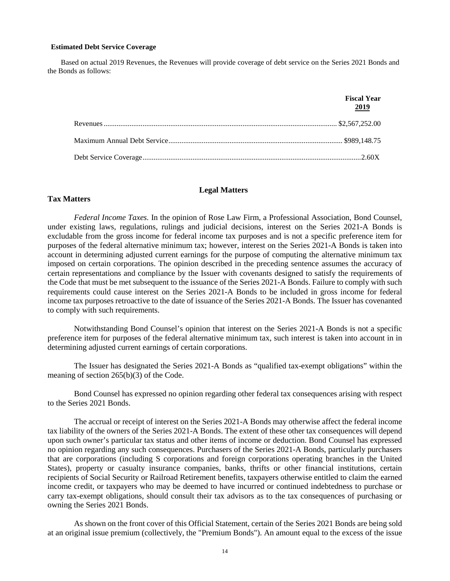#### **Estimated Debt Service Coverage**

Based on actual 2019 Revenues, the Revenues will provide coverage of debt service on the Series 2021 Bonds and the Bonds as follows:

| <b>Fiscal Year</b><br>2019 |
|----------------------------|
|                            |
|                            |
|                            |

#### **Legal Matters**

#### **Tax Matters**

*Federal Income Taxes.* In the opinion of Rose Law Firm, a Professional Association, Bond Counsel, under existing laws, regulations, rulings and judicial decisions, interest on the Series 2021-A Bonds is excludable from the gross income for federal income tax purposes and is not a specific preference item for purposes of the federal alternative minimum tax; however, interest on the Series 2021-A Bonds is taken into account in determining adjusted current earnings for the purpose of computing the alternative minimum tax imposed on certain corporations. The opinion described in the preceding sentence assumes the accuracy of certain representations and compliance by the Issuer with covenants designed to satisfy the requirements of the Code that must be met subsequent to the issuance of the Series 2021-A Bonds. Failure to comply with such requirements could cause interest on the Series 2021-A Bonds to be included in gross income for federal income tax purposes retroactive to the date of issuance of the Series 2021-A Bonds. The Issuer has covenanted to comply with such requirements.

Notwithstanding Bond Counsel's opinion that interest on the Series 2021-A Bonds is not a specific preference item for purposes of the federal alternative minimum tax, such interest is taken into account in in determining adjusted current earnings of certain corporations.

The Issuer has designated the Series 2021-A Bonds as "qualified tax-exempt obligations" within the meaning of section 265(b)(3) of the Code.

Bond Counsel has expressed no opinion regarding other federal tax consequences arising with respect to the Series 2021 Bonds.

The accrual or receipt of interest on the Series 2021-A Bonds may otherwise affect the federal income tax liability of the owners of the Series 2021-A Bonds. The extent of these other tax consequences will depend upon such owner's particular tax status and other items of income or deduction. Bond Counsel has expressed no opinion regarding any such consequences. Purchasers of the Series 2021-A Bonds, particularly purchasers that are corporations (including S corporations and foreign corporations operating branches in the United States), property or casualty insurance companies, banks, thrifts or other financial institutions, certain recipients of Social Security or Railroad Retirement benefits, taxpayers otherwise entitled to claim the earned income credit, or taxpayers who may be deemed to have incurred or continued indebtedness to purchase or carry tax-exempt obligations, should consult their tax advisors as to the tax consequences of purchasing or owning the Series 2021 Bonds.

As shown on the front cover of this Official Statement, certain of the Series 2021 Bonds are being sold at an original issue premium (collectively, the "Premium Bonds"). An amount equal to the excess of the issue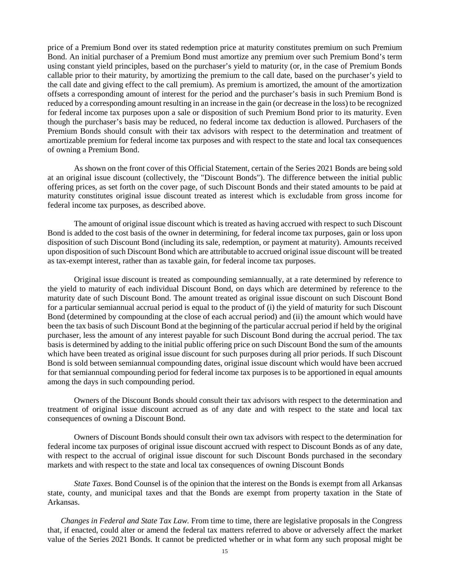price of a Premium Bond over its stated redemption price at maturity constitutes premium on such Premium Bond. An initial purchaser of a Premium Bond must amortize any premium over such Premium Bond's term using constant yield principles, based on the purchaser's yield to maturity (or, in the case of Premium Bonds callable prior to their maturity, by amortizing the premium to the call date, based on the purchaser's yield to the call date and giving effect to the call premium). As premium is amortized, the amount of the amortization offsets a corresponding amount of interest for the period and the purchaser's basis in such Premium Bond is reduced by a corresponding amount resulting in an increase in the gain (or decrease in the loss) to be recognized for federal income tax purposes upon a sale or disposition of such Premium Bond prior to its maturity. Even though the purchaser's basis may be reduced, no federal income tax deduction is allowed. Purchasers of the Premium Bonds should consult with their tax advisors with respect to the determination and treatment of amortizable premium for federal income tax purposes and with respect to the state and local tax consequences of owning a Premium Bond.

As shown on the front cover of this Official Statement, certain of the Series 2021 Bonds are being sold at an original issue discount (collectively, the "Discount Bonds"). The difference between the initial public offering prices, as set forth on the cover page, of such Discount Bonds and their stated amounts to be paid at maturity constitutes original issue discount treated as interest which is excludable from gross income for federal income tax purposes, as described above.

The amount of original issue discount which is treated as having accrued with respect to such Discount Bond is added to the cost basis of the owner in determining, for federal income tax purposes, gain or loss upon disposition of such Discount Bond (including its sale, redemption, or payment at maturity). Amounts received upon disposition of such Discount Bond which are attributable to accrued original issue discount will be treated as tax-exempt interest, rather than as taxable gain, for federal income tax purposes.

Original issue discount is treated as compounding semiannually, at a rate determined by reference to the yield to maturity of each individual Discount Bond, on days which are determined by reference to the maturity date of such Discount Bond. The amount treated as original issue discount on such Discount Bond for a particular semiannual accrual period is equal to the product of (i) the yield of maturity for such Discount Bond (determined by compounding at the close of each accrual period) and (ii) the amount which would have been the tax basis of such Discount Bond at the beginning of the particular accrual period if held by the original purchaser, less the amount of any interest payable for such Discount Bond during the accrual period. The tax basis is determined by adding to the initial public offering price on such Discount Bond the sum of the amounts which have been treated as original issue discount for such purposes during all prior periods. If such Discount Bond is sold between semiannual compounding dates, original issue discount which would have been accrued for that semiannual compounding period for federal income tax purposes is to be apportioned in equal amounts among the days in such compounding period.

Owners of the Discount Bonds should consult their tax advisors with respect to the determination and treatment of original issue discount accrued as of any date and with respect to the state and local tax consequences of owning a Discount Bond.

Owners of Discount Bonds should consult their own tax advisors with respect to the determination for federal income tax purposes of original issue discount accrued with respect to Discount Bonds as of any date, with respect to the accrual of original issue discount for such Discount Bonds purchased in the secondary markets and with respect to the state and local tax consequences of owning Discount Bonds

*State Taxes.* Bond Counsel is of the opinion that the interest on the Bonds is exempt from all Arkansas state, county, and municipal taxes and that the Bonds are exempt from property taxation in the State of Arkansas.

*Changes in Federal and State Tax Law.* From time to time, there are legislative proposals in the Congress that, if enacted, could alter or amend the federal tax matters referred to above or adversely affect the market value of the Series 2021 Bonds. It cannot be predicted whether or in what form any such proposal might be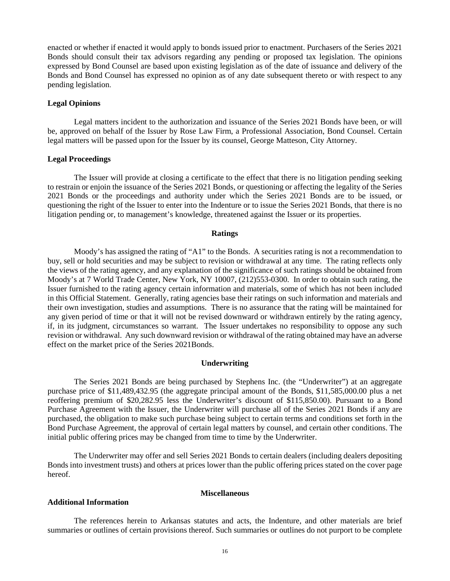enacted or whether if enacted it would apply to bonds issued prior to enactment. Purchasers of the Series 2021 Bonds should consult their tax advisors regarding any pending or proposed tax legislation. The opinions expressed by Bond Counsel are based upon existing legislation as of the date of issuance and delivery of the Bonds and Bond Counsel has expressed no opinion as of any date subsequent thereto or with respect to any pending legislation.

#### **Legal Opinions**

Legal matters incident to the authorization and issuance of the Series 2021 Bonds have been, or will be, approved on behalf of the Issuer by Rose Law Firm, a Professional Association, Bond Counsel. Certain legal matters will be passed upon for the Issuer by its counsel, George Matteson, City Attorney.

#### **Legal Proceedings**

The Issuer will provide at closing a certificate to the effect that there is no litigation pending seeking to restrain or enjoin the issuance of the Series 2021 Bonds, or questioning or affecting the legality of the Series 2021 Bonds or the proceedings and authority under which the Series 2021 Bonds are to be issued, or questioning the right of the Issuer to enter into the Indenture or to issue the Series 2021 Bonds, that there is no litigation pending or, to management's knowledge, threatened against the Issuer or its properties.

#### **Ratings**

Moody's has assigned the rating of "A1" to the Bonds. A securities rating is not a recommendation to buy, sell or hold securities and may be subject to revision or withdrawal at any time. The rating reflects only the views of the rating agency, and any explanation of the significance of such ratings should be obtained from Moody's at 7 World Trade Center, New York, NY 10007, (212)553-0300. In order to obtain such rating, the Issuer furnished to the rating agency certain information and materials, some of which has not been included in this Official Statement. Generally, rating agencies base their ratings on such information and materials and their own investigation, studies and assumptions. There is no assurance that the rating will be maintained for any given period of time or that it will not be revised downward or withdrawn entirely by the rating agency, if, in its judgment, circumstances so warrant. The Issuer undertakes no responsibility to oppose any such revision or withdrawal. Any such downward revision or withdrawal of the rating obtained may have an adverse effect on the market price of the Series 2021Bonds.

#### **Underwriting**

The Series 2021 Bonds are being purchased by Stephens Inc. (the "Underwriter") at an aggregate purchase price of \$11,489,432.95 (the aggregate principal amount of the Bonds, \$11,585,000.00 plus a net reoffering premium of \$20,282.95 less the Underwriter's discount of \$115,850.00). Pursuant to a Bond Purchase Agreement with the Issuer, the Underwriter will purchase all of the Series 2021 Bonds if any are purchased, the obligation to make such purchase being subject to certain terms and conditions set forth in the Bond Purchase Agreement, the approval of certain legal matters by counsel, and certain other conditions. The initial public offering prices may be changed from time to time by the Underwriter.

The Underwriter may offer and sell Series 2021 Bonds to certain dealers (including dealers depositing Bonds into investment trusts) and others at prices lower than the public offering prices stated on the cover page hereof.

#### **Miscellaneous**

#### **Additional Information**

The references herein to Arkansas statutes and acts, the Indenture, and other materials are brief summaries or outlines of certain provisions thereof. Such summaries or outlines do not purport to be complete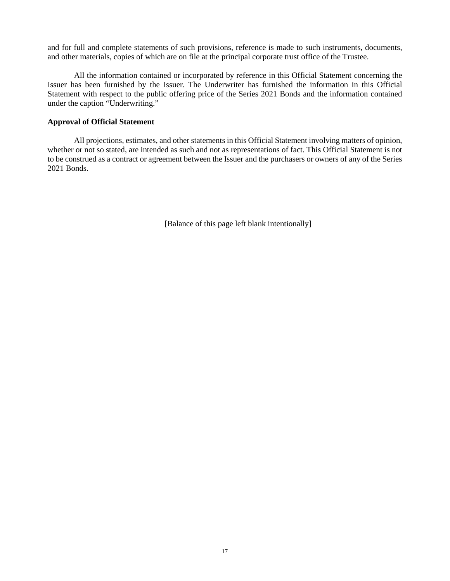and for full and complete statements of such provisions, reference is made to such instruments, documents, and other materials, copies of which are on file at the principal corporate trust office of the Trustee.

All the information contained or incorporated by reference in this Official Statement concerning the Issuer has been furnished by the Issuer. The Underwriter has furnished the information in this Official Statement with respect to the public offering price of the Series 2021 Bonds and the information contained under the caption "Underwriting."

#### **Approval of Official Statement**

All projections, estimates, and other statements in this Official Statement involving matters of opinion, whether or not so stated, are intended as such and not as representations of fact. This Official Statement is not to be construed as a contract or agreement between the Issuer and the purchasers or owners of any of the Series 2021 Bonds.

[Balance of this page left blank intentionally]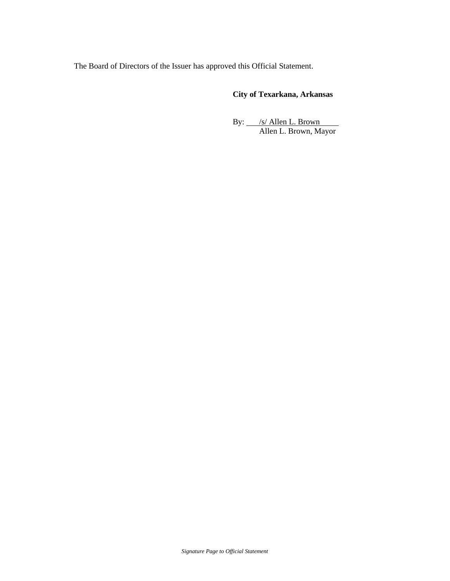The Board of Directors of the Issuer has approved this Official Statement.

# **City of Texarkana, Arkansas**

By:  $\frac{|s|}{\text{Allen L. Brown}}$ Allen L. Brown, Mayor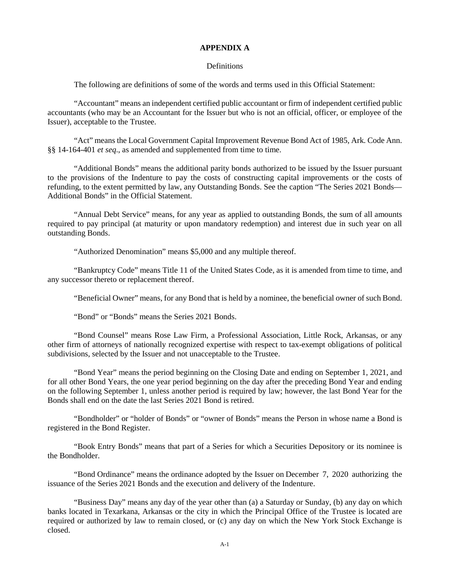#### **APPENDIX A**

#### **Definitions**

The following are definitions of some of the words and terms used in this Official Statement:

"Accountant" means an independent certified public accountant or firm of independent certified public accountants (who may be an Accountant for the Issuer but who is not an official, officer, or employee of the Issuer), acceptable to the Trustee.

"Act" means the Local Government Capital Improvement Revenue Bond Act of 1985, Ark. Code Ann. §§ 14-164-401 *et seq*., as amended and supplemented from time to time.

"Additional Bonds" means the additional parity bonds authorized to be issued by the Issuer pursuant to the provisions of the Indenture to pay the costs of constructing capital improvements or the costs of refunding, to the extent permitted by law, any Outstanding Bonds. See the caption "The Series 2021 Bonds— Additional Bonds" in the Official Statement.

"Annual Debt Service" means, for any year as applied to outstanding Bonds, the sum of all amounts required to pay principal (at maturity or upon mandatory redemption) and interest due in such year on all outstanding Bonds.

"Authorized Denomination" means \$5,000 and any multiple thereof.

"Bankruptcy Code" means Title 11 of the United States Code, as it is amended from time to time, and any successor thereto or replacement thereof.

"Beneficial Owner" means, for any Bond that is held by a nominee, the beneficial owner of such Bond.

"Bond" or "Bonds" means the Series 2021 Bonds.

"Bond Counsel" means Rose Law Firm, a Professional Association, Little Rock, Arkansas, or any other firm of attorneys of nationally recognized expertise with respect to tax-exempt obligations of political subdivisions, selected by the Issuer and not unacceptable to the Trustee.

"Bond Year" means the period beginning on the Closing Date and ending on September 1, 2021, and for all other Bond Years, the one year period beginning on the day after the preceding Bond Year and ending on the following September 1, unless another period is required by law; however, the last Bond Year for the Bonds shall end on the date the last Series 2021 Bond is retired.

"Bondholder" or "holder of Bonds" or "owner of Bonds" means the Person in whose name a Bond is registered in the Bond Register.

"Book Entry Bonds" means that part of a Series for which a Securities Depository or its nominee is the Bondholder.

"Bond Ordinance" means the ordinance adopted by the Issuer on December 7, 2020 authorizing the issuance of the Series 2021 Bonds and the execution and delivery of the Indenture.

"Business Day" means any day of the year other than (a) a Saturday or Sunday, (b) any day on which banks located in Texarkana, Arkansas or the city in which the Principal Office of the Trustee is located are required or authorized by law to remain closed, or (c) any day on which the New York Stock Exchange is closed.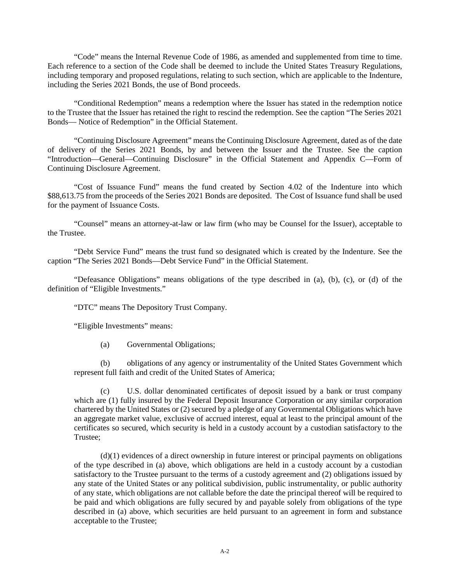"Code" means the Internal Revenue Code of 1986, as amended and supplemented from time to time. Each reference to a section of the Code shall be deemed to include the United States Treasury Regulations, including temporary and proposed regulations, relating to such section, which are applicable to the Indenture, including the Series 2021 Bonds, the use of Bond proceeds.

"Conditional Redemption" means a redemption where the Issuer has stated in the redemption notice to the Trustee that the Issuer has retained the right to rescind the redemption. See the caption "The Series 2021 Bonds— Notice of Redemption" in the Official Statement.

"Continuing Disclosure Agreement" means the Continuing Disclosure Agreement, dated as of the date of delivery of the Series 2021 Bonds, by and between the Issuer and the Trustee. See the caption "Introduction—General—Continuing Disclosure" in the Official Statement and Appendix C—Form of Continuing Disclosure Agreement.

"Cost of Issuance Fund" means the fund created by Section 4.02 of the Indenture into which \$88,613.75 from the proceeds of the Series 2021 Bonds are deposited. The Cost of Issuance fund shall be used for the payment of Issuance Costs.

"Counsel" means an attorney-at-law or law firm (who may be Counsel for the Issuer), acceptable to the Trustee.

"Debt Service Fund" means the trust fund so designated which is created by the Indenture. See the caption "The Series 2021 Bonds—Debt Service Fund" in the Official Statement.

"Defeasance Obligations" means obligations of the type described in (a), (b), (c), or (d) of the definition of "Eligible Investments."

"DTC" means The Depository Trust Company.

"Eligible Investments" means:

(a) Governmental Obligations;

(b) obligations of any agency or instrumentality of the United States Government which represent full faith and credit of the United States of America;

(c) U.S. dollar denominated certificates of deposit issued by a bank or trust company which are (1) fully insured by the Federal Deposit Insurance Corporation or any similar corporation chartered by the United States or (2) secured by a pledge of any Governmental Obligations which have an aggregate market value, exclusive of accrued interest, equal at least to the principal amount of the certificates so secured, which security is held in a custody account by a custodian satisfactory to the Trustee;

 $(d)(1)$  evidences of a direct ownership in future interest or principal payments on obligations of the type described in (a) above, which obligations are held in a custody account by a custodian satisfactory to the Trustee pursuant to the terms of a custody agreement and (2) obligations issued by any state of the United States or any political subdivision, public instrumentality, or public authority of any state, which obligations are not callable before the date the principal thereof will be required to be paid and which obligations are fully secured by and payable solely from obligations of the type described in (a) above, which securities are held pursuant to an agreement in form and substance acceptable to the Trustee;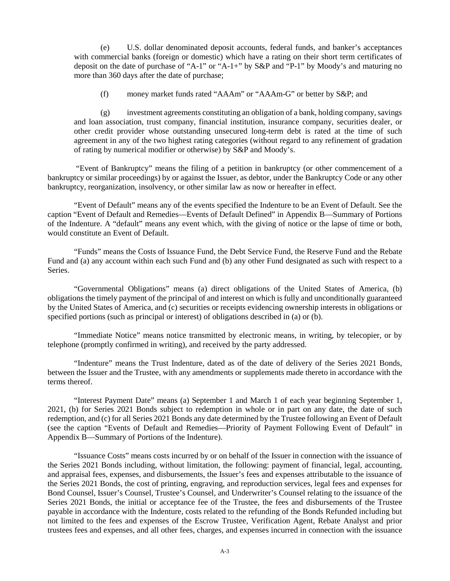(e) U.S. dollar denominated deposit accounts, federal funds, and banker's acceptances with commercial banks (foreign or domestic) which have a rating on their short term certificates of deposit on the date of purchase of "A-1" or "A-1+" by S&P and "P-1" by Moody's and maturing no more than 360 days after the date of purchase;

(f) money market funds rated "AAAm" or "AAAm-G" or better by S&P; and

(g) investment agreements constituting an obligation of a bank, holding company, savings and loan association, trust company, financial institution, insurance company, securities dealer, or other credit provider whose outstanding unsecured long-term debt is rated at the time of such agreement in any of the two highest rating categories (without regard to any refinement of gradation of rating by numerical modifier or otherwise) by S&P and Moody's.

"Event of Bankruptcy" means the filing of a petition in bankruptcy (or other commencement of a bankruptcy or similar proceedings) by or against the Issuer, as debtor, under the Bankruptcy Code or any other bankruptcy, reorganization, insolvency, or other similar law as now or hereafter in effect.

"Event of Default" means any of the events specified the Indenture to be an Event of Default. See the caption "Event of Default and Remedies—Events of Default Defined" in Appendix B—Summary of Portions of the Indenture. A "default" means any event which, with the giving of notice or the lapse of time or both, would constitute an Event of Default.

"Funds" means the Costs of Issuance Fund, the Debt Service Fund, the Reserve Fund and the Rebate Fund and (a) any account within each such Fund and (b) any other Fund designated as such with respect to a Series.

"Governmental Obligations" means (a) direct obligations of the United States of America, (b) obligations the timely payment of the principal of and interest on which is fully and unconditionally guaranteed by the United States of America, and (c) securities or receipts evidencing ownership interests in obligations or specified portions (such as principal or interest) of obligations described in (a) or (b).

"Immediate Notice" means notice transmitted by electronic means, in writing, by telecopier, or by telephone (promptly confirmed in writing), and received by the party addressed.

"Indenture" means the Trust Indenture, dated as of the date of delivery of the Series 2021 Bonds, between the Issuer and the Trustee, with any amendments or supplements made thereto in accordance with the terms thereof.

"Interest Payment Date" means (a) September 1 and March 1 of each year beginning September 1, 2021, (b) for Series 2021 Bonds subject to redemption in whole or in part on any date, the date of such redemption, and (c) for all Series 2021 Bonds any date determined by the Trustee following an Event of Default (see the caption "Events of Default and Remedies—Priority of Payment Following Event of Default" in Appendix B—Summary of Portions of the Indenture).

"Issuance Costs" means costs incurred by or on behalf of the Issuer in connection with the issuance of the Series 2021 Bonds including, without limitation, the following: payment of financial, legal, accounting, and appraisal fees, expenses, and disbursements, the Issuer's fees and expenses attributable to the issuance of the Series 2021 Bonds, the cost of printing, engraving, and reproduction services, legal fees and expenses for Bond Counsel, Issuer's Counsel, Trustee's Counsel, and Underwriter's Counsel relating to the issuance of the Series 2021 Bonds, the initial or acceptance fee of the Trustee, the fees and disbursements of the Trustee payable in accordance with the Indenture, costs related to the refunding of the Bonds Refunded including but not limited to the fees and expenses of the Escrow Trustee, Verification Agent, Rebate Analyst and prior trustees fees and expenses, and all other fees, charges, and expenses incurred in connection with the issuance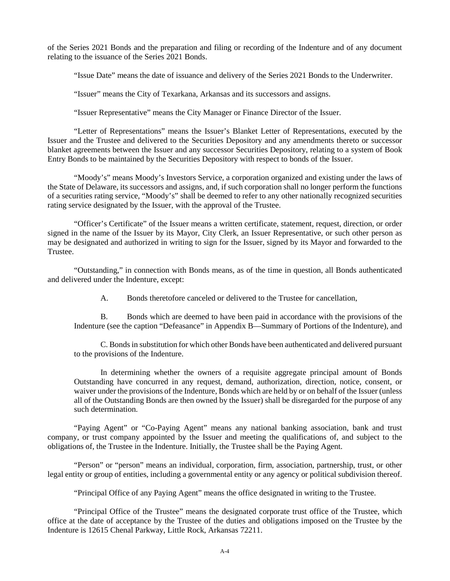of the Series 2021 Bonds and the preparation and filing or recording of the Indenture and of any document relating to the issuance of the Series 2021 Bonds.

"Issue Date" means the date of issuance and delivery of the Series 2021 Bonds to the Underwriter.

"Issuer" means the City of Texarkana, Arkansas and its successors and assigns.

"Issuer Representative" means the City Manager or Finance Director of the Issuer.

"Letter of Representations" means the Issuer's Blanket Letter of Representations, executed by the Issuer and the Trustee and delivered to the Securities Depository and any amendments thereto or successor blanket agreements between the Issuer and any successor Securities Depository, relating to a system of Book Entry Bonds to be maintained by the Securities Depository with respect to bonds of the Issuer.

"Moody's" means Moody's Investors Service, a corporation organized and existing under the laws of the State of Delaware, its successors and assigns, and, if such corporation shall no longer perform the functions of a securities rating service, "Moody's" shall be deemed to refer to any other nationally recognized securities rating service designated by the Issuer, with the approval of the Trustee.

"Officer's Certificate" of the Issuer means a written certificate, statement, request, direction, or order signed in the name of the Issuer by its Mayor, City Clerk, an Issuer Representative, or such other person as may be designated and authorized in writing to sign for the Issuer, signed by its Mayor and forwarded to the Trustee.

"Outstanding," in connection with Bonds means, as of the time in question, all Bonds authenticated and delivered under the Indenture, except:

A. Bonds theretofore canceled or delivered to the Trustee for cancellation,

B. Bonds which are deemed to have been paid in accordance with the provisions of the Indenture (see the caption "Defeasance" in Appendix B—Summary of Portions of the Indenture), and

C. Bonds in substitution for which other Bonds have been authenticated and delivered pursuant to the provisions of the Indenture.

In determining whether the owners of a requisite aggregate principal amount of Bonds Outstanding have concurred in any request, demand, authorization, direction, notice, consent, or waiver under the provisions of the Indenture, Bonds which are held by or on behalf of the Issuer (unless all of the Outstanding Bonds are then owned by the Issuer) shall be disregarded for the purpose of any such determination.

"Paying Agent" or "Co-Paying Agent" means any national banking association, bank and trust company, or trust company appointed by the Issuer and meeting the qualifications of, and subject to the obligations of, the Trustee in the Indenture. Initially, the Trustee shall be the Paying Agent.

"Person" or "person" means an individual, corporation, firm, association, partnership, trust, or other legal entity or group of entities, including a governmental entity or any agency or political subdivision thereof.

"Principal Office of any Paying Agent" means the office designated in writing to the Trustee.

"Principal Office of the Trustee" means the designated corporate trust office of the Trustee, which office at the date of acceptance by the Trustee of the duties and obligations imposed on the Trustee by the Indenture is 12615 Chenal Parkway, Little Rock, Arkansas 72211.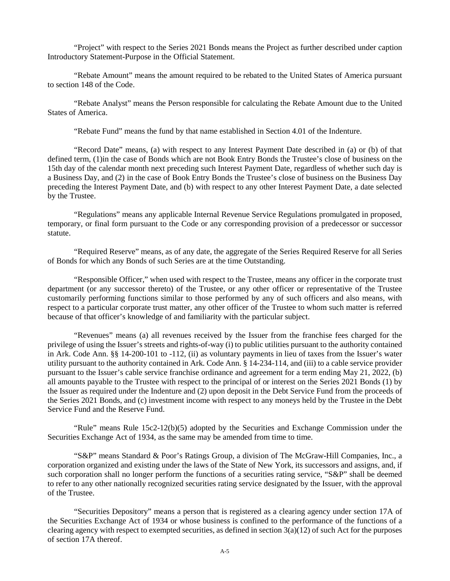"Project" with respect to the Series 2021 Bonds means the Project as further described under caption Introductory Statement-Purpose in the Official Statement.

"Rebate Amount" means the amount required to be rebated to the United States of America pursuant to section 148 of the Code.

"Rebate Analyst" means the Person responsible for calculating the Rebate Amount due to the United States of America.

"Rebate Fund" means the fund by that name established in Section 4.01 of the Indenture.

"Record Date" means, (a) with respect to any Interest Payment Date described in (a) or (b) of that defined term, (1)in the case of Bonds which are not Book Entry Bonds the Trustee's close of business on the 15th day of the calendar month next preceding such Interest Payment Date, regardless of whether such day is a Business Day, and (2) in the case of Book Entry Bonds the Trustee's close of business on the Business Day preceding the Interest Payment Date, and (b) with respect to any other Interest Payment Date, a date selected by the Trustee.

"Regulations" means any applicable Internal Revenue Service Regulations promulgated in proposed, temporary, or final form pursuant to the Code or any corresponding provision of a predecessor or successor statute.

"Required Reserve" means, as of any date, the aggregate of the Series Required Reserve for all Series of Bonds for which any Bonds of such Series are at the time Outstanding.

"Responsible Officer," when used with respect to the Trustee, means any officer in the corporate trust department (or any successor thereto) of the Trustee, or any other officer or representative of the Trustee customarily performing functions similar to those performed by any of such officers and also means, with respect to a particular corporate trust matter, any other officer of the Trustee to whom such matter is referred because of that officer's knowledge of and familiarity with the particular subject.

"Revenues" means (a) all revenues received by the Issuer from the franchise fees charged for the privilege of using the Issuer's streets and rights-of-way (i) to public utilities pursuant to the authority contained in Ark. Code Ann. §§ 14-200-101 to -112, (ii) as voluntary payments in lieu of taxes from the Issuer's water utility pursuant to the authority contained in Ark. Code Ann. § 14-234-114, and (iii) to a cable service provider pursuant to the Issuer's cable service franchise ordinance and agreement for a term ending May 21, 2022, (b) all amounts payable to the Trustee with respect to the principal of or interest on the Series 2021 Bonds (1) by the Issuer as required under the Indenture and (2) upon deposit in the Debt Service Fund from the proceeds of the Series 2021 Bonds, and (c) investment income with respect to any moneys held by the Trustee in the Debt Service Fund and the Reserve Fund.

"Rule" means Rule 15c2-12(b)(5) adopted by the Securities and Exchange Commission under the Securities Exchange Act of 1934, as the same may be amended from time to time.

"S&P" means Standard & Poor's Ratings Group, a division of The McGraw-Hill Companies, Inc., a corporation organized and existing under the laws of the State of New York, its successors and assigns, and, if such corporation shall no longer perform the functions of a securities rating service, "S&P" shall be deemed to refer to any other nationally recognized securities rating service designated by the Issuer, with the approval of the Trustee.

"Securities Depository" means a person that is registered as a clearing agency under section 17A of the Securities Exchange Act of 1934 or whose business is confined to the performance of the functions of a clearing agency with respect to exempted securities, as defined in section  $3(a)(12)$  of such Act for the purposes of section 17A thereof.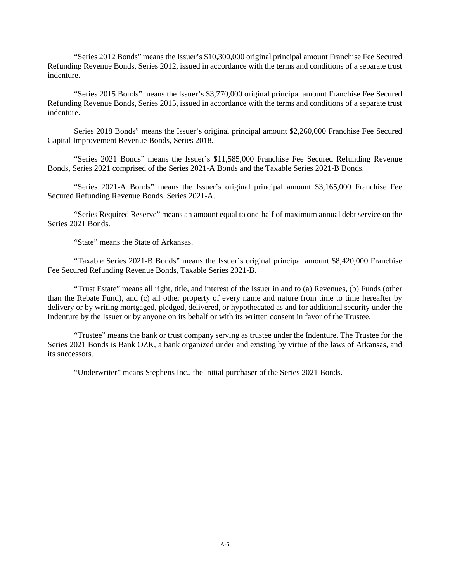"Series 2012 Bonds" means the Issuer's \$10,300,000 original principal amount Franchise Fee Secured Refunding Revenue Bonds, Series 2012, issued in accordance with the terms and conditions of a separate trust indenture.

"Series 2015 Bonds" means the Issuer's \$3,770,000 original principal amount Franchise Fee Secured Refunding Revenue Bonds, Series 2015, issued in accordance with the terms and conditions of a separate trust indenture.

Series 2018 Bonds" means the Issuer's original principal amount \$2,260,000 Franchise Fee Secured Capital Improvement Revenue Bonds, Series 2018.

"Series 2021 Bonds" means the Issuer's \$11,585,000 Franchise Fee Secured Refunding Revenue Bonds, Series 2021 comprised of the Series 2021-A Bonds and the Taxable Series 2021-B Bonds.

"Series 2021-A Bonds" means the Issuer's original principal amount \$3,165,000 Franchise Fee Secured Refunding Revenue Bonds, Series 2021-A.

"Series Required Reserve" means an amount equal to one-half of maximum annual debt service on the Series 2021 Bonds.

"State" means the State of Arkansas.

"Taxable Series 2021-B Bonds" means the Issuer's original principal amount \$8,420,000 Franchise Fee Secured Refunding Revenue Bonds, Taxable Series 2021-B.

"Trust Estate" means all right, title, and interest of the Issuer in and to (a) Revenues, (b) Funds (other than the Rebate Fund), and (c) all other property of every name and nature from time to time hereafter by delivery or by writing mortgaged, pledged, delivered, or hypothecated as and for additional security under the Indenture by the Issuer or by anyone on its behalf or with its written consent in favor of the Trustee.

"Trustee" means the bank or trust company serving as trustee under the Indenture. The Trustee for the Series 2021 Bonds is Bank OZK, a bank organized under and existing by virtue of the laws of Arkansas, and its successors.

"Underwriter" means Stephens Inc., the initial purchaser of the Series 2021 Bonds.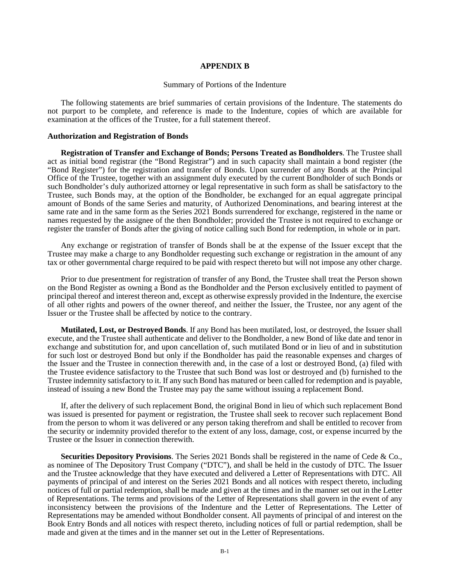#### **APPENDIX B**

#### Summary of Portions of the Indenture

The following statements are brief summaries of certain provisions of the Indenture. The statements do not purport to be complete, and reference is made to the Indenture, copies of which are available for examination at the offices of the Trustee, for a full statement thereof.

#### **Authorization and Registration of Bonds**

**Registration of Transfer and Exchange of Bonds; Persons Treated as Bondholders**. The Trustee shall act as initial bond registrar (the "Bond Registrar") and in such capacity shall maintain a bond register (the "Bond Register") for the registration and transfer of Bonds. Upon surrender of any Bonds at the Principal Office of the Trustee, together with an assignment duly executed by the current Bondholder of such Bonds or such Bondholder's duly authorized attorney or legal representative in such form as shall be satisfactory to the Trustee, such Bonds may, at the option of the Bondholder, be exchanged for an equal aggregate principal amount of Bonds of the same Series and maturity, of Authorized Denominations, and bearing interest at the same rate and in the same form as the Series 2021 Bonds surrendered for exchange, registered in the name or names requested by the assignee of the then Bondholder; provided the Trustee is not required to exchange or register the transfer of Bonds after the giving of notice calling such Bond for redemption, in whole or in part.

Any exchange or registration of transfer of Bonds shall be at the expense of the Issuer except that the Trustee may make a charge to any Bondholder requesting such exchange or registration in the amount of any tax or other governmental charge required to be paid with respect thereto but will not impose any other charge.

Prior to due presentment for registration of transfer of any Bond, the Trustee shall treat the Person shown on the Bond Register as owning a Bond as the Bondholder and the Person exclusively entitled to payment of principal thereof and interest thereon and, except as otherwise expressly provided in the Indenture, the exercise of all other rights and powers of the owner thereof, and neither the Issuer, the Trustee, nor any agent of the Issuer or the Trustee shall be affected by notice to the contrary.

**Mutilated, Lost, or Destroyed Bonds**. If any Bond has been mutilated, lost, or destroyed, the Issuer shall execute, and the Trustee shall authenticate and deliver to the Bondholder, a new Bond of like date and tenor in exchange and substitution for, and upon cancellation of, such mutilated Bond or in lieu of and in substitution for such lost or destroyed Bond but only if the Bondholder has paid the reasonable expenses and charges of the Issuer and the Trustee in connection therewith and, in the case of a lost or destroyed Bond, (a) filed with the Trustee evidence satisfactory to the Trustee that such Bond was lost or destroyed and (b) furnished to the Trustee indemnity satisfactory to it. If any such Bond has matured or been called for redemption and is payable, instead of issuing a new Bond the Trustee may pay the same without issuing a replacement Bond.

If, after the delivery of such replacement Bond, the original Bond in lieu of which such replacement Bond was issued is presented for payment or registration, the Trustee shall seek to recover such replacement Bond from the person to whom it was delivered or any person taking therefrom and shall be entitled to recover from the security or indemnity provided therefor to the extent of any loss, damage, cost, or expense incurred by the Trustee or the Issuer in connection therewith.

**Securities Depository Provisions**. The Series 2021 Bonds shall be registered in the name of Cede & Co., as nominee of The Depository Trust Company ("DTC"), and shall be held in the custody of DTC. The Issuer and the Trustee acknowledge that they have executed and delivered a Letter of Representations with DTC. All payments of principal of and interest on the Series 2021 Bonds and all notices with respect thereto, including notices of full or partial redemption, shall be made and given at the times and in the manner set out in the Letter of Representations. The terms and provisions of the Letter of Representations shall govern in the event of any inconsistency between the provisions of the Indenture and the Letter of Representations. The Letter of Representations may be amended without Bondholder consent. All payments of principal of and interest on the Book Entry Bonds and all notices with respect thereto, including notices of full or partial redemption, shall be made and given at the times and in the manner set out in the Letter of Representations.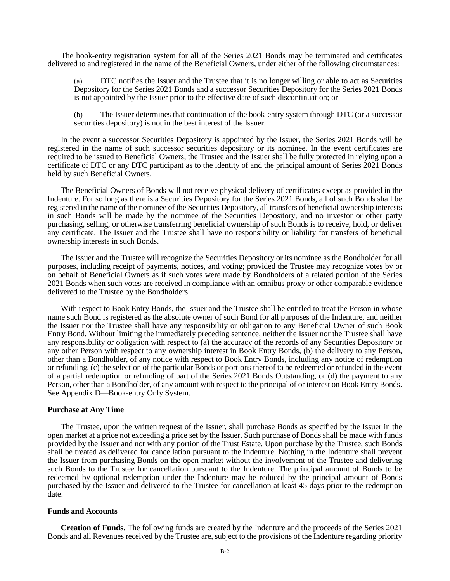The book-entry registration system for all of the Series 2021 Bonds may be terminated and certificates delivered to and registered in the name of the Beneficial Owners, under either of the following circumstances:

(a) DTC notifies the Issuer and the Trustee that it is no longer willing or able to act as Securities Depository for the Series 2021 Bonds and a successor Securities Depository for the Series 2021 Bonds is not appointed by the Issuer prior to the effective date of such discontinuation; or

(b) The Issuer determines that continuation of the book-entry system through DTC (or a successor securities depository) is not in the best interest of the Issuer.

In the event a successor Securities Depository is appointed by the Issuer, the Series 2021 Bonds will be registered in the name of such successor securities depository or its nominee. In the event certificates are required to be issued to Beneficial Owners, the Trustee and the Issuer shall be fully protected in relying upon a certificate of DTC or any DTC participant as to the identity of and the principal amount of Series 2021 Bonds held by such Beneficial Owners.

The Beneficial Owners of Bonds will not receive physical delivery of certificates except as provided in the Indenture. For so long as there is a Securities Depository for the Series 2021 Bonds, all of such Bonds shall be registered in the name of the nominee of the Securities Depository, all transfers of beneficial ownership interests in such Bonds will be made by the nominee of the Securities Depository, and no investor or other party purchasing, selling, or otherwise transferring beneficial ownership of such Bonds is to receive, hold, or deliver any certificate. The Issuer and the Trustee shall have no responsibility or liability for transfers of beneficial ownership interests in such Bonds.

The Issuer and the Trustee will recognize the Securities Depository or its nominee as the Bondholder for all purposes, including receipt of payments, notices, and voting; provided the Trustee may recognize votes by or on behalf of Beneficial Owners as if such votes were made by Bondholders of a related portion of the Series 2021 Bonds when such votes are received in compliance with an omnibus proxy or other comparable evidence delivered to the Trustee by the Bondholders.

With respect to Book Entry Bonds, the Issuer and the Trustee shall be entitled to treat the Person in whose name such Bond is registered as the absolute owner of such Bond for all purposes of the Indenture, and neither the Issuer nor the Trustee shall have any responsibility or obligation to any Beneficial Owner of such Book Entry Bond. Without limiting the immediately preceding sentence, neither the Issuer nor the Trustee shall have any responsibility or obligation with respect to (a) the accuracy of the records of any Securities Depository or any other Person with respect to any ownership interest in Book Entry Bonds, (b) the delivery to any Person, other than a Bondholder, of any notice with respect to Book Entry Bonds, including any notice of redemption or refunding, (c) the selection of the particular Bonds or portions thereof to be redeemed or refunded in the event of a partial redemption or refunding of part of the Series 2021 Bonds Outstanding, or (d) the payment to any Person, other than a Bondholder, of any amount with respect to the principal of or interest on Book Entry Bonds. See Appendix D—Book-entry Only System.

#### **Purchase at Any Time**

The Trustee, upon the written request of the Issuer, shall purchase Bonds as specified by the Issuer in the open market at a price not exceeding a price set by the Issuer. Such purchase of Bonds shall be made with funds provided by the Issuer and not with any portion of the Trust Estate. Upon purchase by the Trustee, such Bonds shall be treated as delivered for cancellation pursuant to the Indenture. Nothing in the Indenture shall prevent the Issuer from purchasing Bonds on the open market without the involvement of the Trustee and delivering such Bonds to the Trustee for cancellation pursuant to the Indenture. The principal amount of Bonds to be redeemed by optional redemption under the Indenture may be reduced by the principal amount of Bonds purchased by the Issuer and delivered to the Trustee for cancellation at least 45 days prior to the redemption date.

#### **Funds and Accounts**

**Creation of Funds**. The following funds are created by the Indenture and the proceeds of the Series 2021 Bonds and all Revenues received by the Trustee are, subject to the provisions of the Indenture regarding priority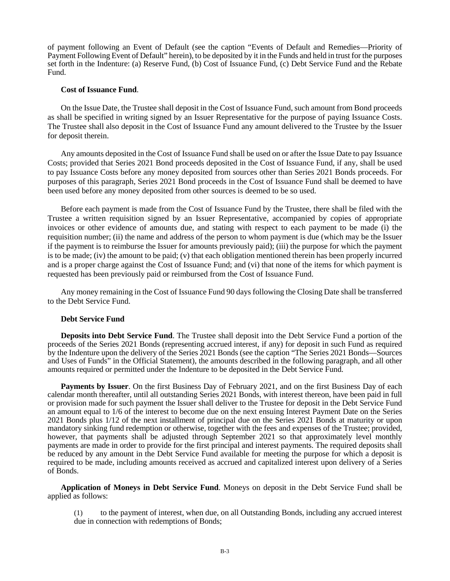of payment following an Event of Default (see the caption "Events of Default and Remedies—Priority of Payment Following Event of Default" herein), to be deposited by it in the Funds and held in trust for the purposes set forth in the Indenture: (a) Reserve Fund, (b) Cost of Issuance Fund, (c) Debt Service Fund and the Rebate Fund.

#### **Cost of Issuance Fund**.

On the Issue Date, the Trustee shall deposit in the Cost of Issuance Fund, such amount from Bond proceeds as shall be specified in writing signed by an Issuer Representative for the purpose of paying Issuance Costs. The Trustee shall also deposit in the Cost of Issuance Fund any amount delivered to the Trustee by the Issuer for deposit therein.

Any amounts deposited in the Cost of Issuance Fund shall be used on or after the Issue Date to pay Issuance Costs; provided that Series 2021 Bond proceeds deposited in the Cost of Issuance Fund, if any, shall be used to pay Issuance Costs before any money deposited from sources other than Series 2021 Bonds proceeds. For purposes of this paragraph, Series 2021 Bond proceeds in the Cost of Issuance Fund shall be deemed to have been used before any money deposited from other sources is deemed to be so used.

Before each payment is made from the Cost of Issuance Fund by the Trustee, there shall be filed with the Trustee a written requisition signed by an Issuer Representative, accompanied by copies of appropriate invoices or other evidence of amounts due, and stating with respect to each payment to be made (i) the requisition number; (ii) the name and address of the person to whom payment is due (which may be the Issuer if the payment is to reimburse the Issuer for amounts previously paid); (iii) the purpose for which the payment is to be made; (iv) the amount to be paid; (v) that each obligation mentioned therein has been properly incurred and is a proper charge against the Cost of Issuance Fund; and (vi) that none of the items for which payment is requested has been previously paid or reimbursed from the Cost of Issuance Fund.

Any money remaining in the Cost of Issuance Fund 90 days following the Closing Date shall be transferred to the Debt Service Fund.

#### **Debt Service Fund**

**Deposits into Debt Service Fund**. The Trustee shall deposit into the Debt Service Fund a portion of the proceeds of the Series 2021 Bonds (representing accrued interest, if any) for deposit in such Fund as required by the Indenture upon the delivery of the Series 2021 Bonds (see the caption "The Series 2021 Bonds—Sources and Uses of Funds" in the Official Statement), the amounts described in the following paragraph, and all other amounts required or permitted under the Indenture to be deposited in the Debt Service Fund.

**Payments by Issuer**. On the first Business Day of February 2021, and on the first Business Day of each calendar month thereafter, until all outstanding Series 2021 Bonds, with interest thereon, have been paid in full or provision made for such payment the Issuer shall deliver to the Trustee for deposit in the Debt Service Fund an amount equal to 1/6 of the interest to become due on the next ensuing Interest Payment Date on the Series 2021 Bonds plus 1/12 of the next installment of principal due on the Series 2021 Bonds at maturity or upon mandatory sinking fund redemption or otherwise, together with the fees and expenses of the Trustee; provided, however, that payments shall be adjusted through September 2021 so that approximately level monthly payments are made in order to provide for the first principal and interest payments. The required deposits shall be reduced by any amount in the Debt Service Fund available for meeting the purpose for which a deposit is required to be made, including amounts received as accrued and capitalized interest upon delivery of a Series of Bonds.

**Application of Moneys in Debt Service Fund**. Moneys on deposit in the Debt Service Fund shall be applied as follows:

(1) to the payment of interest, when due, on all Outstanding Bonds, including any accrued interest due in connection with redemptions of Bonds;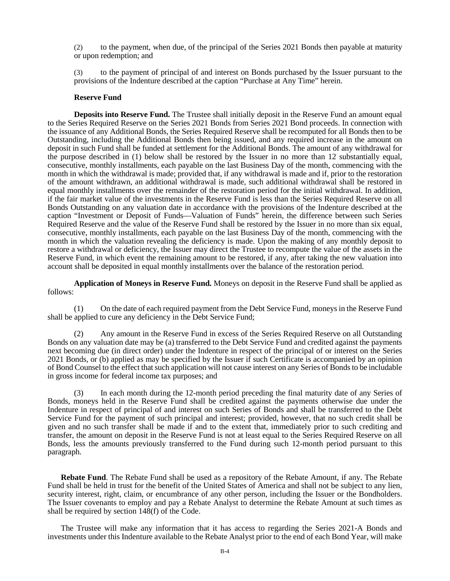(2) to the payment, when due, of the principal of the Series 2021 Bonds then payable at maturity or upon redemption; and

(3) to the payment of principal of and interest on Bonds purchased by the Issuer pursuant to the provisions of the Indenture described at the caption "Purchase at Any Time" herein.

#### **Reserve Fund**

**Deposits into Reserve Fund.** The Trustee shall initially deposit in the Reserve Fund an amount equal to the Series Required Reserve on the Series 2021 Bonds from Series 2021 Bond proceeds. In connection with the issuance of any Additional Bonds, the Series Required Reserve shall be recomputed for all Bonds then to be Outstanding, including the Additional Bonds then being issued, and any required increase in the amount on deposit in such Fund shall be funded at settlement for the Additional Bonds. The amount of any withdrawal for the purpose described in (1) below shall be restored by the Issuer in no more than 12 substantially equal, consecutive, monthly installments, each payable on the last Business Day of the month, commencing with the month in which the withdrawal is made; provided that, if any withdrawal is made and if, prior to the restoration of the amount withdrawn, an additional withdrawal is made, such additional withdrawal shall be restored in equal monthly installments over the remainder of the restoration period for the initial withdrawal. In addition, if the fair market value of the investments in the Reserve Fund is less than the Series Required Reserve on all Bonds Outstanding on any valuation date in accordance with the provisions of the Indenture described at the caption "Investment or Deposit of Funds—Valuation of Funds" herein, the difference between such Series Required Reserve and the value of the Reserve Fund shall be restored by the Issuer in no more than six equal, consecutive, monthly installments, each payable on the last Business Day of the month, commencing with the month in which the valuation revealing the deficiency is made. Upon the making of any monthly deposit to restore a withdrawal or deficiency, the Issuer may direct the Trustee to recompute the value of the assets in the Reserve Fund, in which event the remaining amount to be restored, if any, after taking the new valuation into account shall be deposited in equal monthly installments over the balance of the restoration period.

**Application of Moneys in Reserve Fund.** Moneys on deposit in the Reserve Fund shall be applied as follows:

(1) On the date of each required payment from the Debt Service Fund, moneys in the Reserve Fund shall be applied to cure any deficiency in the Debt Service Fund;

(2) Any amount in the Reserve Fund in excess of the Series Required Reserve on all Outstanding Bonds on any valuation date may be (a) transferred to the Debt Service Fund and credited against the payments next becoming due (in direct order) under the Indenture in respect of the principal of or interest on the Series 2021 Bonds, or (b) applied as may be specified by the Issuer if such Certificate is accompanied by an opinion of Bond Counsel to the effect that such application will not cause interest on any Series of Bonds to be includable in gross income for federal income tax purposes; and

(3) In each month during the 12-month period preceding the final maturity date of any Series of Bonds, moneys held in the Reserve Fund shall be credited against the payments otherwise due under the Indenture in respect of principal of and interest on such Series of Bonds and shall be transferred to the Debt Service Fund for the payment of such principal and interest; provided, however, that no such credit shall be given and no such transfer shall be made if and to the extent that, immediately prior to such crediting and transfer, the amount on deposit in the Reserve Fund is not at least equal to the Series Required Reserve on all Bonds, less the amounts previously transferred to the Fund during such 12-month period pursuant to this paragraph.

**Rebate Fund**. The Rebate Fund shall be used as a repository of the Rebate Amount, if any. The Rebate Fund shall be held in trust for the benefit of the United States of America and shall not be subject to any lien, security interest, right, claim, or encumbrance of any other person, including the Issuer or the Bondholders. The Issuer covenants to employ and pay a Rebate Analyst to determine the Rebate Amount at such times as shall be required by section 148(f) of the Code.

The Trustee will make any information that it has access to regarding the Series 2021-A Bonds and investments under this Indenture available to the Rebate Analyst prior to the end of each Bond Year, will make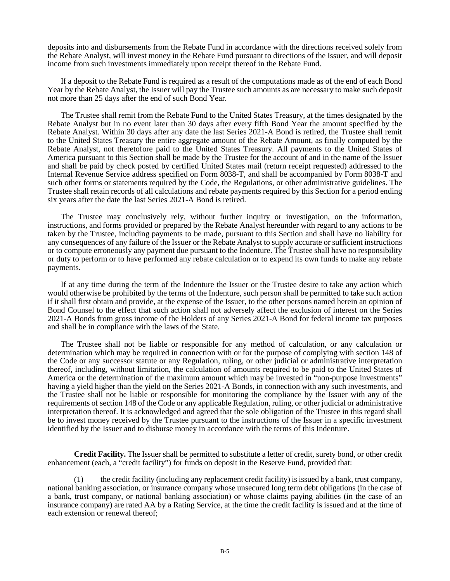deposits into and disbursements from the Rebate Fund in accordance with the directions received solely from the Rebate Analyst, will invest money in the Rebate Fund pursuant to directions of the Issuer, and will deposit income from such investments immediately upon receipt thereof in the Rebate Fund.

If a deposit to the Rebate Fund is required as a result of the computations made as of the end of each Bond Year by the Rebate Analyst, the Issuer will pay the Trustee such amounts as are necessary to make such deposit not more than 25 days after the end of such Bond Year.

The Trustee shall remit from the Rebate Fund to the United States Treasury, at the times designated by the Rebate Analyst but in no event later than 30 days after every fifth Bond Year the amount specified by the Rebate Analyst. Within 30 days after any date the last Series 2021-A Bond is retired, the Trustee shall remit to the United States Treasury the entire aggregate amount of the Rebate Amount, as finally computed by the Rebate Analyst, not theretofore paid to the United States Treasury. All payments to the United States of America pursuant to this Section shall be made by the Trustee for the account of and in the name of the Issuer and shall be paid by check posted by certified United States mail (return receipt requested) addressed to the Internal Revenue Service address specified on Form 8038-T, and shall be accompanied by Form 8038-T and such other forms or statements required by the Code, the Regulations, or other administrative guidelines. The Trustee shall retain records of all calculations and rebate payments required by this Section for a period ending six years after the date the last Series 2021-A Bond is retired.

The Trustee may conclusively rely, without further inquiry or investigation, on the information, instructions, and forms provided or prepared by the Rebate Analyst hereunder with regard to any actions to be taken by the Trustee, including payments to be made, pursuant to this Section and shall have no liability for any consequences of any failure of the Issuer or the Rebate Analyst to supply accurate or sufficient instructions or to compute erroneously any payment due pursuant to the Indenture. The Trustee shall have no responsibility or duty to perform or to have performed any rebate calculation or to expend its own funds to make any rebate payments.

If at any time during the term of the Indenture the Issuer or the Trustee desire to take any action which would otherwise be prohibited by the terms of the Indenture, such person shall be permitted to take such action if it shall first obtain and provide, at the expense of the Issuer, to the other persons named herein an opinion of Bond Counsel to the effect that such action shall not adversely affect the exclusion of interest on the Series 2021-A Bonds from gross income of the Holders of any Series 2021-A Bond for federal income tax purposes and shall be in compliance with the laws of the State.

The Trustee shall not be liable or responsible for any method of calculation, or any calculation or determination which may be required in connection with or for the purpose of complying with section 148 of the Code or any successor statute or any Regulation, ruling, or other judicial or administrative interpretation thereof, including, without limitation, the calculation of amounts required to be paid to the United States of America or the determination of the maximum amount which may be invested in "non-purpose investments" having a yield higher than the yield on the Series 2021-A Bonds, in connection with any such investments, and the Trustee shall not be liable or responsible for monitoring the compliance by the Issuer with any of the requirements of section 148 of the Code or any applicable Regulation, ruling, or other judicial or administrative interpretation thereof. It is acknowledged and agreed that the sole obligation of the Trustee in this regard shall be to invest money received by the Trustee pursuant to the instructions of the Issuer in a specific investment identified by the Issuer and to disburse money in accordance with the terms of this Indenture.

**Credit Facility.** The Issuer shall be permitted to substitute a letter of credit, surety bond, or other credit enhancement (each, a "credit facility") for funds on deposit in the Reserve Fund, provided that:

(1) the credit facility (including any replacement credit facility) is issued by a bank, trust company, national banking association, or insurance company whose unsecured long term debt obligations (in the case of a bank, trust company, or national banking association) or whose claims paying abilities (in the case of an insurance company) are rated AA by a Rating Service, at the time the credit facility is issued and at the time of each extension or renewal thereof;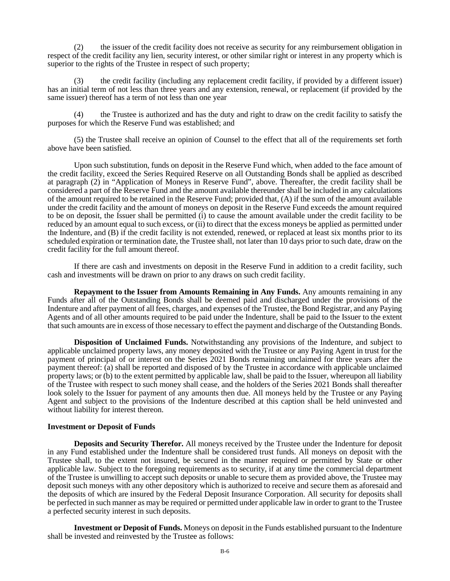(2) the issuer of the credit facility does not receive as security for any reimbursement obligation in respect of the credit facility any lien, security interest, or other similar right or interest in any property which is superior to the rights of the Trustee in respect of such property;

(3) the credit facility (including any replacement credit facility, if provided by a different issuer) has an initial term of not less than three years and any extension, renewal, or replacement (if provided by the same issuer) thereof has a term of not less than one year

(4) the Trustee is authorized and has the duty and right to draw on the credit facility to satisfy the purposes for which the Reserve Fund was established; and

(5) the Trustee shall receive an opinion of Counsel to the effect that all of the requirements set forth above have been satisfied.

Upon such substitution, funds on deposit in the Reserve Fund which, when added to the face amount of the credit facility, exceed the Series Required Reserve on all Outstanding Bonds shall be applied as described at paragraph (2) in "Application of Moneys in Reserve Fund", above. Thereafter, the credit facility shall be considered a part of the Reserve Fund and the amount available thereunder shall be included in any calculations of the amount required to be retained in the Reserve Fund; provided that, (A) if the sum of the amount available under the credit facility and the amount of moneys on deposit in the Reserve Fund exceeds the amount required to be on deposit, the Issuer shall be permitted (i) to cause the amount available under the credit facility to be reduced by an amount equal to such excess, or (ii) to direct that the excess moneys be applied as permitted under the Indenture, and (B) if the credit facility is not extended, renewed, or replaced at least six months prior to its scheduled expiration or termination date, the Trustee shall, not later than 10 days prior to such date, draw on the credit facility for the full amount thereof.

If there are cash and investments on deposit in the Reserve Fund in addition to a credit facility, such cash and investments will be drawn on prior to any draws on such credit facility.

**Repayment to the Issuer from Amounts Remaining in Any Funds.** Any amounts remaining in any Funds after all of the Outstanding Bonds shall be deemed paid and discharged under the provisions of the Indenture and after payment of all fees, charges, and expenses of the Trustee, the Bond Registrar, and any Paying Agents and of all other amounts required to be paid under the Indenture, shall be paid to the Issuer to the extent that such amounts are in excess of those necessary to effect the payment and discharge of the Outstanding Bonds.

**Disposition of Unclaimed Funds.** Notwithstanding any provisions of the Indenture, and subject to applicable unclaimed property laws, any money deposited with the Trustee or any Paying Agent in trust for the payment of principal of or interest on the Series 2021 Bonds remaining unclaimed for three years after the payment thereof: (a) shall be reported and disposed of by the Trustee in accordance with applicable unclaimed property laws; or (b) to the extent permitted by applicable law, shall be paid to the Issuer, whereupon all liability of the Trustee with respect to such money shall cease, and the holders of the Series 2021 Bonds shall thereafter look solely to the Issuer for payment of any amounts then due. All moneys held by the Trustee or any Paying Agent and subject to the provisions of the Indenture described at this caption shall be held uninvested and without liability for interest thereon.

#### **Investment or Deposit of Funds**

**Deposits and Security Therefor.** All moneys received by the Trustee under the Indenture for deposit in any Fund established under the Indenture shall be considered trust funds. All moneys on deposit with the Trustee shall, to the extent not insured, be secured in the manner required or permitted by State or other applicable law. Subject to the foregoing requirements as to security, if at any time the commercial department of the Trustee is unwilling to accept such deposits or unable to secure them as provided above, the Trustee may deposit such moneys with any other depository which is authorized to receive and secure them as aforesaid and the deposits of which are insured by the Federal Deposit Insurance Corporation. All security for deposits shall be perfected in such manner as may be required or permitted under applicable law in order to grant to the Trustee a perfected security interest in such deposits.

**Investment or Deposit of Funds.** Moneys on deposit in the Funds established pursuant to the Indenture shall be invested and reinvested by the Trustee as follows: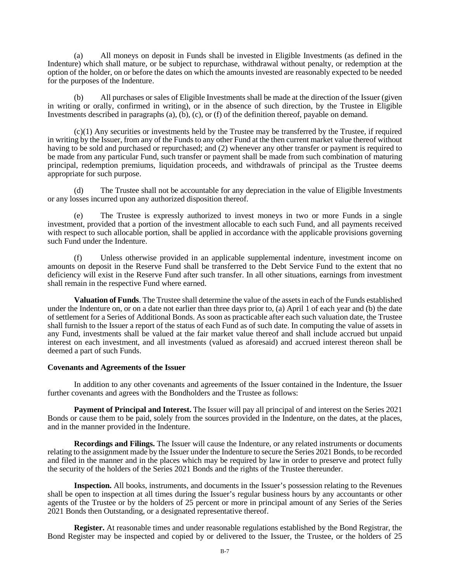(a) All moneys on deposit in Funds shall be invested in Eligible Investments (as defined in the Indenture) which shall mature, or be subject to repurchase, withdrawal without penalty, or redemption at the option of the holder, on or before the dates on which the amounts invested are reasonably expected to be needed for the purposes of the Indenture.

(b) All purchases or sales of Eligible Investments shall be made at the direction of the Issuer (given in writing or orally, confirmed in writing), or in the absence of such direction, by the Trustee in Eligible Investments described in paragraphs (a), (b), (c), or (f) of the definition thereof, payable on demand.

(c)(1) Any securities or investments held by the Trustee may be transferred by the Trustee, if required in writing by the Issuer, from any of the Funds to any other Fund at the then current market value thereof without having to be sold and purchased or repurchased; and (2) whenever any other transfer or payment is required to be made from any particular Fund, such transfer or payment shall be made from such combination of maturing principal, redemption premiums, liquidation proceeds, and withdrawals of principal as the Trustee deems appropriate for such purpose.

(d) The Trustee shall not be accountable for any depreciation in the value of Eligible Investments or any losses incurred upon any authorized disposition thereof.

(e) The Trustee is expressly authorized to invest moneys in two or more Funds in a single investment, provided that a portion of the investment allocable to each such Fund, and all payments received with respect to such allocable portion, shall be applied in accordance with the applicable provisions governing such Fund under the Indenture.

(f) Unless otherwise provided in an applicable supplemental indenture, investment income on amounts on deposit in the Reserve Fund shall be transferred to the Debt Service Fund to the extent that no deficiency will exist in the Reserve Fund after such transfer. In all other situations, earnings from investment shall remain in the respective Fund where earned.

**Valuation of Funds**. The Trustee shall determine the value of the assets in each of the Funds established under the Indenture on, or on a date not earlier than three days prior to, (a) April 1 of each year and (b) the date of settlement for a Series of Additional Bonds. As soon as practicable after each such valuation date, the Trustee shall furnish to the Issuer a report of the status of each Fund as of such date. In computing the value of assets in any Fund, investments shall be valued at the fair market value thereof and shall include accrued but unpaid interest on each investment, and all investments (valued as aforesaid) and accrued interest thereon shall be deemed a part of such Funds.

#### **Covenants and Agreements of the Issuer**

In addition to any other covenants and agreements of the Issuer contained in the Indenture, the Issuer further covenants and agrees with the Bondholders and the Trustee as follows:

**Payment of Principal and Interest.** The Issuer will pay all principal of and interest on the Series 2021 Bonds or cause them to be paid, solely from the sources provided in the Indenture, on the dates, at the places, and in the manner provided in the Indenture.

**Recordings and Filings.** The Issuer will cause the Indenture, or any related instruments or documents relating to the assignment made by the Issuer under the Indenture to secure the Series 2021 Bonds, to be recorded and filed in the manner and in the places which may be required by law in order to preserve and protect fully the security of the holders of the Series 2021 Bonds and the rights of the Trustee thereunder.

**Inspection.** All books, instruments, and documents in the Issuer's possession relating to the Revenues shall be open to inspection at all times during the Issuer's regular business hours by any accountants or other agents of the Trustee or by the holders of 25 percent or more in principal amount of any Series of the Series 2021 Bonds then Outstanding, or a designated representative thereof.

**Register.** At reasonable times and under reasonable regulations established by the Bond Registrar, the Bond Register may be inspected and copied by or delivered to the Issuer, the Trustee, or the holders of 25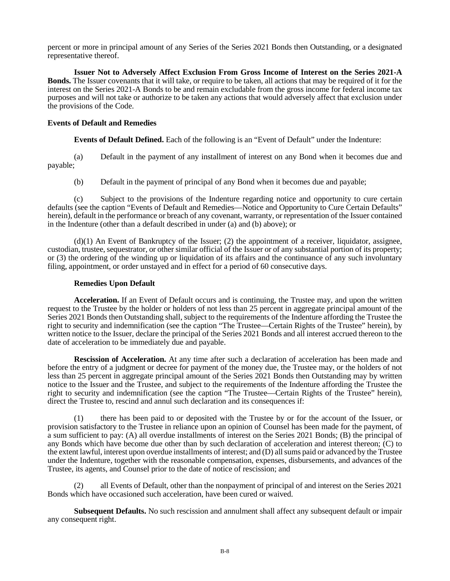percent or more in principal amount of any Series of the Series 2021 Bonds then Outstanding, or a designated representative thereof.

**Issuer Not to Adversely Affect Exclusion From Gross Income of Interest on the Series 2021-A Bonds.** The Issuer covenants that it will take, or require to be taken, all actions that may be required of it for the interest on the Series 2021-A Bonds to be and remain excludable from the gross income for federal income tax purposes and will not take or authorize to be taken any actions that would adversely affect that exclusion under the provisions of the Code.

#### **Events of Default and Remedies**

**Events of Default Defined.** Each of the following is an "Event of Default" under the Indenture:

(a) Default in the payment of any installment of interest on any Bond when it becomes due and payable;

(b) Default in the payment of principal of any Bond when it becomes due and payable;

(c) Subject to the provisions of the Indenture regarding notice and opportunity to cure certain defaults (see the caption "Events of Default and Remedies—Notice and Opportunity to Cure Certain Defaults" herein), default in the performance or breach of any covenant, warranty, or representation of the Issuer contained in the Indenture (other than a default described in under (a) and (b) above); or

(d)(1) An Event of Bankruptcy of the Issuer; (2) the appointment of a receiver, liquidator, assignee, custodian, trustee, sequestrator, or other similar official of the Issuer or of any substantial portion of its property; or (3) the ordering of the winding up or liquidation of its affairs and the continuance of any such involuntary filing, appointment, or order unstayed and in effect for a period of 60 consecutive days.

#### **Remedies Upon Default**

**Acceleration.** If an Event of Default occurs and is continuing, the Trustee may, and upon the written request to the Trustee by the holder or holders of not less than 25 percent in aggregate principal amount of the Series 2021 Bonds then Outstanding shall, subject to the requirements of the Indenture affording the Trustee the right to security and indemnification (see the caption "The Trustee—Certain Rights of the Trustee" herein), by written notice to the Issuer, declare the principal of the Series 2021 Bonds and all interest accrued thereon to the date of acceleration to be immediately due and payable.

**Rescission of Acceleration.** At any time after such a declaration of acceleration has been made and before the entry of a judgment or decree for payment of the money due, the Trustee may, or the holders of not less than 25 percent in aggregate principal amount of the Series 2021 Bonds then Outstanding may by written notice to the Issuer and the Trustee, and subject to the requirements of the Indenture affording the Trustee the right to security and indemnification (see the caption "The Trustee—Certain Rights of the Trustee" herein), direct the Trustee to, rescind and annul such declaration and its consequences if:

(1) there has been paid to or deposited with the Trustee by or for the account of the Issuer, or provision satisfactory to the Trustee in reliance upon an opinion of Counsel has been made for the payment, of a sum sufficient to pay: (A) all overdue installments of interest on the Series 2021 Bonds; (B) the principal of any Bonds which have become due other than by such declaration of acceleration and interest thereon; (C) to the extent lawful, interest upon overdue installments of interest; and (D) all sums paid or advanced by the Trustee under the Indenture, together with the reasonable compensation, expenses, disbursements, and advances of the Trustee, its agents, and Counsel prior to the date of notice of rescission; and

(2) all Events of Default, other than the nonpayment of principal of and interest on the Series 2021 Bonds which have occasioned such acceleration, have been cured or waived.

**Subsequent Defaults.** No such rescission and annulment shall affect any subsequent default or impair any consequent right.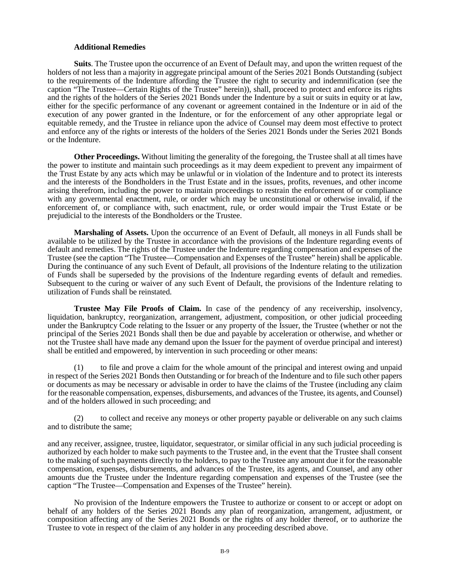#### **Additional Remedies**

**Suits**. The Trustee upon the occurrence of an Event of Default may, and upon the written request of the holders of not less than a majority in aggregate principal amount of the Series 2021 Bonds Outstanding (subject to the requirements of the Indenture affording the Trustee the right to security and indemnification (see the caption "The Trustee—Certain Rights of the Trustee" herein)), shall, proceed to protect and enforce its rights and the rights of the holders of the Series 2021 Bonds under the Indenture by a suit or suits in equity or at law, either for the specific performance of any covenant or agreement contained in the Indenture or in aid of the execution of any power granted in the Indenture, or for the enforcement of any other appropriate legal or equitable remedy, and the Trustee in reliance upon the advice of Counsel may deem most effective to protect and enforce any of the rights or interests of the holders of the Series 2021 Bonds under the Series 2021 Bonds or the Indenture.

**Other Proceedings.** Without limiting the generality of the foregoing, the Trustee shall at all times have the power to institute and maintain such proceedings as it may deem expedient to prevent any impairment of the Trust Estate by any acts which may be unlawful or in violation of the Indenture and to protect its interests and the interests of the Bondholders in the Trust Estate and in the issues, profits, revenues, and other income arising therefrom, including the power to maintain proceedings to restrain the enforcement of or compliance with any governmental enactment, rule, or order which may be unconstitutional or otherwise invalid, if the enforcement of, or compliance with, such enactment, rule, or order would impair the Trust Estate or be prejudicial to the interests of the Bondholders or the Trustee.

**Marshaling of Assets.** Upon the occurrence of an Event of Default, all moneys in all Funds shall be available to be utilized by the Trustee in accordance with the provisions of the Indenture regarding events of default and remedies. The rights of the Trustee under the Indenture regarding compensation and expenses of the Trustee (see the caption "The Trustee—Compensation and Expenses of the Trustee" herein) shall be applicable. During the continuance of any such Event of Default, all provisions of the Indenture relating to the utilization of Funds shall be superseded by the provisions of the Indenture regarding events of default and remedies. Subsequent to the curing or waiver of any such Event of Default, the provisions of the Indenture relating to utilization of Funds shall be reinstated.

**Trustee May File Proofs of Claim.** In case of the pendency of any receivership, insolvency, liquidation, bankruptcy, reorganization, arrangement, adjustment, composition, or other judicial proceeding under the Bankruptcy Code relating to the Issuer or any property of the Issuer, the Trustee (whether or not the principal of the Series 2021 Bonds shall then be due and payable by acceleration or otherwise, and whether or not the Trustee shall have made any demand upon the Issuer for the payment of overdue principal and interest) shall be entitled and empowered, by intervention in such proceeding or other means:

(1) to file and prove a claim for the whole amount of the principal and interest owing and unpaid in respect of the Series  $202\hat{1}$  Bonds then Outstanding or for breach of the Indenture and to file such other papers or documents as may be necessary or advisable in order to have the claims of the Trustee (including any claim for the reasonable compensation, expenses, disbursements, and advances of the Trustee, its agents, and Counsel) and of the holders allowed in such proceeding; and

(2) to collect and receive any moneys or other property payable or deliverable on any such claims and to distribute the same;

and any receiver, assignee, trustee, liquidator, sequestrator, or similar official in any such judicial proceeding is authorized by each holder to make such payments to the Trustee and, in the event that the Trustee shall consent to the making of such payments directly to the holders, to pay to the Trustee any amount due it for the reasonable compensation, expenses, disbursements, and advances of the Trustee, its agents, and Counsel, and any other amounts due the Trustee under the Indenture regarding compensation and expenses of the Trustee (see the caption "The Trustee—Compensation and Expenses of the Trustee" herein).

No provision of the Indenture empowers the Trustee to authorize or consent to or accept or adopt on behalf of any holders of the Series 2021 Bonds any plan of reorganization, arrangement, adjustment, or composition affecting any of the Series 2021 Bonds or the rights of any holder thereof, or to authorize the Trustee to vote in respect of the claim of any holder in any proceeding described above.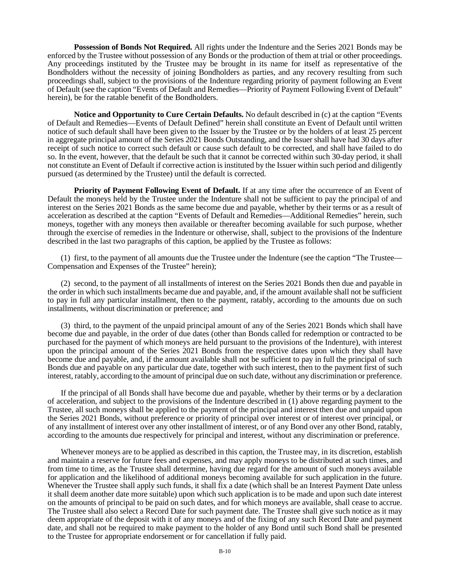**Possession of Bonds Not Required.** All rights under the Indenture and the Series 2021 Bonds may be enforced by the Trustee without possession of any Bonds or the production of them at trial or other proceedings. Any proceedings instituted by the Trustee may be brought in its name for itself as representative of the Bondholders without the necessity of joining Bondholders as parties, and any recovery resulting from such proceedings shall, subject to the provisions of the Indenture regarding priority of payment following an Event of Default (see the caption "Events of Default and Remedies—Priority of Payment Following Event of Default" herein), be for the ratable benefit of the Bondholders.

**Notice and Opportunity to Cure Certain Defaults.** No default described in (c) at the caption "Events of Default and Remedies—Events of Default Defined" herein shall constitute an Event of Default until written notice of such default shall have been given to the Issuer by the Trustee or by the holders of at least 25 percent in aggregate principal amount of the Series 2021 Bonds Outstanding, and the Issuer shall have had 30 days after receipt of such notice to correct such default or cause such default to be corrected, and shall have failed to do so. In the event, however, that the default be such that it cannot be corrected within such 30-day period, it shall not constitute an Event of Default if corrective action is instituted by the Issuer within such period and diligently pursued (as determined by the Trustee) until the default is corrected.

**Priority of Payment Following Event of Default.** If at any time after the occurrence of an Event of Default the moneys held by the Trustee under the Indenture shall not be sufficient to pay the principal of and interest on the Series 2021 Bonds as the same become due and payable, whether by their terms or as a result of acceleration as described at the caption "Events of Default and Remedies—Additional Remedies" herein, such moneys, together with any moneys then available or thereafter becoming available for such purpose, whether through the exercise of remedies in the Indenture or otherwise, shall, subject to the provisions of the Indenture described in the last two paragraphs of this caption, be applied by the Trustee as follows:

(1) first, to the payment of all amounts due the Trustee under the Indenture (see the caption "The Trustee— Compensation and Expenses of the Trustee" herein);

(2) second, to the payment of all installments of interest on the Series 2021 Bonds then due and payable in the order in which such installments became due and payable, and, if the amount available shall not be sufficient to pay in full any particular installment, then to the payment, ratably, according to the amounts due on such installments, without discrimination or preference; and

(3) third, to the payment of the unpaid principal amount of any of the Series 2021 Bonds which shall have become due and payable, in the order of due dates (other than Bonds called for redemption or contracted to be purchased for the payment of which moneys are held pursuant to the provisions of the Indenture), with interest upon the principal amount of the Series 2021 Bonds from the respective dates upon which they shall have become due and payable, and, if the amount available shall not be sufficient to pay in full the principal of such Bonds due and payable on any particular due date, together with such interest, then to the payment first of such interest, ratably, according to the amount of principal due on such date, without any discrimination or preference.

If the principal of all Bonds shall have become due and payable, whether by their terms or by a declaration of acceleration, and subject to the provisions of the Indenture described in (1) above regarding payment to the Trustee, all such moneys shall be applied to the payment of the principal and interest then due and unpaid upon the Series 2021 Bonds, without preference or priority of principal over interest or of interest over principal, or of any installment of interest over any other installment of interest, or of any Bond over any other Bond, ratably, according to the amounts due respectively for principal and interest, without any discrimination or preference.

Whenever moneys are to be applied as described in this caption, the Trustee may, in its discretion, establish and maintain a reserve for future fees and expenses, and may apply moneys to be distributed at such times, and from time to time, as the Trustee shall determine, having due regard for the amount of such moneys available for application and the likelihood of additional moneys becoming available for such application in the future. Whenever the Trustee shall apply such funds, it shall fix a date (which shall be an Interest Payment Date unless it shall deem another date more suitable) upon which such application is to be made and upon such date interest on the amounts of principal to be paid on such dates, and for which moneys are available, shall cease to accrue. The Trustee shall also select a Record Date for such payment date. The Trustee shall give such notice as it may deem appropriate of the deposit with it of any moneys and of the fixing of any such Record Date and payment date, and shall not be required to make payment to the holder of any Bond until such Bond shall be presented to the Trustee for appropriate endorsement or for cancellation if fully paid.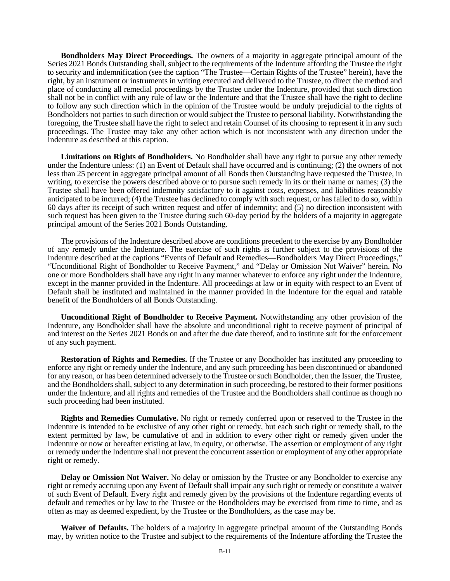**Bondholders May Direct Proceedings.** The owners of a majority in aggregate principal amount of the Series 2021 Bonds Outstanding shall, subject to the requirements of the Indenture affording the Trustee the right to security and indemnification (see the caption "The Trustee—Certain Rights of the Trustee" herein), have the right, by an instrument or instruments in writing executed and delivered to the Trustee, to direct the method and place of conducting all remedial proceedings by the Trustee under the Indenture, provided that such direction shall not be in conflict with any rule of law or the Indenture and that the Trustee shall have the right to decline to follow any such direction which in the opinion of the Trustee would be unduly prejudicial to the rights of Bondholders not parties to such direction or would subject the Trustee to personal liability. Notwithstanding the foregoing, the Trustee shall have the right to select and retain Counsel of its choosing to represent it in any such proceedings. The Trustee may take any other action which is not inconsistent with any direction under the Indenture as described at this caption.

**Limitations on Rights of Bondholders.** No Bondholder shall have any right to pursue any other remedy under the Indenture unless: (1) an Event of Default shall have occurred and is continuing; (2) the owners of not less than 25 percent in aggregate principal amount of all Bonds then Outstanding have requested the Trustee, in writing, to exercise the powers described above or to pursue such remedy in its or their name or names; (3) the Trustee shall have been offered indemnity satisfactory to it against costs, expenses, and liabilities reasonably anticipated to be incurred; (4) the Trustee has declined to comply with such request, or has failed to do so, within 60 days after its receipt of such written request and offer of indemnity; and (5) no direction inconsistent with such request has been given to the Trustee during such 60-day period by the holders of a majority in aggregate principal amount of the Series 2021 Bonds Outstanding.

The provisions of the Indenture described above are conditions precedent to the exercise by any Bondholder of any remedy under the Indenture. The exercise of such rights is further subject to the provisions of the Indenture described at the captions "Events of Default and Remedies—Bondholders May Direct Proceedings," "Unconditional Right of Bondholder to Receive Payment," and "Delay or Omission Not Waiver" herein. No one or more Bondholders shall have any right in any manner whatever to enforce any right under the Indenture, except in the manner provided in the Indenture. All proceedings at law or in equity with respect to an Event of Default shall be instituted and maintained in the manner provided in the Indenture for the equal and ratable benefit of the Bondholders of all Bonds Outstanding.

**Unconditional Right of Bondholder to Receive Payment.** Notwithstanding any other provision of the Indenture, any Bondholder shall have the absolute and unconditional right to receive payment of principal of and interest on the Series 2021 Bonds on and after the due date thereof, and to institute suit for the enforcement of any such payment.

**Restoration of Rights and Remedies.** If the Trustee or any Bondholder has instituted any proceeding to enforce any right or remedy under the Indenture, and any such proceeding has been discontinued or abandoned for any reason, or has been determined adversely to the Trustee or such Bondholder, then the Issuer, the Trustee, and the Bondholders shall, subject to any determination in such proceeding, be restored to their former positions under the Indenture, and all rights and remedies of the Trustee and the Bondholders shall continue as though no such proceeding had been instituted.

**Rights and Remedies Cumulative.** No right or remedy conferred upon or reserved to the Trustee in the Indenture is intended to be exclusive of any other right or remedy, but each such right or remedy shall, to the extent permitted by law, be cumulative of and in addition to every other right or remedy given under the Indenture or now or hereafter existing at law, in equity, or otherwise. The assertion or employment of any right or remedy under the Indenture shall not prevent the concurrent assertion or employment of any other appropriate right or remedy.

**Delay or Omission Not Waiver.** No delay or omission by the Trustee or any Bondholder to exercise any right or remedy accruing upon any Event of Default shall impair any such right or remedy or constitute a waiver of such Event of Default. Every right and remedy given by the provisions of the Indenture regarding events of default and remedies or by law to the Trustee or the Bondholders may be exercised from time to time, and as often as may as deemed expedient, by the Trustee or the Bondholders, as the case may be.

**Waiver of Defaults.** The holders of a majority in aggregate principal amount of the Outstanding Bonds may, by written notice to the Trustee and subject to the requirements of the Indenture affording the Trustee the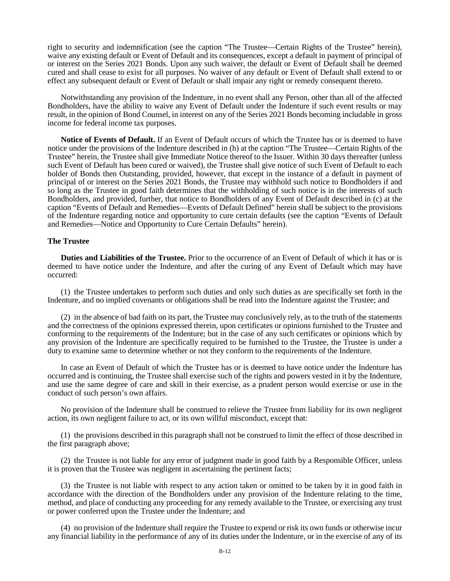right to security and indemnification (see the caption "The Trustee—Certain Rights of the Trustee" herein), waive any existing default or Event of Default and its consequences, except a default in payment of principal of or interest on the Series 2021 Bonds. Upon any such waiver, the default or Event of Default shall be deemed cured and shall cease to exist for all purposes. No waiver of any default or Event of Default shall extend to or effect any subsequent default or Event of Default or shall impair any right or remedy consequent thereto.

Notwithstanding any provision of the Indenture, in no event shall any Person, other than all of the affected Bondholders, have the ability to waive any Event of Default under the Indenture if such event results or may result, in the opinion of Bond Counsel, in interest on any of the Series 2021 Bonds becoming includable in gross income for federal income tax purposes.

**Notice of Events of Default.** If an Event of Default occurs of which the Trustee has or is deemed to have notice under the provisions of the Indenture described in (h) at the caption "The Trustee—Certain Rights of the Trustee" herein, the Trustee shall give Immediate Notice thereof to the Issuer. Within 30 days thereafter (unless such Event of Default has been cured or waived), the Trustee shall give notice of such Event of Default to each holder of Bonds then Outstanding, provided, however, that except in the instance of a default in payment of principal of or interest on the Series 2021 Bonds, the Trustee may withhold such notice to Bondholders if and so long as the Trustee in good faith determines that the withholding of such notice is in the interests of such Bondholders, and provided, further, that notice to Bondholders of any Event of Default described in (c) at the caption "Events of Default and Remedies—Events of Default Defined" herein shall be subject to the provisions of the Indenture regarding notice and opportunity to cure certain defaults (see the caption "Events of Default and Remedies—Notice and Opportunity to Cure Certain Defaults" herein).

#### **The Trustee**

**Duties and Liabilities of the Trustee.** Prior to the occurrence of an Event of Default of which it has or is deemed to have notice under the Indenture, and after the curing of any Event of Default which may have occurred:

(1) the Trustee undertakes to perform such duties and only such duties as are specifically set forth in the Indenture, and no implied covenants or obligations shall be read into the Indenture against the Trustee; and

(2) in the absence of bad faith on its part, the Trustee may conclusively rely, as to the truth of the statements and the correctness of the opinions expressed therein, upon certificates or opinions furnished to the Trustee and conforming to the requirements of the Indenture; but in the case of any such certificates or opinions which by any provision of the Indenture are specifically required to be furnished to the Trustee, the Trustee is under a duty to examine same to determine whether or not they conform to the requirements of the Indenture.

In case an Event of Default of which the Trustee has or is deemed to have notice under the Indenture has occurred and is continuing, the Trustee shall exercise such of the rights and powers vested in it by the Indenture, and use the same degree of care and skill in their exercise, as a prudent person would exercise or use in the conduct of such person's own affairs.

No provision of the Indenture shall be construed to relieve the Trustee from liability for its own negligent action, its own negligent failure to act, or its own willful misconduct, except that:

(1) the provisions described in this paragraph shall not be construed to limit the effect of those described in the first paragraph above;

(2) the Trustee is not liable for any error of judgment made in good faith by a Responsible Officer, unless it is proven that the Trustee was negligent in ascertaining the pertinent facts;

(3) the Trustee is not liable with respect to any action taken or omitted to be taken by it in good faith in accordance with the direction of the Bondholders under any provision of the Indenture relating to the time, method, and place of conducting any proceeding for any remedy available to the Trustee, or exercising any trust or power conferred upon the Trustee under the Indenture; and

(4) no provision of the Indenture shall require the Trustee to expend or risk its own funds or otherwise incur any financial liability in the performance of any of its duties under the Indenture, or in the exercise of any of its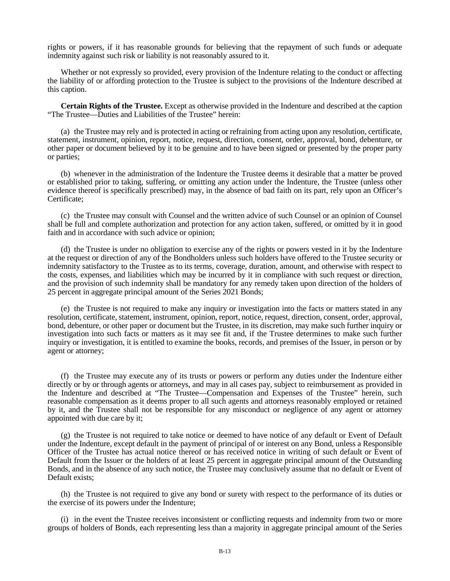rights or powers, if it has reasonable grounds for believing that the repayment of such funds or adequate indemnity against such risk or liability is not reasonably assured to it.

Whether or not expressly so provided, every provision of the Indenture relating to the conduct or affecting the liability of or affording protection to the Trustee is subject to the provisions of the Indenture described at this caption.

**Certain Rights of the Trustee.** Except as otherwise provided in the Indenture and described at the caption "The Trustee—Duties and Liabilities of the Trustee" herein:

(a) the Trustee may rely and is protected in acting or refraining from acting upon any resolution, certificate, statement, instrument, opinion, report, notice, request, direction, consent, order, approval, bond, debenture, or other paper or document believed by it to be genuine and to have been signed or presented by the proper party or parties;

(b) whenever in the administration of the Indenture the Trustee deems it desirable that a matter be proved or established prior to taking, suffering, or omitting any action under the Indenture, the Trustee (unless other evidence thereof is specifically prescribed) may, in the absence of bad faith on its part, rely upon an Officer's Certificate;

(c) the Trustee may consult with Counsel and the written advice of such Counsel or an opinion of Counsel shall be full and complete authorization and protection for any action taken, suffered, or omitted by it in good faith and in accordance with such advice or opinion;

(d) the Trustee is under no obligation to exercise any of the rights or powers vested in it by the Indenture at the request or direction of any of the Bondholders unless such holders have offered to the Trustee security or indemnity satisfactory to the Trustee as to its terms, coverage, duration, amount, and otherwise with respect to the costs, expenses, and liabilities which may be incurred by it in compliance with such request or direction, and the provision of such indemnity shall be mandatory for any remedy taken upon direction of the holders of 25 percent in aggregate principal amount of the Series 2021 Bonds;

(e) the Trustee is not required to make any inquiry or investigation into the facts or matters stated in any resolution, certificate, statement, instrument, opinion, report, notice, request, direction, consent, order, approval, bond, debenture, or other paper or document but the Trustee, in its discretion, may make such further inquiry or investigation into such facts or matters as it may see fit and, if the Trustee determines to make such further inquiry or investigation, it is entitled to examine the books, records, and premises of the Issuer, in person or by agent or attorney;

(f) the Trustee may execute any of its trusts or powers or perform any duties under the Indenture either directly or by or through agents or attorneys, and may in all cases pay, subject to reimbursement as provided in the Indenture and described at "The Trustee—Compensation and Expenses of the Trustee" herein, such reasonable compensation as it deems proper to all such agents and attorneys reasonably employed or retained by it, and the Trustee shall not be responsible for any misconduct or negligence of any agent or attorney appointed with due care by it;

(g) the Trustee is not required to take notice or deemed to have notice of any default or Event of Default under the Indenture, except default in the payment of principal of or interest on any Bond, unless a Responsible Officer of the Trustee has actual notice thereof or has received notice in writing of such default or Event of Default from the Issuer or the holders of at least 25 percent in aggregate principal amount of the Outstanding Bonds, and in the absence of any such notice, the Trustee may conclusively assume that no default or Event of Default exists;

(h) the Trustee is not required to give any bond or surety with respect to the performance of its duties or the exercise of its powers under the Indenture;

(i) in the event the Trustee receives inconsistent or conflicting requests and indemnity from two or more groups of holders of Bonds, each representing less than a majority in aggregate principal amount of the Series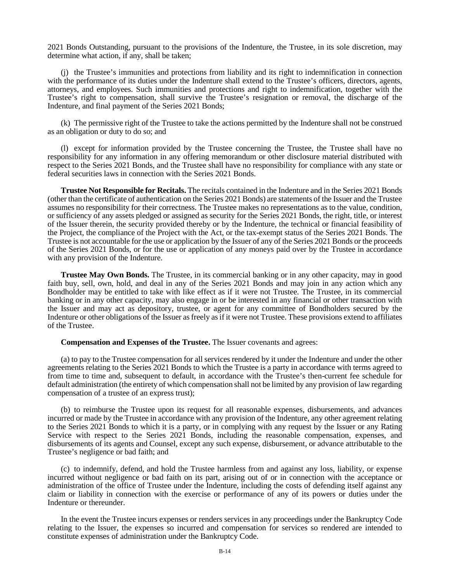2021 Bonds Outstanding, pursuant to the provisions of the Indenture, the Trustee, in its sole discretion, may determine what action, if any, shall be taken;

(j) the Trustee's immunities and protections from liability and its right to indemnification in connection with the performance of its duties under the Indenture shall extend to the Trustee's officers, directors, agents, attorneys, and employees. Such immunities and protections and right to indemnification, together with the Trustee's right to compensation, shall survive the Trustee's resignation or removal, the discharge of the Indenture, and final payment of the Series 2021 Bonds;

(k) The permissive right of the Trustee to take the actions permitted by the Indenture shall not be construed as an obligation or duty to do so; and

(l) except for information provided by the Trustee concerning the Trustee, the Trustee shall have no responsibility for any information in any offering memorandum or other disclosure material distributed with respect to the Series 2021 Bonds, and the Trustee shall have no responsibility for compliance with any state or federal securities laws in connection with the Series 2021 Bonds.

**Trustee Not Responsible for Recitals.** The recitals contained in the Indenture and in the Series 2021 Bonds (other than the certificate of authentication on the Series 2021 Bonds) are statements of the Issuer and the Trustee assumes no responsibility for their correctness. The Trustee makes no representations as to the value, condition, or sufficiency of any assets pledged or assigned as security for the Series 2021 Bonds, the right, title, or interest of the Issuer therein, the security provided thereby or by the Indenture, the technical or financial feasibility of the Project, the compliance of the Project with the Act, or the tax-exempt status of the Series 2021 Bonds. The Trustee is not accountable for the use or application by the Issuer of any of the Series 2021 Bonds or the proceeds of the Series 2021 Bonds, or for the use or application of any moneys paid over by the Trustee in accordance with any provision of the Indenture.

**Trustee May Own Bonds.** The Trustee, in its commercial banking or in any other capacity, may in good faith buy, sell, own, hold, and deal in any of the Series 2021 Bonds and may join in any action which any Bondholder may be entitled to take with like effect as if it were not Trustee. The Trustee, in its commercial banking or in any other capacity, may also engage in or be interested in any financial or other transaction with the Issuer and may act as depository, trustee, or agent for any committee of Bondholders secured by the Indenture or other obligations of the Issuer as freely as if it were not Trustee. These provisions extend to affiliates of the Trustee.

#### **Compensation and Expenses of the Trustee.** The Issuer covenants and agrees:

(a) to pay to the Trustee compensation for all services rendered by it under the Indenture and under the other agreements relating to the Series 2021 Bonds to which the Trustee is a party in accordance with terms agreed to from time to time and, subsequent to default, in accordance with the Trustee's then-current fee schedule for default administration (the entirety of which compensation shall not be limited by any provision of law regarding compensation of a trustee of an express trust);

(b) to reimburse the Trustee upon its request for all reasonable expenses, disbursements, and advances incurred or made by the Trustee in accordance with any provision of the Indenture, any other agreement relating to the Series 2021 Bonds to which it is a party, or in complying with any request by the Issuer or any Rating Service with respect to the Series 2021 Bonds, including the reasonable compensation, expenses, and disbursements of its agents and Counsel, except any such expense, disbursement, or advance attributable to the Trustee's negligence or bad faith; and

(c) to indemnify, defend, and hold the Trustee harmless from and against any loss, liability, or expense incurred without negligence or bad faith on its part, arising out of or in connection with the acceptance or administration of the office of Trustee under the Indenture, including the costs of defending itself against any claim or liability in connection with the exercise or performance of any of its powers or duties under the Indenture or thereunder.

In the event the Trustee incurs expenses or renders services in any proceedings under the Bankruptcy Code relating to the Issuer, the expenses so incurred and compensation for services so rendered are intended to constitute expenses of administration under the Bankruptcy Code.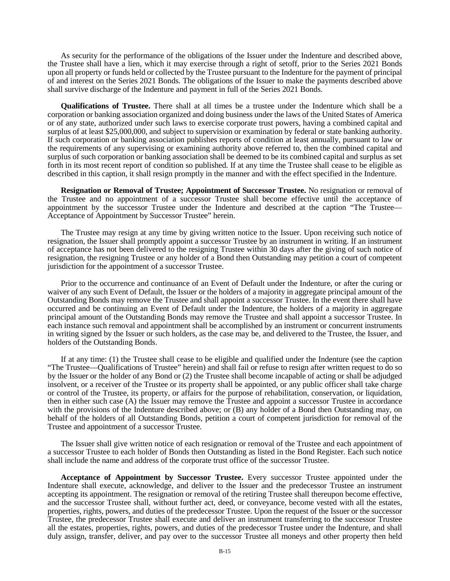As security for the performance of the obligations of the Issuer under the Indenture and described above, the Trustee shall have a lien, which it may exercise through a right of setoff, prior to the Series 2021 Bonds upon all property or funds held or collected by the Trustee pursuant to the Indenture for the payment of principal of and interest on the Series 2021 Bonds. The obligations of the Issuer to make the payments described above shall survive discharge of the Indenture and payment in full of the Series 2021 Bonds.

**Qualifications of Trustee.** There shall at all times be a trustee under the Indenture which shall be a corporation or banking association organized and doing business under the laws of the United States of America or of any state, authorized under such laws to exercise corporate trust powers, having a combined capital and surplus of at least \$25,000,000, and subject to supervision or examination by federal or state banking authority. If such corporation or banking association publishes reports of condition at least annually, pursuant to law or the requirements of any supervising or examining authority above referred to, then the combined capital and surplus of such corporation or banking association shall be deemed to be its combined capital and surplus as set forth in its most recent report of condition so published. If at any time the Trustee shall cease to be eligible as described in this caption, it shall resign promptly in the manner and with the effect specified in the Indenture.

**Resignation or Removal of Trustee; Appointment of Successor Trustee.** No resignation or removal of the Trustee and no appointment of a successor Trustee shall become effective until the acceptance of appointment by the successor Trustee under the Indenture and described at the caption "The Trustee— Acceptance of Appointment by Successor Trustee" herein.

The Trustee may resign at any time by giving written notice to the Issuer. Upon receiving such notice of resignation, the Issuer shall promptly appoint a successor Trustee by an instrument in writing. If an instrument of acceptance has not been delivered to the resigning Trustee within 30 days after the giving of such notice of resignation, the resigning Trustee or any holder of a Bond then Outstanding may petition a court of competent jurisdiction for the appointment of a successor Trustee.

Prior to the occurrence and continuance of an Event of Default under the Indenture, or after the curing or waiver of any such Event of Default, the Issuer or the holders of a majority in aggregate principal amount of the Outstanding Bonds may remove the Trustee and shall appoint a successor Trustee. In the event there shall have occurred and be continuing an Event of Default under the Indenture, the holders of a majority in aggregate principal amount of the Outstanding Bonds may remove the Trustee and shall appoint a successor Trustee. In each instance such removal and appointment shall be accomplished by an instrument or concurrent instruments in writing signed by the Issuer or such holders, as the case may be, and delivered to the Trustee, the Issuer, and holders of the Outstanding Bonds.

If at any time: (1) the Trustee shall cease to be eligible and qualified under the Indenture (see the caption "The Trustee—Qualifications of Trustee" herein) and shall fail or refuse to resign after written request to do so by the Issuer or the holder of any Bond or (2) the Trustee shall become incapable of acting or shall be adjudged insolvent, or a receiver of the Trustee or its property shall be appointed, or any public officer shall take charge or control of the Trustee, its property, or affairs for the purpose of rehabilitation, conservation, or liquidation, then in either such case (A) the Issuer may remove the Trustee and appoint a successor Trustee in accordance with the provisions of the Indenture described above; or (B) any holder of a Bond then Outstanding may, on behalf of the holders of all Outstanding Bonds, petition a court of competent jurisdiction for removal of the Trustee and appointment of a successor Trustee.

The Issuer shall give written notice of each resignation or removal of the Trustee and each appointment of a successor Trustee to each holder of Bonds then Outstanding as listed in the Bond Register. Each such notice shall include the name and address of the corporate trust office of the successor Trustee.

**Acceptance of Appointment by Successor Trustee.** Every successor Trustee appointed under the Indenture shall execute, acknowledge, and deliver to the Issuer and the predecessor Trustee an instrument accepting its appointment. The resignation or removal of the retiring Trustee shall thereupon become effective, and the successor Trustee shall, without further act, deed, or conveyance, become vested with all the estates, properties, rights, powers, and duties of the predecessor Trustee. Upon the request of the Issuer or the successor Trustee, the predecessor Trustee shall execute and deliver an instrument transferring to the successor Trustee all the estates, properties, rights, powers, and duties of the predecessor Trustee under the Indenture, and shall duly assign, transfer, deliver, and pay over to the successor Trustee all moneys and other property then held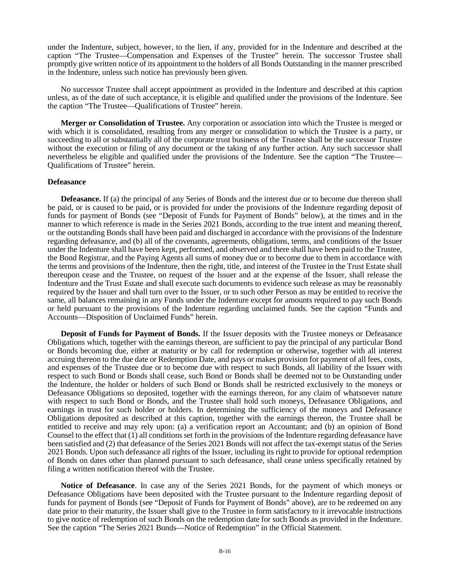under the Indenture, subject, however, to the lien, if any, provided for in the Indenture and described at the caption "The Trustee—Compensation and Expenses of the Trustee" herein. The successor Trustee shall promptly give written notice of its appointment to the holders of all Bonds Outstanding in the manner prescribed in the Indenture, unless such notice has previously been given.

No successor Trustee shall accept appointment as provided in the Indenture and described at this caption unless, as of the date of such acceptance, it is eligible and qualified under the provisions of the Indenture. See the caption "The Trustee—Qualifications of Trustee" herein.

**Merger or Consolidation of Trustee.** Any corporation or association into which the Trustee is merged or with which it is consolidated, resulting from any merger or consolidation to which the Trustee is a party, or succeeding to all or substantially all of the corporate trust business of the Trustee shall be the successor Trustee without the execution or filing of any document or the taking of any further action. Any such successor shall nevertheless be eligible and qualified under the provisions of the Indenture. See the caption "The Trustee— Qualifications of Trustee" herein.

#### **Defeasance**

**Defeasance.** If (a) the principal of any Series of Bonds and the interest due or to become due thereon shall be paid, or is caused to be paid, or is provided for under the provisions of the Indenture regarding deposit of funds for payment of Bonds (see "Deposit of Funds for Payment of Bonds" below), at the times and in the manner to which reference is made in the Series 2021 Bonds, according to the true intent and meaning thereof, or the outstanding Bonds shall have been paid and discharged in accordance with the provisions of the Indenture regarding defeasance, and (b) all of the covenants, agreements, obligations, terms, and conditions of the Issuer under the Indenture shall have been kept, performed, and observed and there shall have been paid to the Trustee, the Bond Registrar, and the Paying Agents all sums of money due or to become due to them in accordance with the terms and provisions of the Indenture, then the right, title, and interest of the Trustee in the Trust Estate shall thereupon cease and the Trustee, on request of the Issuer and at the expense of the Issuer, shall release the Indenture and the Trust Estate and shall execute such documents to evidence such release as may be reasonably required by the Issuer and shall turn over to the Issuer, or to such other Person as may be entitled to receive the same, all balances remaining in any Funds under the Indenture except for amounts required to pay such Bonds or held pursuant to the provisions of the Indenture regarding unclaimed funds. See the caption "Funds and Accounts—Disposition of Unclaimed Funds" herein.

**Deposit of Funds for Payment of Bonds.** If the Issuer deposits with the Trustee moneys or Defeasance Obligations which, together with the earnings thereon, are sufficient to pay the principal of any particular Bond or Bonds becoming due, either at maturity or by call for redemption or otherwise, together with all interest accruing thereon to the due date or Redemption Date, and pays or makes provision for payment of all fees, costs, and expenses of the Trustee due or to become due with respect to such Bonds, all liability of the Issuer with respect to such Bond or Bonds shall cease, such Bond or Bonds shall be deemed not to be Outstanding under the Indenture, the holder or holders of such Bond or Bonds shall be restricted exclusively to the moneys or Defeasance Obligations so deposited, together with the earnings thereon, for any claim of whatsoever nature with respect to such Bond or Bonds, and the Trustee shall hold such moneys, Defeasance Obligations, and earnings in trust for such holder or holders. In determining the sufficiency of the moneys and Defeasance Obligations deposited as described at this caption, together with the earnings thereon, the Trustee shall be entitled to receive and may rely upon: (a) a verification report an Accountant; and (b) an opinion of Bond Counsel to the effect that (1) all conditions set forth in the provisions of the Indenture regarding defeasance have been satisfied and (2) that defeasance of the Series 2021 Bonds will not affect the tax-exempt status of the Series 2021 Bonds. Upon such defeasance all rights of the Issuer, including its right to provide for optional redemption of Bonds on dates other than planned pursuant to such defeasance, shall cease unless specifically retained by filing a written notification thereof with the Trustee.

**Notice of Defeasance**. In case any of the Series 2021 Bonds, for the payment of which moneys or Defeasance Obligations have been deposited with the Trustee pursuant to the Indenture regarding deposit of funds for payment of Bonds (see "Deposit of Funds for Payment of Bonds" above), are to be redeemed on any date prior to their maturity, the Issuer shall give to the Trustee in form satisfactory to it irrevocable instructions to give notice of redemption of such Bonds on the redemption date for such Bonds as provided in the Indenture. See the caption "The Series 2021 Bonds—Notice of Redemption" in the Official Statement.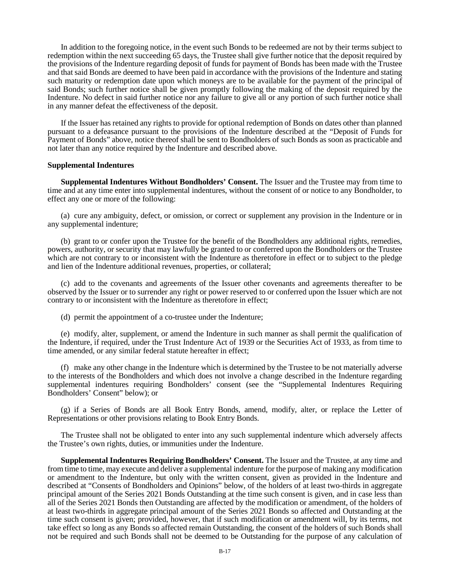In addition to the foregoing notice, in the event such Bonds to be redeemed are not by their terms subject to redemption within the next succeeding 65 days, the Trustee shall give further notice that the deposit required by the provisions of the Indenture regarding deposit of funds for payment of Bonds has been made with the Trustee and that said Bonds are deemed to have been paid in accordance with the provisions of the Indenture and stating such maturity or redemption date upon which moneys are to be available for the payment of the principal of said Bonds; such further notice shall be given promptly following the making of the deposit required by the Indenture. No defect in said further notice nor any failure to give all or any portion of such further notice shall in any manner defeat the effectiveness of the deposit.

If the Issuer has retained any rights to provide for optional redemption of Bonds on dates other than planned pursuant to a defeasance pursuant to the provisions of the Indenture described at the "Deposit of Funds for Payment of Bonds" above, notice thereof shall be sent to Bondholders of such Bonds as soon as practicable and not later than any notice required by the Indenture and described above.

#### **Supplemental Indentures**

**Supplemental Indentures Without Bondholders' Consent.** The Issuer and the Trustee may from time to time and at any time enter into supplemental indentures, without the consent of or notice to any Bondholder, to effect any one or more of the following:

(a) cure any ambiguity, defect, or omission, or correct or supplement any provision in the Indenture or in any supplemental indenture;

(b) grant to or confer upon the Trustee for the benefit of the Bondholders any additional rights, remedies, powers, authority, or security that may lawfully be granted to or conferred upon the Bondholders or the Trustee which are not contrary to or inconsistent with the Indenture as theretofore in effect or to subject to the pledge and lien of the Indenture additional revenues, properties, or collateral;

(c) add to the covenants and agreements of the Issuer other covenants and agreements thereafter to be observed by the Issuer or to surrender any right or power reserved to or conferred upon the Issuer which are not contrary to or inconsistent with the Indenture as theretofore in effect;

(d) permit the appointment of a co-trustee under the Indenture;

(e) modify, alter, supplement, or amend the Indenture in such manner as shall permit the qualification of the Indenture, if required, under the Trust Indenture Act of 1939 or the Securities Act of 1933, as from time to time amended, or any similar federal statute hereafter in effect;

(f) make any other change in the Indenture which is determined by the Trustee to be not materially adverse to the interests of the Bondholders and which does not involve a change described in the Indenture regarding supplemental indentures requiring Bondholders' consent (see the "Supplemental Indentures Requiring Bondholders' Consent" below); or

(g) if a Series of Bonds are all Book Entry Bonds, amend, modify, alter, or replace the Letter of Representations or other provisions relating to Book Entry Bonds.

The Trustee shall not be obligated to enter into any such supplemental indenture which adversely affects the Trustee's own rights, duties, or immunities under the Indenture.

**Supplemental Indentures Requiring Bondholders' Consent.** The Issuer and the Trustee, at any time and from time to time, may execute and deliver a supplemental indenture for the purpose of making any modification or amendment to the Indenture, but only with the written consent, given as provided in the Indenture and described at "Consents of Bondholders and Opinions" below, of the holders of at least two-thirds in aggregate principal amount of the Series 2021 Bonds Outstanding at the time such consent is given, and in case less than all of the Series 2021 Bonds then Outstanding are affected by the modification or amendment, of the holders of at least two-thirds in aggregate principal amount of the Series 2021 Bonds so affected and Outstanding at the time such consent is given; provided, however, that if such modification or amendment will, by its terms, not take effect so long as any Bonds so affected remain Outstanding, the consent of the holders of such Bonds shall not be required and such Bonds shall not be deemed to be Outstanding for the purpose of any calculation of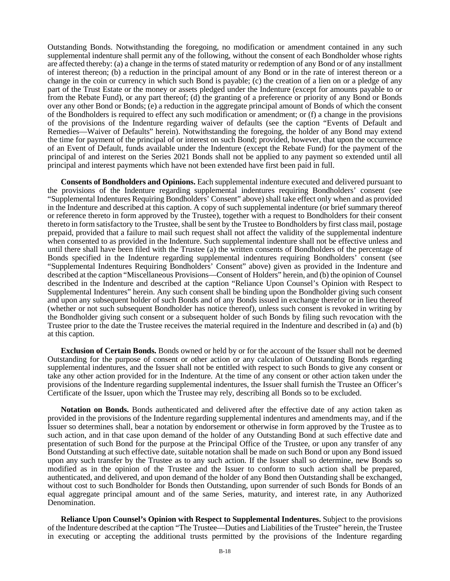Outstanding Bonds. Notwithstanding the foregoing, no modification or amendment contained in any such supplemental indenture shall permit any of the following, without the consent of each Bondholder whose rights are affected thereby: (a) a change in the terms of stated maturity or redemption of any Bond or of any installment of interest thereon; (b) a reduction in the principal amount of any Bond or in the rate of interest thereon or a change in the coin or currency in which such Bond is payable; (c) the creation of a lien on or a pledge of any part of the Trust Estate or the money or assets pledged under the Indenture (except for amounts payable to or from the Rebate Fund), or any part thereof; (d) the granting of a preference or priority of any Bond or Bonds over any other Bond or Bonds; (e) a reduction in the aggregate principal amount of Bonds of which the consent of the Bondholders is required to effect any such modification or amendment; or (f) a change in the provisions of the provisions of the Indenture regarding waiver of defaults (see the caption "Events of Default and Remedies—Waiver of Defaults" herein). Notwithstanding the foregoing, the holder of any Bond may extend the time for payment of the principal of or interest on such Bond; provided, however, that upon the occurrence of an Event of Default, funds available under the Indenture (except the Rebate Fund) for the payment of the principal of and interest on the Series 2021 Bonds shall not be applied to any payment so extended until all principal and interest payments which have not been extended have first been paid in full.

**Consents of Bondholders and Opinions.** Each supplemental indenture executed and delivered pursuant to the provisions of the Indenture regarding supplemental indentures requiring Bondholders' consent (see "Supplemental Indentures Requiring Bondholders' Consent" above) shall take effect only when and as provided in the Indenture and described at this caption. A copy of such supplemental indenture (or brief summary thereof or reference thereto in form approved by the Trustee), together with a request to Bondholders for their consent thereto in form satisfactory to the Trustee, shall be sent by the Trustee to Bondholders by first class mail, postage prepaid, provided that a failure to mail such request shall not affect the validity of the supplemental indenture when consented to as provided in the Indenture. Such supplemental indenture shall not be effective unless and until there shall have been filed with the Trustee (a) the written consents of Bondholders of the percentage of Bonds specified in the Indenture regarding supplemental indentures requiring Bondholders' consent (see "Supplemental Indentures Requiring Bondholders' Consent" above) given as provided in the Indenture and described at the caption "Miscellaneous Provisions—Consent of Holders" herein, and (b) the opinion of Counsel described in the Indenture and described at the caption "Reliance Upon Counsel's Opinion with Respect to Supplemental Indentures" herein. Any such consent shall be binding upon the Bondholder giving such consent and upon any subsequent holder of such Bonds and of any Bonds issued in exchange therefor or in lieu thereof (whether or not such subsequent Bondholder has notice thereof), unless such consent is revoked in writing by the Bondholder giving such consent or a subsequent holder of such Bonds by filing such revocation with the Trustee prior to the date the Trustee receives the material required in the Indenture and described in (a) and (b) at this caption.

**Exclusion of Certain Bonds.** Bonds owned or held by or for the account of the Issuer shall not be deemed Outstanding for the purpose of consent or other action or any calculation of Outstanding Bonds regarding supplemental indentures, and the Issuer shall not be entitled with respect to such Bonds to give any consent or take any other action provided for in the Indenture. At the time of any consent or other action taken under the provisions of the Indenture regarding supplemental indentures, the Issuer shall furnish the Trustee an Officer's Certificate of the Issuer, upon which the Trustee may rely, describing all Bonds so to be excluded.

**Notation on Bonds.** Bonds authenticated and delivered after the effective date of any action taken as provided in the provisions of the Indenture regarding supplemental indentures and amendments may, and if the Issuer so determines shall, bear a notation by endorsement or otherwise in form approved by the Trustee as to such action, and in that case upon demand of the holder of any Outstanding Bond at such effective date and presentation of such Bond for the purpose at the Principal Office of the Trustee, or upon any transfer of any Bond Outstanding at such effective date, suitable notation shall be made on such Bond or upon any Bond issued upon any such transfer by the Trustee as to any such action. If the Issuer shall so determine, new Bonds so modified as in the opinion of the Trustee and the Issuer to conform to such action shall be prepared, authenticated, and delivered, and upon demand of the holder of any Bond then Outstanding shall be exchanged, without cost to such Bondholder for Bonds then Outstanding, upon surrender of such Bonds for Bonds of an equal aggregate principal amount and of the same Series, maturity, and interest rate, in any Authorized Denomination.

**Reliance Upon Counsel's Opinion with Respect to Supplemental Indentures.** Subject to the provisions of the Indenture described at the caption "The Trustee—Duties and Liabilities of the Trustee" herein, the Trustee in executing or accepting the additional trusts permitted by the provisions of the Indenture regarding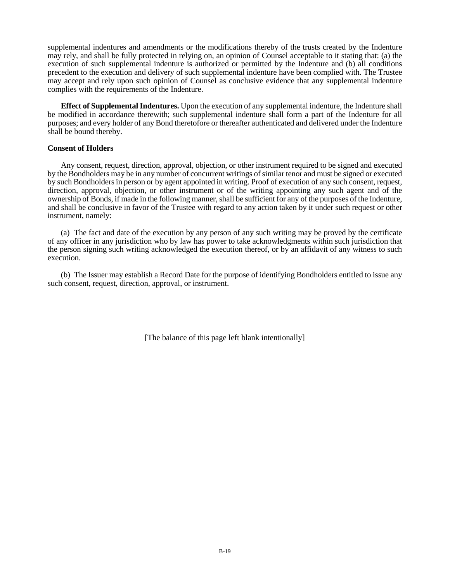supplemental indentures and amendments or the modifications thereby of the trusts created by the Indenture may rely, and shall be fully protected in relying on, an opinion of Counsel acceptable to it stating that: (a) the execution of such supplemental indenture is authorized or permitted by the Indenture and (b) all conditions precedent to the execution and delivery of such supplemental indenture have been complied with. The Trustee may accept and rely upon such opinion of Counsel as conclusive evidence that any supplemental indenture complies with the requirements of the Indenture.

**Effect of Supplemental Indentures.** Upon the execution of any supplemental indenture, the Indenture shall be modified in accordance therewith; such supplemental indenture shall form a part of the Indenture for all purposes; and every holder of any Bond theretofore or thereafter authenticated and delivered under the Indenture shall be bound thereby.

#### **Consent of Holders**

Any consent, request, direction, approval, objection, or other instrument required to be signed and executed by the Bondholders may be in any number of concurrent writings of similar tenor and must be signed or executed by such Bondholders in person or by agent appointed in writing. Proof of execution of any such consent, request, direction, approval, objection, or other instrument or of the writing appointing any such agent and of the ownership of Bonds, if made in the following manner, shall be sufficient for any of the purposes of the Indenture, and shall be conclusive in favor of the Trustee with regard to any action taken by it under such request or other instrument, namely:

(a) The fact and date of the execution by any person of any such writing may be proved by the certificate of any officer in any jurisdiction who by law has power to take acknowledgments within such jurisdiction that the person signing such writing acknowledged the execution thereof, or by an affidavit of any witness to such execution.

(b) The Issuer may establish a Record Date for the purpose of identifying Bondholders entitled to issue any such consent, request, direction, approval, or instrument.

[The balance of this page left blank intentionally]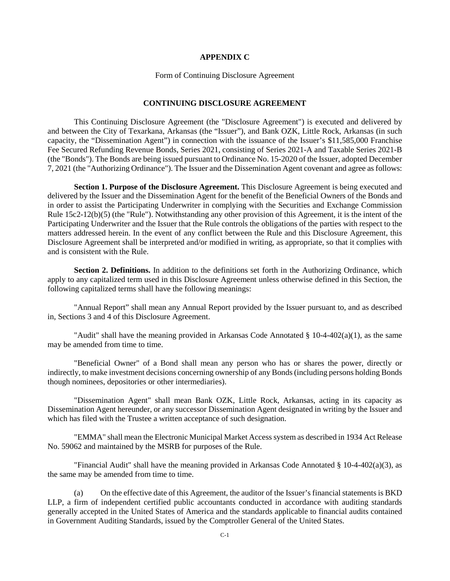#### **APPENDIX C**

#### Form of Continuing Disclosure Agreement

#### **CONTINUING DISCLOSURE AGREEMENT**

This Continuing Disclosure Agreement (the "Disclosure Agreement") is executed and delivered by and between the City of Texarkana, Arkansas (the "Issuer"), and Bank OZK, Little Rock, Arkansas (in such capacity, the "Dissemination Agent") in connection with the issuance of the Issuer's \$11,585,000 Franchise Fee Secured Refunding Revenue Bonds, Series 2021, consisting of Series 2021-A and Taxable Series 2021-B (the "Bonds"). The Bonds are being issued pursuant to Ordinance No. 15-2020 of the Issuer, adopted December 7, 2021 (the "Authorizing Ordinance"). The Issuer and the Dissemination Agent covenant and agree as follows:

**Section 1. Purpose of the Disclosure Agreement.** This Disclosure Agreement is being executed and delivered by the Issuer and the Dissemination Agent for the benefit of the Beneficial Owners of the Bonds and in order to assist the Participating Underwriter in complying with the Securities and Exchange Commission Rule 15c2-12(b)(5) (the "Rule"). Notwithstanding any other provision of this Agreement, it is the intent of the Participating Underwriter and the Issuer that the Rule controls the obligations of the parties with respect to the matters addressed herein. In the event of any conflict between the Rule and this Disclosure Agreement, this Disclosure Agreement shall be interpreted and/or modified in writing, as appropriate, so that it complies with and is consistent with the Rule.

**Section 2. Definitions.** In addition to the definitions set forth in the Authorizing Ordinance, which apply to any capitalized term used in this Disclosure Agreement unless otherwise defined in this Section, the following capitalized terms shall have the following meanings:

"Annual Report" shall mean any Annual Report provided by the Issuer pursuant to, and as described in, Sections 3 and 4 of this Disclosure Agreement.

"Audit" shall have the meaning provided in Arkansas Code Annotated  $\S 10-4-402(a)(1)$ , as the same may be amended from time to time.

"Beneficial Owner" of a Bond shall mean any person who has or shares the power, directly or indirectly, to make investment decisions concerning ownership of any Bonds (including persons holding Bonds though nominees, depositories or other intermediaries).

"Dissemination Agent" shall mean Bank OZK, Little Rock, Arkansas, acting in its capacity as Dissemination Agent hereunder, or any successor Dissemination Agent designated in writing by the Issuer and which has filed with the Trustee a written acceptance of such designation.

"EMMA" shall mean the Electronic Municipal Market Access system as described in 1934 Act Release No. 59062 and maintained by the MSRB for purposes of the Rule.

"Financial Audit" shall have the meaning provided in Arkansas Code Annotated  $\S$  10-4-402(a)(3), as the same may be amended from time to time.

(a) On the effective date of this Agreement, the auditor of the Issuer's financial statements is BKD LLP, a firm of independent certified public accountants conducted in accordance with auditing standards generally accepted in the United States of America and the standards applicable to financial audits contained in Government Auditing Standards, issued by the Comptroller General of the United States.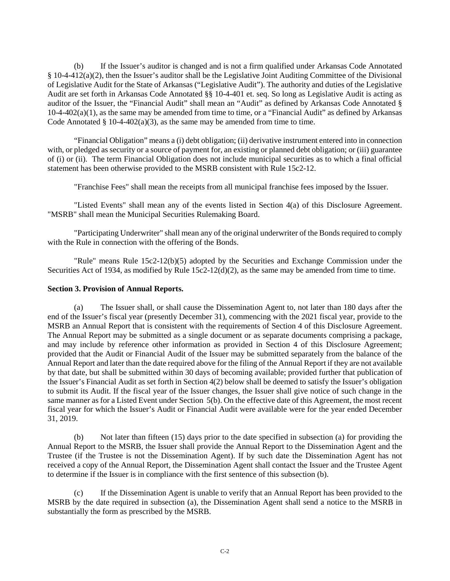(b) If the Issuer's auditor is changed and is not a firm qualified under Arkansas Code Annotated § 10-4-412(a)(2), then the Issuer's auditor shall be the Legislative Joint Auditing Committee of the Divisional of Legislative Audit for the State of Arkansas ("Legislative Audit"). The authority and duties of the Legislative Audit are set forth in Arkansas Code Annotated §§ 10-4-401 et. seq. So long as Legislative Audit is acting as auditor of the Issuer, the "Financial Audit" shall mean an "Audit" as defined by Arkansas Code Annotated §  $10-4-402(a)(1)$ , as the same may be amended from time to time, or a "Financial Audit" as defined by Arkansas Code Annotated  $\S$  10-4-402(a)(3), as the same may be amended from time to time.

"Financial Obligation" means a (i) debt obligation; (ii) derivative instrument entered into in connection with, or pledged as security or a source of payment for, an existing or planned debt obligation; or (iii) guarantee of (i) or (ii). The term Financial Obligation does not include municipal securities as to which a final official statement has been otherwise provided to the MSRB consistent with Rule 15c2-12.

"Franchise Fees" shall mean the receipts from all municipal franchise fees imposed by the Issuer.

"Listed Events" shall mean any of the events listed in Section 4(a) of this Disclosure Agreement. "MSRB" shall mean the Municipal Securities Rulemaking Board.

"Participating Underwriter" shall mean any of the original underwriter of the Bonds required to comply with the Rule in connection with the offering of the Bonds.

"Rule" means Rule 15c2-12(b)(5) adopted by the Securities and Exchange Commission under the Securities Act of 1934, as modified by Rule 15c2-12(d)(2), as the same may be amended from time to time.

#### **Section 3. Provision of Annual Reports.**

(a) The Issuer shall, or shall cause the Dissemination Agent to, not later than 180 days after the end of the Issuer's fiscal year (presently December 31), commencing with the 2021 fiscal year, provide to the MSRB an Annual Report that is consistent with the requirements of Section 4 of this Disclosure Agreement. The Annual Report may be submitted as a single document or as separate documents comprising a package, and may include by reference other information as provided in Section 4 of this Disclosure Agreement; provided that the Audit or Financial Audit of the Issuer may be submitted separately from the balance of the Annual Report and later than the date required above for the filing of the Annual Report if they are not available by that date, but shall be submitted within 30 days of becoming available; provided further that publication of the Issuer's Financial Audit as set forth in Section 4(2) below shall be deemed to satisfy the Issuer's obligation to submit its Audit. If the fiscal year of the Issuer changes, the Issuer shall give notice of such change in the same manner as for a Listed Event under Section 5(b). On the effective date of this Agreement, the most recent fiscal year for which the Issuer's Audit or Financial Audit were available were for the year ended December 31, 2019.

(b) Not later than fifteen (15) days prior to the date specified in subsection (a) for providing the Annual Report to the MSRB, the Issuer shall provide the Annual Report to the Dissemination Agent and the Trustee (if the Trustee is not the Dissemination Agent). If by such date the Dissemination Agent has not received a copy of the Annual Report, the Dissemination Agent shall contact the Issuer and the Trustee Agent to determine if the Issuer is in compliance with the first sentence of this subsection (b).

(c) If the Dissemination Agent is unable to verify that an Annual Report has been provided to the MSRB by the date required in subsection (a), the Dissemination Agent shall send a notice to the MSRB in substantially the form as prescribed by the MSRB.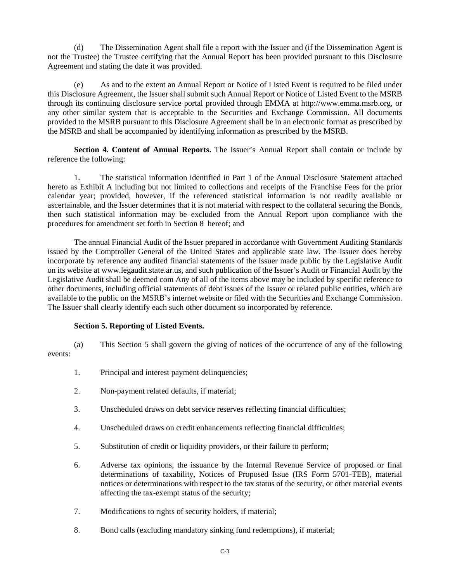(d) The Dissemination Agent shall file a report with the Issuer and (if the Dissemination Agent is not the Trustee) the Trustee certifying that the Annual Report has been provided pursuant to this Disclosure Agreement and stating the date it was provided.

(e) As and to the extent an Annual Report or Notice of Listed Event is required to be filed under this Disclosure Agreement, the Issuer shall submit such Annual Report or Notice of Listed Event to the MSRB through its continuing disclosure service portal provided through EMMA at http://www.emma.msrb.org, or any other similar system that is acceptable to the Securities and Exchange Commission. All documents provided to the MSRB pursuant to this Disclosure Agreement shall be in an electronic format as prescribed by the MSRB and shall be accompanied by identifying information as prescribed by the MSRB.

**Section 4. Content of Annual Reports.** The Issuer's Annual Report shall contain or include by reference the following:

1. The statistical information identified in Part 1 of the Annual Disclosure Statement attached hereto as Exhibit A including but not limited to collections and receipts of the Franchise Fees for the prior calendar year; provided, however, if the referenced statistical information is not readily available or ascertainable, and the Issuer determines that it is not material with respect to the collateral securing the Bonds, then such statistical information may be excluded from the Annual Report upon compliance with the procedures for amendment set forth in Section 8 hereof; and

The annual Financial Audit of the Issuer prepared in accordance with Government Auditing Standards issued by the Comptroller General of the United States and applicable state law. The Issuer does hereby incorporate by reference any audited financial statements of the Issuer made public by the Legislative Audit on its website at www.legaudit.state.ar.us, and such publication of the Issuer's Audit or Financial Audit by the Legislative Audit shall be deemed com Any of all of the items above may be included by specific reference to other documents, including official statements of debt issues of the Issuer or related public entities, which are available to the public on the MSRB's internet website or filed with the Securities and Exchange Commission. The Issuer shall clearly identify each such other document so incorporated by reference.

### **Section 5. Reporting of Listed Events.**

(a) This Section 5 shall govern the giving of notices of the occurrence of any of the following events:

- 1. Principal and interest payment delinquencies;
- 2. Non-payment related defaults, if material;
- 3. Unscheduled draws on debt service reserves reflecting financial difficulties;
- 4. Unscheduled draws on credit enhancements reflecting financial difficulties;
- 5. Substitution of credit or liquidity providers, or their failure to perform;
- 6. Adverse tax opinions, the issuance by the Internal Revenue Service of proposed or final determinations of taxability, Notices of Proposed Issue (IRS Form 5701-TEB), material notices or determinations with respect to the tax status of the security, or other material events affecting the tax-exempt status of the security;
- 7. Modifications to rights of security holders, if material;
- 8. Bond calls (excluding mandatory sinking fund redemptions), if material;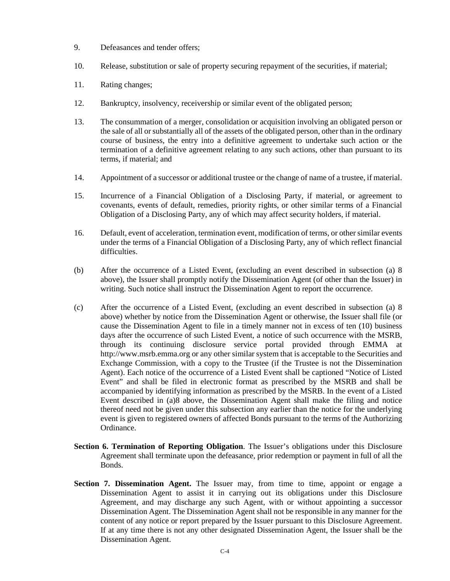- 9. Defeasances and tender offers;
- 10. Release, substitution or sale of property securing repayment of the securities, if material;
- 11. Rating changes;
- 12. Bankruptcy, insolvency, receivership or similar event of the obligated person;
- 13. The consummation of a merger, consolidation or acquisition involving an obligated person or the sale of all or substantially all of the assets of the obligated person, other than in the ordinary course of business, the entry into a definitive agreement to undertake such action or the termination of a definitive agreement relating to any such actions, other than pursuant to its terms, if material; and
- 14. Appointment of a successor or additional trustee or the change of name of a trustee, if material.
- 15. Incurrence of a Financial Obligation of a Disclosing Party, if material, or agreement to covenants, events of default, remedies, priority rights, or other similar terms of a Financial Obligation of a Disclosing Party, any of which may affect security holders, if material.
- 16. Default, event of acceleration, termination event, modification of terms, or other similar events under the terms of a Financial Obligation of a Disclosing Party, any of which reflect financial difficulties.
- (b) After the occurrence of a Listed Event, (excluding an event described in subsection (a) 8 above), the Issuer shall promptly notify the Dissemination Agent (of other than the Issuer) in writing. Such notice shall instruct the Dissemination Agent to report the occurrence.
- (c) After the occurrence of a Listed Event, (excluding an event described in subsection (a) 8 above) whether by notice from the Dissemination Agent or otherwise, the Issuer shall file (or cause the Dissemination Agent to file in a timely manner not in excess of ten (10) business days after the occurrence of such Listed Event, a notice of such occurrence with the MSRB, through its continuing disclosure service portal provided through EMMA at http://www.msrb.emma.org or any other similar system that is acceptable to the Securities and Exchange Commission, with a copy to the Trustee (if the Trustee is not the Dissemination Agent). Each notice of the occurrence of a Listed Event shall be captioned "Notice of Listed Event" and shall be filed in electronic format as prescribed by the MSRB and shall be accompanied by identifying information as prescribed by the MSRB. In the event of a Listed Event described in (a)8 above, the Dissemination Agent shall make the filing and notice thereof need not be given under this subsection any earlier than the notice for the underlying event is given to registered owners of affected Bonds pursuant to the terms of the Authorizing Ordinance.
- **Section 6. Termination of Reporting Obligation**. The Issuer's obligations under this Disclosure Agreement shall terminate upon the defeasance, prior redemption or payment in full of all the Bonds.
- **Section 7. Dissemination Agent.** The Issuer may, from time to time, appoint or engage a Dissemination Agent to assist it in carrying out its obligations under this Disclosure Agreement, and may discharge any such Agent, with or without appointing a successor Dissemination Agent. The Dissemination Agent shall not be responsible in any manner for the content of any notice or report prepared by the Issuer pursuant to this Disclosure Agreement. If at any time there is not any other designated Dissemination Agent, the Issuer shall be the Dissemination Agent.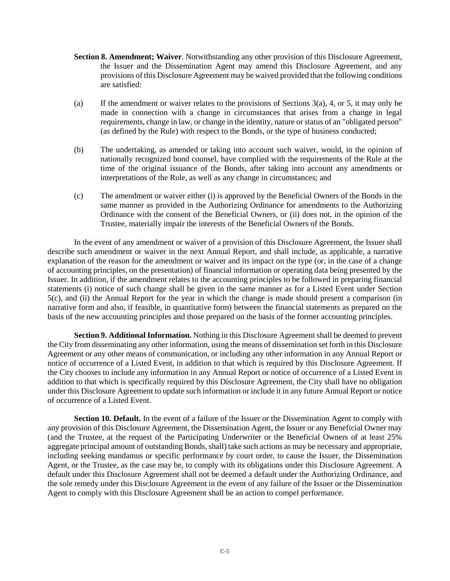- **Section 8. Amendment; Waiver**. Notwithstanding any other provision of this Disclosure Agreement, the Issuer and the Dissemination Agent may amend this Disclosure Agreement, and any provisions of this Disclosure Agreement may be waived provided that the following conditions are satisfied:
- (a) If the amendment or waiver relates to the provisions of Sections 3(a), 4, or 5, it may only be made in connection with a change in circumstances that arises from a change in legal requirements, change in law, or change in the identity, nature or status of an "obligated person" (as defined by the Rule) with respect to the Bonds, or the type of business conducted;
- (b) The undertaking, as amended or taking into account such waiver, would, in the opinion of nationally recognized bond counsel, have complied with the requirements of the Rule at the time of the original issuance of the Bonds, after taking into account any amendments or interpretations of the Rule, as well as any change in circumstances; and
- (c) The amendment or waiver either (i) is approved by the Beneficial Owners of the Bonds in the same manner as provided in the Authorizing Ordinance for amendments to the Authorizing Ordinance with the consent of the Beneficial Owners, or (ii) does not, in the opinion of the Trustee, materially impair the interests of the Beneficial Owners of the Bonds.

In the event of any amendment or waiver of a provision of this Disclosure Agreement, the Issuer shall describe such amendment or waiver in the next Annual Report, and shall include, as applicable, a narrative explanation of the reason for the amendment or waiver and its impact on the type (or, in the case of a change of accounting principles, on the presentation) of financial information or operating data being presented by the Issuer. In addition, if the amendment relates to the accounting principles to be followed in preparing financial statements (i) notice of such change shall be given in the same manner as for a Listed Event under Section 5(c), and (ii) the Annual Report for the year in which the change is made should present a comparison (in narrative form and also, if feasible, in quantitative form) between the financial statements as prepared on the basis of the new accounting principles and those prepared on the basis of the former accounting principles.

**Section 9. Additional Information.** Nothing in this Disclosure Agreement shall be deemed to prevent the City from disseminating any other information, using the means of dissemination set forth in this Disclosure Agreement or any other means of communication, or including any other information in any Annual Report or notice of occurrence of a Listed Event, in addition to that which is required by this Disclosure Agreement. If the City chooses to include any information in any Annual Report or notice of occurrence of a Listed Event in addition to that which is specifically required by this Disclosure Agreement, the City shall have no obligation under this Disclosure Agreement to update such information or include it in any future Annual Report or notice of occurrence of a Listed Event.

**Section 10. Default.** In the event of a failure of the Issuer or the Dissemination Agent to comply with any provision of this Disclosure Agreement, the Dissemination Agent, the Issuer or any Beneficial Owner may (and the Trustee, at the request of the Participating Underwriter or the Beneficial Owners of at least 25% aggregate principal amount of outstanding Bonds, shall) take such actions as may be necessary and appropriate, including seeking mandamus or specific performance by court order, to cause the Issuer, the Dissemination Agent, or the Trustee, as the case may be, to comply with its obligations under this Disclosure Agreement. A default under this Disclosure Agreement shall not be deemed a default under the Authorizing Ordinance, and the sole remedy under this Disclosure Agreement in the event of any failure of the Issuer or the Dissemination Agent to comply with this Disclosure Agreement shall be an action to compel performance.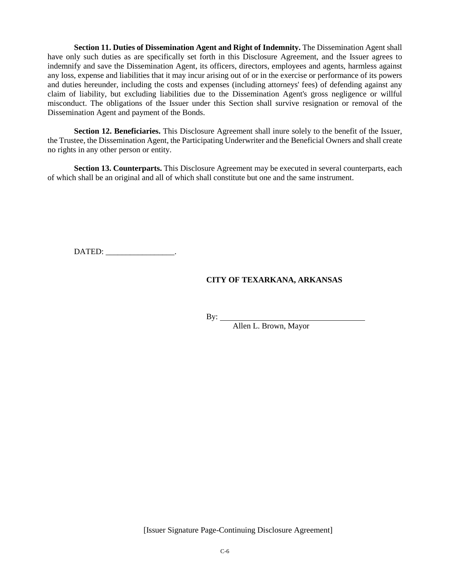**Section 11. Duties of Dissemination Agent and Right of Indemnity.** The Dissemination Agent shall have only such duties as are specifically set forth in this Disclosure Agreement, and the Issuer agrees to indemnify and save the Dissemination Agent, its officers, directors, employees and agents, harmless against any loss, expense and liabilities that it may incur arising out of or in the exercise or performance of its powers and duties hereunder, including the costs and expenses (including attorneys' fees) of defending against any claim of liability, but excluding liabilities due to the Dissemination Agent's gross negligence or willful misconduct. The obligations of the Issuer under this Section shall survive resignation or removal of the Dissemination Agent and payment of the Bonds.

**Section 12. Beneficiaries.** This Disclosure Agreement shall inure solely to the benefit of the Issuer, the Trustee, the Dissemination Agent, the Participating Underwriter and the Beneficial Owners and shall create no rights in any other person or entity.

**Section 13. Counterparts.** This Disclosure Agreement may be executed in several counterparts, each of which shall be an original and all of which shall constitute but one and the same instrument.

DATED:

### **CITY OF TEXARKANA, ARKANSAS**

By:

Allen L. Brown, Mayor

[Issuer Signature Page-Continuing Disclosure Agreement]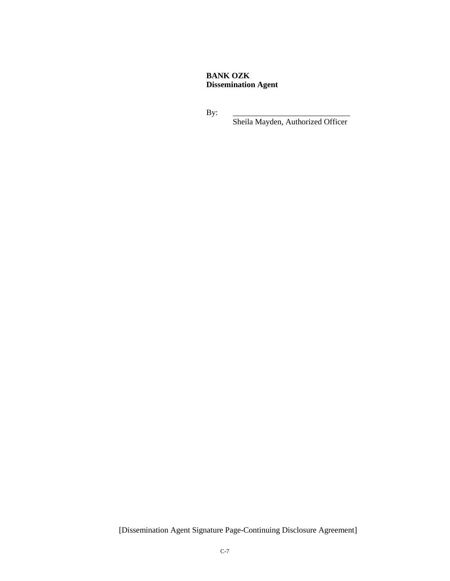## **BANK OZK Dissemination Agent**

By: \_\_\_\_\_\_\_\_\_\_\_\_\_\_\_\_\_\_\_\_\_\_\_\_\_\_\_\_\_

Sheila Mayden, Authorized Officer

[Dissemination Agent Signature Page-Continuing Disclosure Agreement]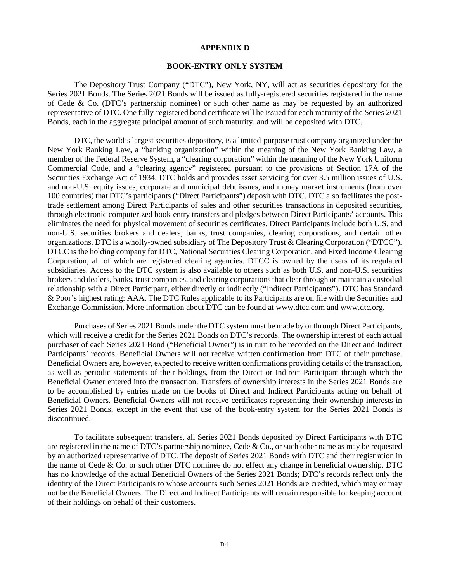#### **APPENDIX D**

#### **BOOK-ENTRY ONLY SYSTEM**

The Depository Trust Company ("DTC"), New York, NY, will act as securities depository for the Series 2021 Bonds. The Series 2021 Bonds will be issued as fully-registered securities registered in the name of Cede & Co. (DTC's partnership nominee) or such other name as may be requested by an authorized representative of DTC. One fully-registered bond certificate will be issued for each maturity of the Series 2021 Bonds, each in the aggregate principal amount of such maturity, and will be deposited with DTC.

DTC, the world's largest securities depository, is a limited-purpose trust company organized under the New York Banking Law, a "banking organization" within the meaning of the New York Banking Law, a member of the Federal Reserve System, a "clearing corporation" within the meaning of the New York Uniform Commercial Code, and a "clearing agency" registered pursuant to the provisions of Section 17A of the Securities Exchange Act of 1934. DTC holds and provides asset servicing for over 3.5 million issues of U.S. and non-U.S. equity issues, corporate and municipal debt issues, and money market instruments (from over 100 countries) that DTC's participants ("Direct Participants") deposit with DTC. DTC also facilitates the posttrade settlement among Direct Participants of sales and other securities transactions in deposited securities, through electronic computerized book-entry transfers and pledges between Direct Participants' accounts. This eliminates the need for physical movement of securities certificates. Direct Participants include both U.S. and non-U.S. securities brokers and dealers, banks, trust companies, clearing corporations, and certain other organizations. DTC is a wholly-owned subsidiary of The Depository Trust & Clearing Corporation ("DTCC"). DTCC is the holding company for DTC, National Securities Clearing Corporation, and Fixed Income Clearing Corporation, all of which are registered clearing agencies. DTCC is owned by the users of its regulated subsidiaries. Access to the DTC system is also available to others such as both U.S. and non-U.S. securities brokers and dealers, banks, trust companies, and clearing corporations that clear through or maintain a custodial relationship with a Direct Participant, either directly or indirectly ("Indirect Participants"). DTC has Standard & Poor's highest rating: AAA. The DTC Rules applicable to its Participants are on file with the Securities and Exchange Commission. More information about DTC can be found at www.dtcc.com and www.dtc.org.

Purchases of Series 2021 Bonds under the DTC system must be made by or through Direct Participants, which will receive a credit for the Series 2021 Bonds on DTC's records. The ownership interest of each actual purchaser of each Series 2021 Bond ("Beneficial Owner") is in turn to be recorded on the Direct and Indirect Participants' records. Beneficial Owners will not receive written confirmation from DTC of their purchase. Beneficial Owners are, however, expected to receive written confirmations providing details of the transaction, as well as periodic statements of their holdings, from the Direct or Indirect Participant through which the Beneficial Owner entered into the transaction. Transfers of ownership interests in the Series 2021 Bonds are to be accomplished by entries made on the books of Direct and Indirect Participants acting on behalf of Beneficial Owners. Beneficial Owners will not receive certificates representing their ownership interests in Series 2021 Bonds, except in the event that use of the book-entry system for the Series 2021 Bonds is discontinued.

To facilitate subsequent transfers, all Series 2021 Bonds deposited by Direct Participants with DTC are registered in the name of DTC's partnership nominee, Cede & Co., or such other name as may be requested by an authorized representative of DTC. The deposit of Series 2021 Bonds with DTC and their registration in the name of Cede & Co. or such other DTC nominee do not effect any change in beneficial ownership. DTC has no knowledge of the actual Beneficial Owners of the Series 2021 Bonds; DTC's records reflect only the identity of the Direct Participants to whose accounts such Series 2021 Bonds are credited, which may or may not be the Beneficial Owners. The Direct and Indirect Participants will remain responsible for keeping account of their holdings on behalf of their customers.